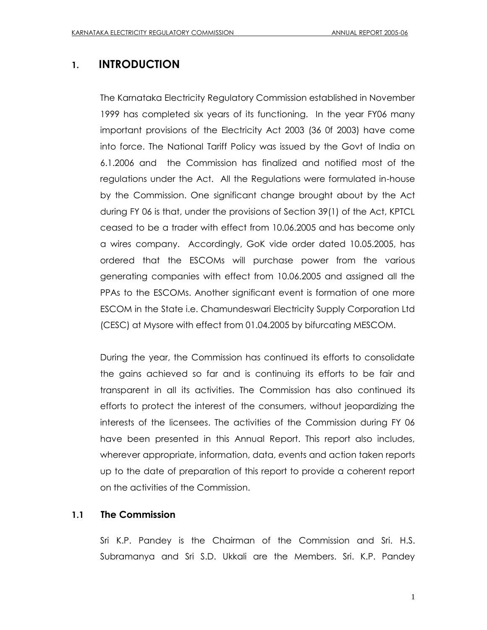# **1. INTRODUCTION**

The Karnataka Electricity Regulatory Commission established in November 1999 has completed six years of its functioning. In the year FY06 many important provisions of the Electricity Act 2003 (36 0f 2003) have come into force. The National Tariff Policy was issued by the Govt of India on 6.1.2006 and the Commission has finalized and notified most of the regulations under the Act. All the Regulations were formulated in-house by the Commission. One significant change brought about by the Act during FY 06 is that, under the provisions of Section 39(1) of the Act, KPTCL ceased to be a trader with effect from 10.06.2005 and has become only a wires company. Accordingly, GoK vide order dated 10.05.2005, has ordered that the ESCOMs will purchase power from the various generating companies with effect from 10.06.2005 and assigned all the PPAs to the ESCOMs. Another significant event is formation of one more ESCOM in the State i.e. Chamundeswari Electricity Supply Corporation Ltd (CESC) at Mysore with effect from 01.04.2005 by bifurcating MESCOM.

During the year, the Commission has continued its efforts to consolidate the gains achieved so far and is continuing its efforts to be fair and transparent in all its activities. The Commission has also continued its efforts to protect the interest of the consumers, without jeopardizing the interests of the licensees. The activities of the Commission during FY 06 have been presented in this Annual Report. This report also includes, wherever appropriate, information, data, events and action taken reports up to the date of preparation of this report to provide a coherent report on the activities of the Commission.

# **1.1 The Commission**

Sri K.P. Pandey is the Chairman of the Commission and Sri. H.S. Subramanya and Sri S.D. Ukkali are the Members. Sri. K.P. Pandey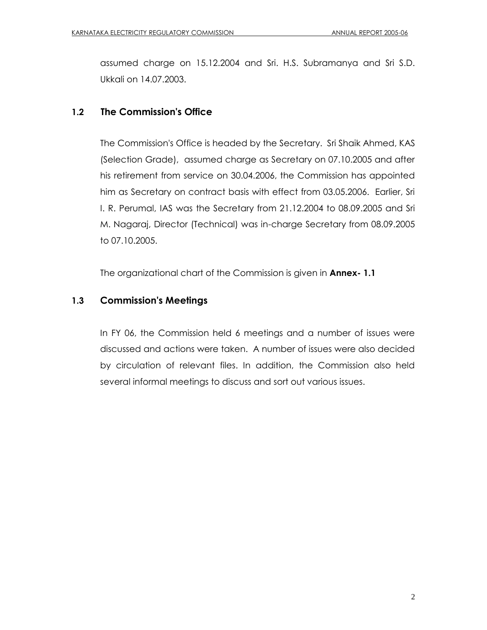assumed charge on 15.12.2004 and Sri. H.S. Subramanya and Sri S.D. Ukkali on 14.07.2003.

# **1.2 The Commission's Office**

 The Commission's Office is headed by the Secretary. Sri Shaik Ahmed, KAS (Selection Grade), assumed charge as Secretary on 07.10.2005 and after his retirement from service on 30.04.2006, the Commission has appointed him as Secretary on contract basis with effect from 03.05.2006. Earlier, Sri I. R. Perumal, IAS was the Secretary from 21.12.2004 to 08.09.2005 and Sri M. Nagaraj, Director (Technical) was in-charge Secretary from 08.09.2005 to 07.10.2005.

The organizational chart of the Commission is given in **Annex- 1.1** 

# **1.3 Commission's Meetings**

 In FY 06, the Commission held 6 meetings and a number of issues were discussed and actions were taken. A number of issues were also decided by circulation of relevant files. In addition, the Commission also held several informal meetings to discuss and sort out various issues.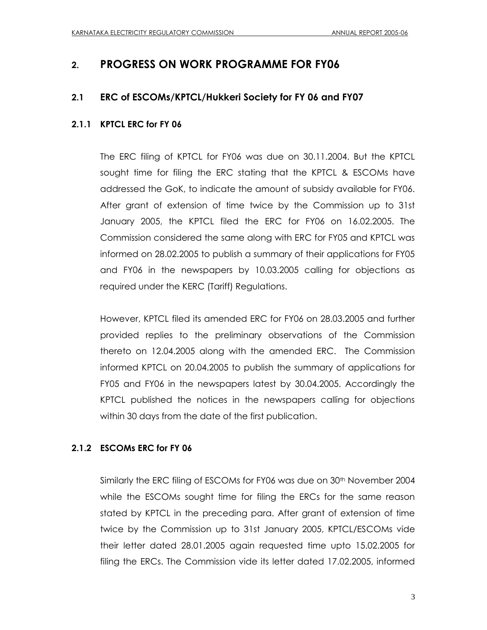# **2. PROGRESS ON WORK PROGRAMME FOR FY06**

#### **2.1 ERC of ESCOMs/KPTCL/Hukkeri Society for FY 06 and FY07**

#### **2.1.1 KPTCL ERC for FY 06**

The ERC filing of KPTCL for FY06 was due on 30.11.2004. But the KPTCL sought time for filing the ERC stating that the KPTCL & ESCOMs have addressed the GoK, to indicate the amount of subsidy available for FY06. After grant of extension of time twice by the Commission up to 31st January 2005, the KPTCL filed the ERC for FY06 on 16.02.2005. The Commission considered the same along with ERC for FY05 and KPTCL was informed on 28.02.2005 to publish a summary of their applications for FY05 and FY06 in the newspapers by 10.03.2005 calling for objections as required under the KERC (Tariff) Regulations.

However, KPTCL filed its amended ERC for FY06 on 28.03.2005 and further provided replies to the preliminary observations of the Commission thereto on 12.04.2005 along with the amended ERC. The Commission informed KPTCL on 20.04.2005 to publish the summary of applications for FY05 and FY06 in the newspapers latest by 30.04.2005. Accordingly the KPTCL published the notices in the newspapers calling for objections within 30 days from the date of the first publication.

#### **2.1.2 ESCOMs ERC for FY 06**

Similarly the ERC filing of ESCOMs for FY06 was due on 30<sup>th</sup> November 2004 while the ESCOMs sought time for filing the ERCs for the same reason stated by KPTCL in the preceding para. After grant of extension of time twice by the Commission up to 31st January 2005, KPTCL/ESCOMs vide their letter dated 28.01.2005 again requested time upto 15.02.2005 for filing the ERCs. The Commission vide its letter dated 17.02.2005, informed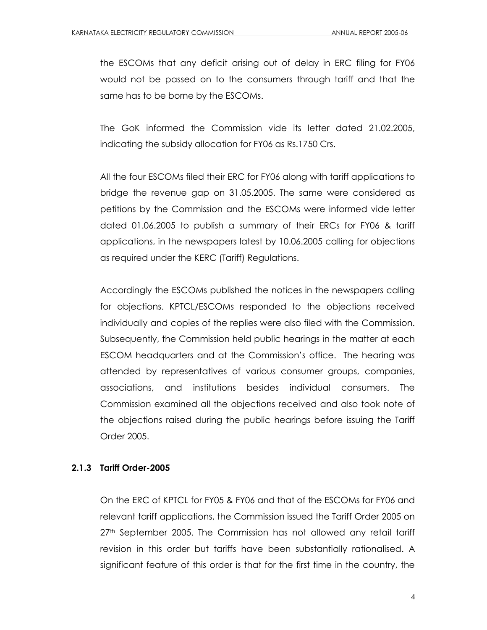the ESCOMs that any deficit arising out of delay in ERC filing for FY06 would not be passed on to the consumers through tariff and that the same has to be borne by the ESCOMs.

The GoK informed the Commission vide its letter dated 21.02.2005, indicating the subsidy allocation for FY06 as Rs.1750 Crs.

All the four ESCOMs filed their ERC for FY06 along with tariff applications to bridge the revenue gap on 31.05.2005. The same were considered as petitions by the Commission and the ESCOMs were informed vide letter dated 01.06.2005 to publish a summary of their ERCs for FY06 & tariff applications, in the newspapers latest by 10.06.2005 calling for objections as required under the KERC (Tariff) Regulations.

Accordingly the ESCOMs published the notices in the newspapers calling for objections. KPTCL/ESCOMs responded to the objections received individually and copies of the replies were also filed with the Commission. Subsequently, the Commission held public hearings in the matter at each ESCOM headquarters and at the Commission"s office. The hearing was attended by representatives of various consumer groups, companies, associations, and institutions besides individual consumers. The Commission examined all the objections received and also took note of the objections raised during the public hearings before issuing the Tariff Order 2005.

#### **2.1.3 Tariff Order-2005**

On the ERC of KPTCL for FY05 & FY06 and that of the ESCOMs for FY06 and relevant tariff applications, the Commission issued the Tariff Order 2005 on 27<sup>th</sup> September 2005. The Commission has not allowed any retail tariff revision in this order but tariffs have been substantially rationalised. A significant feature of this order is that for the first time in the country, the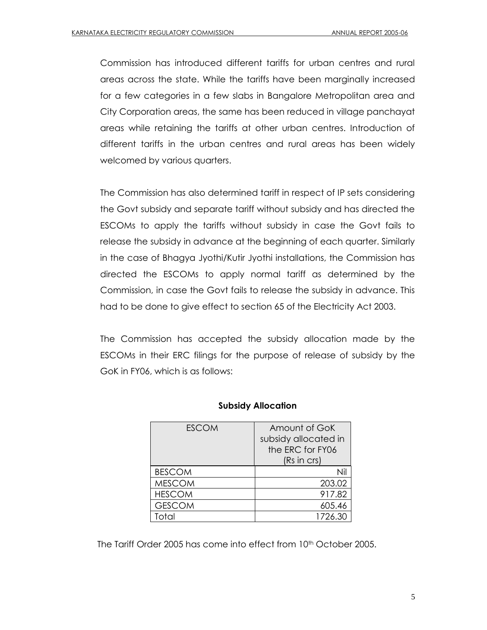Commission has introduced different tariffs for urban centres and rural areas across the state. While the tariffs have been marginally increased for a few categories in a few slabs in Bangalore Metropolitan area and City Corporation areas, the same has been reduced in village panchayat areas while retaining the tariffs at other urban centres. Introduction of different tariffs in the urban centres and rural areas has been widely welcomed by various quarters.

The Commission has also determined tariff in respect of IP sets considering the Govt subsidy and separate tariff without subsidy and has directed the ESCOMs to apply the tariffs without subsidy in case the Govt fails to release the subsidy in advance at the beginning of each quarter. Similarly in the case of Bhagya Jyothi/Kutir Jyothi installations, the Commission has directed the ESCOMs to apply normal tariff as determined by the Commission, in case the Govt fails to release the subsidy in advance. This had to be done to give effect to section 65 of the Electricity Act 2003.

The Commission has accepted the subsidy allocation made by the ESCOMs in their ERC filings for the purpose of release of subsidy by the GoK in FY06, which is as follows:

| <b>ESCOM</b>  | Amount of GoK<br>subsidy allocated in<br>the ERC for FY06<br>(Rs in crs) |
|---------------|--------------------------------------------------------------------------|
| <b>BESCOM</b> | Nil                                                                      |
| <b>MESCOM</b> | 203.02                                                                   |
| <b>HESCOM</b> | 917.82                                                                   |
| <b>GESCOM</b> | 605.46                                                                   |
| Total         | 1726.30                                                                  |

#### **Subsidy Allocation**

The Tariff Order 2005 has come into effect from 10th October 2005.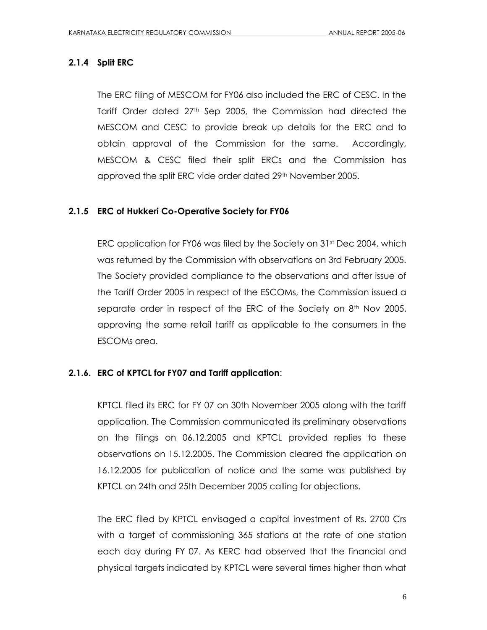# **2.1.4 Split ERC**

The ERC filing of MESCOM for FY06 also included the ERC of CESC. In the Tariff Order dated 27<sup>th</sup> Sep 2005, the Commission had directed the MESCOM and CESC to provide break up details for the ERC and to obtain approval of the Commission for the same. Accordingly, MESCOM & CESC filed their split ERCs and the Commission has approved the split ERC vide order dated 29<sup>th</sup> November 2005.

# **2.1.5 ERC of Hukkeri Co-Operative Society for FY06**

ERC application for FY06 was filed by the Society on  $31<sup>st</sup>$  Dec 2004, which was returned by the Commission with observations on 3rd February 2005. The Society provided compliance to the observations and after issue of the Tariff Order 2005 in respect of the ESCOMs, the Commission issued a separate order in respect of the ERC of the Society on  $8<sup>th</sup>$  Nov 2005, approving the same retail tariff as applicable to the consumers in the ESCOMs area.

# **2.1.6. ERC of KPTCL for FY07 and Tariff application**:

KPTCL filed its ERC for FY 07 on 30th November 2005 along with the tariff application. The Commission communicated its preliminary observations on the filings on 06.12.2005 and KPTCL provided replies to these observations on 15.12.2005. The Commission cleared the application on 16.12.2005 for publication of notice and the same was published by KPTCL on 24th and 25th December 2005 calling for objections.

The ERC filed by KPTCL envisaged a capital investment of Rs. 2700 Crs with a target of commissioning 365 stations at the rate of one station each day during FY 07. As KERC had observed that the financial and physical targets indicated by KPTCL were several times higher than what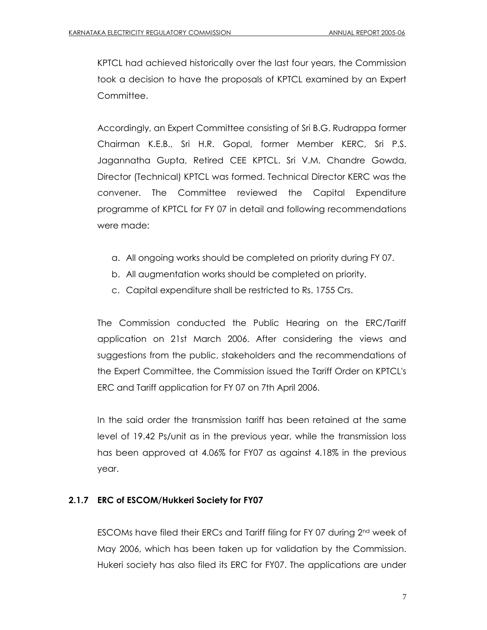KPTCL had achieved historically over the last four years, the Commission took a decision to have the proposals of KPTCL examined by an Expert Committee.

Accordingly, an Expert Committee consisting of Sri B.G. Rudrappa former Chairman K.E.B., Sri H.R. Gopal, former Member KERC, Sri P.S. Jagannatha Gupta, Retired CEE KPTCL. Sri V.M. Chandre Gowda, Director (Technical) KPTCL was formed. Technical Director KERC was the convener. The Committee reviewed the Capital Expenditure programme of KPTCL for FY 07 in detail and following recommendations were made:

- a. All ongoing works should be completed on priority during FY 07.
- b. All augmentation works should be completed on priority.
- c. Capital expenditure shall be restricted to Rs. 1755 Crs.

The Commission conducted the Public Hearing on the ERC/Tariff application on 21st March 2006. After considering the views and suggestions from the public, stakeholders and the recommendations of the Expert Committee, the Commission issued the Tariff Order on KPTCL's ERC and Tariff application for FY 07 on 7th April 2006.

In the said order the transmission tariff has been retained at the same level of 19.42 Ps/unit as in the previous year, while the transmission loss has been approved at 4.06% for FY07 as against 4.18% in the previous year.

# **2.1.7 ERC of ESCOM/Hukkeri Society for FY07**

ESCOMs have filed their ERCs and Tariff filing for FY 07 during  $2<sup>nd</sup>$  week of May 2006, which has been taken up for validation by the Commission. Hukeri society has also filed its ERC for FY07. The applications are under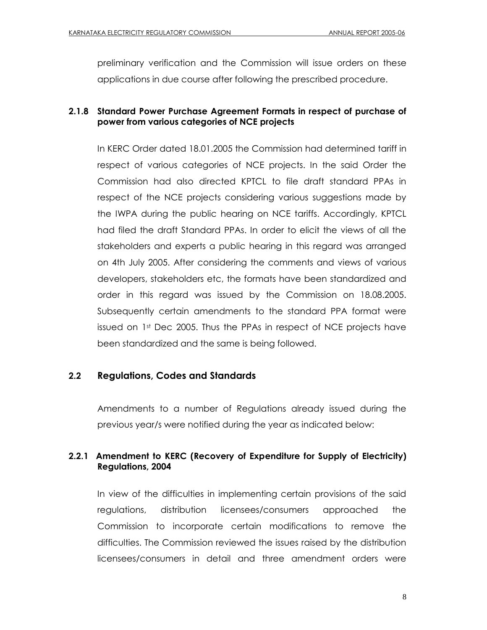preliminary verification and the Commission will issue orders on these applications in due course after following the prescribed procedure.

# **2.1.8 Standard Power Purchase Agreement Formats in respect of purchase of power from various categories of NCE projects**

In KERC Order dated 18.01.2005 the Commission had determined tariff in respect of various categories of NCE projects. In the said Order the Commission had also directed KPTCL to file draft standard PPAs in respect of the NCE projects considering various suggestions made by the IWPA during the public hearing on NCE tariffs. Accordingly, KPTCL had filed the draft Standard PPAs. In order to elicit the views of all the stakeholders and experts a public hearing in this regard was arranged on 4th July 2005. After considering the comments and views of various developers, stakeholders etc, the formats have been standardized and order in this regard was issued by the Commission on 18.08.2005. Subsequently certain amendments to the standard PPA format were issued on 1st Dec 2005. Thus the PPAs in respect of NCE projects have been standardized and the same is being followed.

# **2.2 Regulations, Codes and Standards**

Amendments to a number of Regulations already issued during the previous year/s were notified during the year as indicated below:

# **2.2.1 Amendment to KERC (Recovery of Expenditure for Supply of Electricity) Regulations, 2004**

In view of the difficulties in implementing certain provisions of the said regulations, distribution licensees/consumers approached the Commission to incorporate certain modifications to remove the difficulties. The Commission reviewed the issues raised by the distribution licensees/consumers in detail and three amendment orders were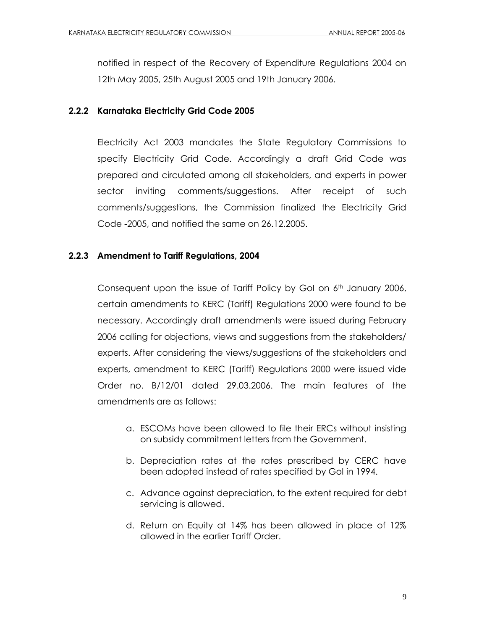notified in respect of the Recovery of Expenditure Regulations 2004 on 12th May 2005, 25th August 2005 and 19th January 2006.

#### **2.2.2 Karnataka Electricity Grid Code 2005**

Electricity Act 2003 mandates the State Regulatory Commissions to specify Electricity Grid Code. Accordingly a draft Grid Code was prepared and circulated among all stakeholders, and experts in power sector inviting comments/suggestions. After receipt of such comments/suggestions, the Commission finalized the Electricity Grid Code -2005, and notified the same on 26.12.2005.

#### **2.2.3 Amendment to Tariff Regulations, 2004**

Consequent upon the issue of Tariff Policy by GoI on  $6<sup>th</sup>$  January 2006, certain amendments to KERC (Tariff) Regulations 2000 were found to be necessary. Accordingly draft amendments were issued during February 2006 calling for objections, views and suggestions from the stakeholders/ experts. After considering the views/suggestions of the stakeholders and experts, amendment to KERC (Tariff) Regulations 2000 were issued vide Order no. B/12/01 dated 29.03.2006. The main features of the amendments are as follows:

- a. ESCOMs have been allowed to file their ERCs without insisting on subsidy commitment letters from the Government.
- b. Depreciation rates at the rates prescribed by CERC have been adopted instead of rates specified by GoI in 1994.
- c. Advance against depreciation, to the extent required for debt servicing is allowed.
- d. Return on Equity at 14% has been allowed in place of 12% allowed in the earlier Tariff Order.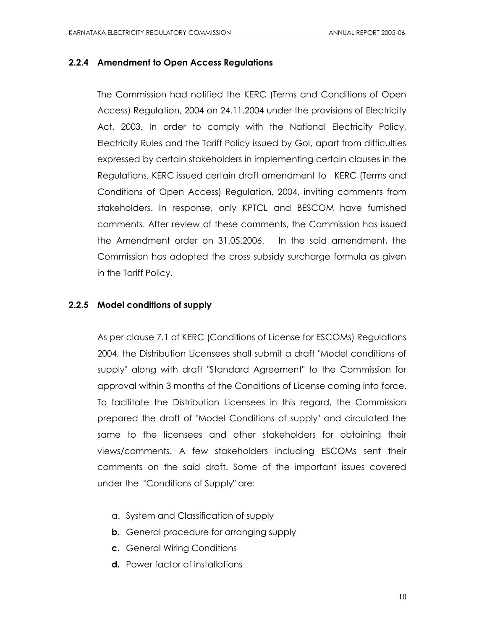# **2.2.4 Amendment to Open Access Regulations**

The Commission had notified the KERC (Terms and Conditions of Open Access) Regulation, 2004 on 24.11.2004 under the provisions of Electricity Act, 2003. In order to comply with the National Electricity Policy, Electricity Rules and the Tariff Policy issued by GoI, apart from difficulties expressed by certain stakeholders in implementing certain clauses in the Regulations, KERC issued certain draft amendment to KERC (Terms and Conditions of Open Access) Regulation, 2004, inviting comments from stakeholders. In response, only KPTCL and BESCOM have furnished comments. After review of these comments, the Commission has issued the Amendment order on 31.05.2006. In the said amendment, the Commission has adopted the cross subsidy surcharge formula as given in the Tariff Policy.

#### **2.2.5 Model conditions of supply**

As per clause 7.1 of KERC (Conditions of License for ESCOMs) Regulations 2004, the Distribution Licensees shall submit a draft "Model conditions of supply" along with draft "Standard Agreement" to the Commission for approval within 3 months of the Conditions of License coming into force. To facilitate the Distribution Licensees in this regard, the Commission prepared the draft of "Model Conditions of supply" and circulated the same to the licensees and other stakeholders for obtaining their views/comments. A few stakeholders including ESCOMs sent their comments on the said draft. Some of the important issues covered under the "Conditions of Supply" are:

- a. System and Classification of supply
- **b.** General procedure for arranging supply
- **c.** General Wiring Conditions
- **d.** Power factor of installations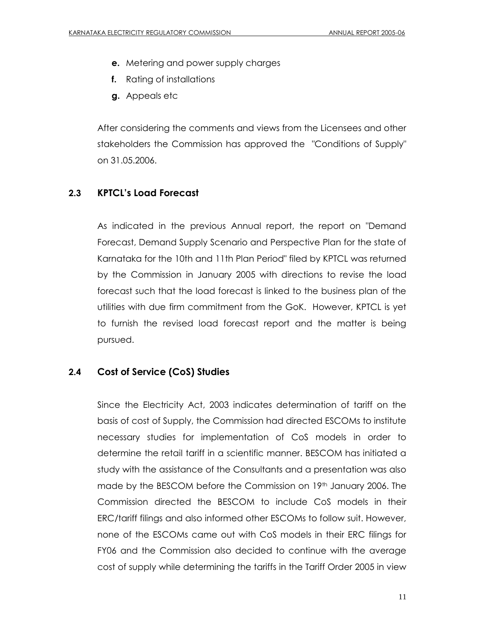- **e.** Metering and power supply charges
- **f.** Rating of installations
- **g.** Appeals etc

After considering the comments and views from the Licensees and other stakeholders the Commission has approved the "Conditions of Supply" on 31.05.2006.

# **2.3 KPTCL"s Load Forecast**

As indicated in the previous Annual report, the report on "Demand Forecast, Demand Supply Scenario and Perspective Plan for the state of Karnataka for the 10th and 11th Plan Period" filed by KPTCL was returned by the Commission in January 2005 with directions to revise the load forecast such that the load forecast is linked to the business plan of the utilities with due firm commitment from the GoK. However, KPTCL is yet to furnish the revised load forecast report and the matter is being pursued.

# **2.4 Cost of Service (CoS) Studies**

Since the Electricity Act, 2003 indicates determination of tariff on the basis of cost of Supply, the Commission had directed ESCOMs to institute necessary studies for implementation of CoS models in order to determine the retail tariff in a scientific manner. BESCOM has initiated a study with the assistance of the Consultants and a presentation was also made by the BESCOM before the Commission on  $19<sup>th</sup>$  January 2006. The Commission directed the BESCOM to include CoS models in their ERC/tariff filings and also informed other ESCOMs to follow suit. However, none of the ESCOMs came out with CoS models in their ERC filings for FY06 and the Commission also decided to continue with the average cost of supply while determining the tariffs in the Tariff Order 2005 in view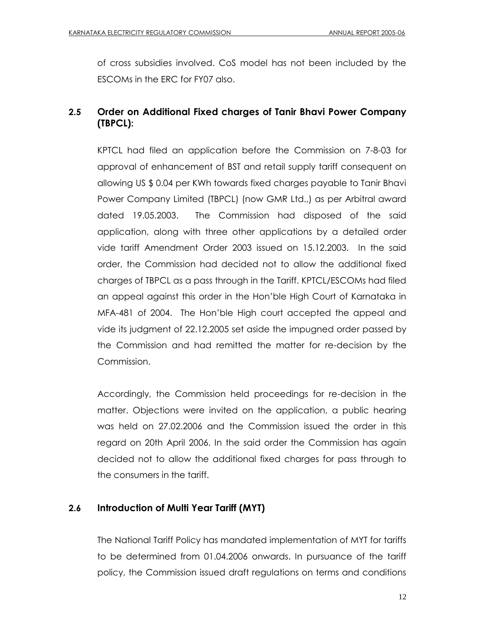of cross subsidies involved. CoS model has not been included by the ESCOMs in the ERC for FY07 also.

# **2.5 Order on Additional Fixed charges of Tanir Bhavi Power Company (TBPCL):**

KPTCL had filed an application before the Commission on 7-8-03 for approval of enhancement of BST and retail supply tariff consequent on allowing US \$ 0.04 per KWh towards fixed charges payable to Tanir Bhavi Power Company Limited (TBPCL) (now GMR Ltd.,) as per Arbitral award dated 19.05.2003. The Commission had disposed of the said application, along with three other applications by a detailed order vide tariff Amendment Order 2003 issued on 15.12.2003. In the said order, the Commission had decided not to allow the additional fixed charges of TBPCL as a pass through in the Tariff. KPTCL/ESCOMs had filed an appeal against this order in the Hon"ble High Court of Karnataka in MFA-481 of 2004. The Hon"ble High court accepted the appeal and vide its judgment of 22.12.2005 set aside the impugned order passed by the Commission and had remitted the matter for re-decision by the Commission.

Accordingly, the Commission held proceedings for re-decision in the matter. Objections were invited on the application, a public hearing was held on 27.02.2006 and the Commission issued the order in this regard on 20th April 2006. In the said order the Commission has again decided not to allow the additional fixed charges for pass through to the consumers in the tariff.

# **2.6 Introduction of Multi Year Tariff (MYT)**

The National Tariff Policy has mandated implementation of MYT for tariffs to be determined from 01.04.2006 onwards. In pursuance of the tariff policy, the Commission issued draft regulations on terms and conditions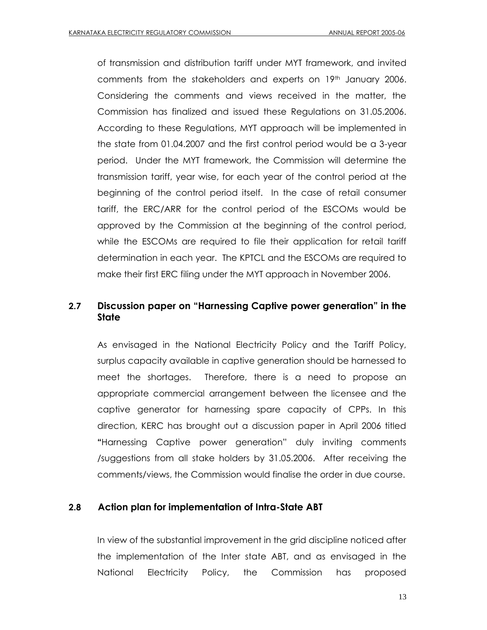of transmission and distribution tariff under MYT framework, and invited comments from the stakeholders and experts on 19<sup>th</sup> January 2006. Considering the comments and views received in the matter, the Commission has finalized and issued these Regulations on 31.05.2006. According to these Regulations, MYT approach will be implemented in the state from 01.04.2007 and the first control period would be a 3-year period. Under the MYT framework, the Commission will determine the transmission tariff, year wise, for each year of the control period at the beginning of the control period itself. In the case of retail consumer tariff, the ERC/ARR for the control period of the ESCOMs would be approved by the Commission at the beginning of the control period, while the ESCOMs are required to file their application for retail tariff determination in each year. The KPTCL and the ESCOMs are required to make their first ERC filing under the MYT approach in November 2006.

# **2.7 Discussion paper on "Harnessing Captive power generation" in the State**

As envisaged in the National Electricity Policy and the Tariff Policy, surplus capacity available in captive generation should be harnessed to meet the shortages. Therefore, there is a need to propose an appropriate commercial arrangement between the licensee and the captive generator for harnessing spare capacity of CPPs. In this direction, KERC has brought out a discussion paper in April 2006 titled **"**Harnessing Captive power generation" duly inviting comments /suggestions from all stake holders by 31.05.2006. After receiving the comments/views, the Commission would finalise the order in due course.

# **2.8 Action plan for implementation of Intra-State ABT**

In view of the substantial improvement in the grid discipline noticed after the implementation of the Inter state ABT, and as envisaged in the National Electricity Policy, the Commission has proposed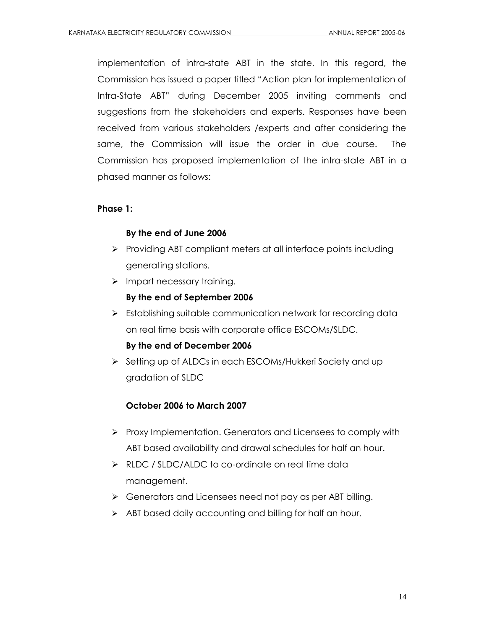implementation of intra-state ABT in the state. In this regard, the Commission has issued a paper titled "Action plan for implementation of Intra-State ABT" during December 2005 inviting comments and suggestions from the stakeholders and experts. Responses have been received from various stakeholders /experts and after considering the same, the Commission will issue the order in due course. The Commission has proposed implementation of the intra-state ABT in a phased manner as follows:

# **Phase 1:**

#### **By the end of June 2006**

- $\triangleright$  Providing ABT compliant meters at all interface points including generating stations.
- $\triangleright$  Impart necessary training.

# **By the end of September 2006**

Establishing suitable communication network for recording data on real time basis with corporate office ESCOMs/SLDC.

# **By the end of December 2006**

Setting up of ALDCs in each ESCOMs/Hukkeri Society and up gradation of SLDC

# **October 2006 to March 2007**

- $\triangleright$  Proxy Implementation. Generators and Licensees to comply with ABT based availability and drawal schedules for half an hour.
- ▶ RLDC / SLDC/ALDC to co-ordinate on real time data management.
- Senerators and Licensees need not pay as per ABT billing.
- ABT based daily accounting and billing for half an hour.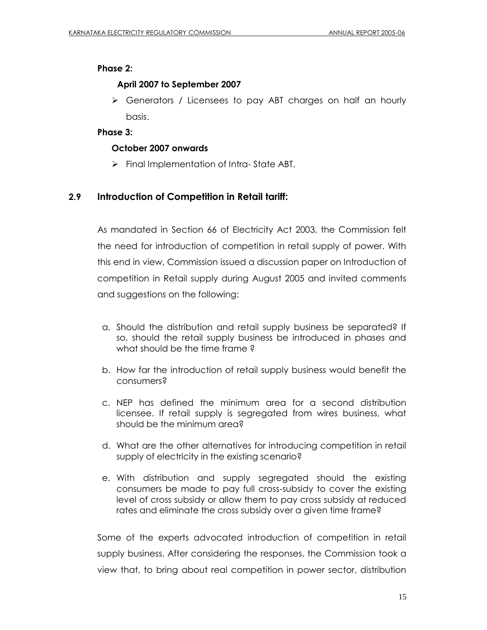#### **Phase 2:**

#### **April 2007 to September 2007**

 Generators / Licensees to pay ABT charges on half an hourly basis.

#### **Phase 3:**

#### **October 2007 onwards**

 $\triangleright$  Final Implementation of Intra-State ABT.

# **2.9 Introduction of Competition in Retail tariff:**

As mandated in Section 66 of Electricity Act 2003, the Commission felt the need for introduction of competition in retail supply of power. With this end in view, Commission issued a discussion paper on Introduction of competition in Retail supply during August 2005 and invited comments and suggestions on the following:

- a. Should the distribution and retail supply business be separated? If so, should the retail supply business be introduced in phases and what should be the time frame ?
- b. How far the introduction of retail supply business would benefit the consumers?
- c. NEP has defined the minimum area for a second distribution licensee. If retail supply is segregated from wires business, what should be the minimum area?
- d. What are the other alternatives for introducing competition in retail supply of electricity in the existing scenario?
- e. With distribution and supply segregated should the existing consumers be made to pay full cross-subsidy to cover the existing level of cross subsidy or allow them to pay cross subsidy at reduced rates and eliminate the cross subsidy over a given time frame?

Some of the experts advocated introduction of competition in retail supply business. After considering the responses, the Commission took a view that, to bring about real competition in power sector, distribution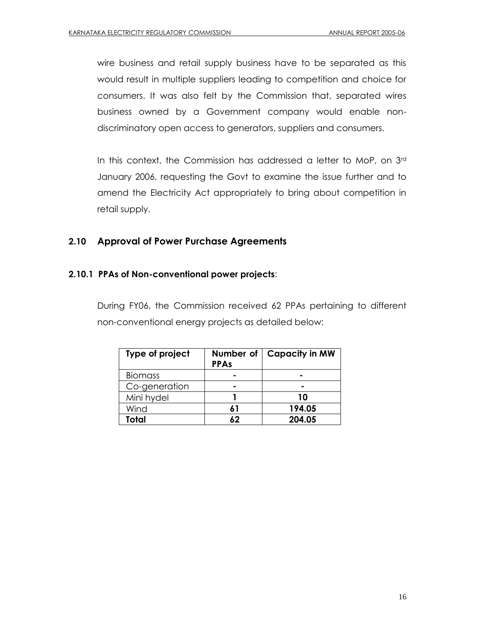wire business and retail supply business have to be separated as this would result in multiple suppliers leading to competition and choice for consumers. It was also felt by the Commission that, separated wires business owned by a Government company would enable nondiscriminatory open access to generators, suppliers and consumers.

In this context, the Commission has addressed a letter to MoP, on 3rd January 2006, requesting the Govt to examine the issue further and to amend the Electricity Act appropriately to bring about competition in retail supply.

# **2.10 Approval of Power Purchase Agreements**

#### **2.10.1 PPAs of Non-conventional power projects**:

During FY06, the Commission received 62 PPAs pertaining to different non-conventional energy projects as detailed below:

| Type of project | <b>PPAs</b> | Number of   Capacity in MW |
|-----------------|-------------|----------------------------|
| <b>Biomass</b>  |             |                            |
| Co-generation   |             |                            |
| Mini hydel      |             | 10                         |
| Wind            | 61          | 194.05                     |
| Total           | ムク          | 204.05                     |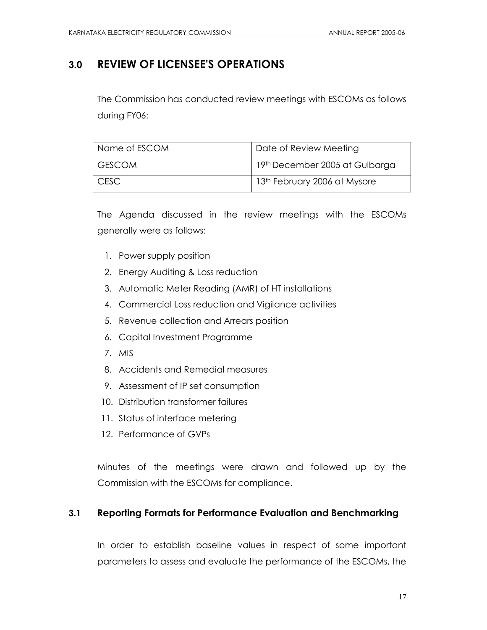# **3.0 REVIEW OF LICENSEE'S OPERATIONS**

The Commission has conducted review meetings with ESCOMs as follows during FY06:

| Name of ESCOM | Date of Review Meeting                   |
|---------------|------------------------------------------|
| <b>GESCOM</b> | 19th December 2005 at Gulbarga           |
| CFSC.         | 13 <sup>th</sup> February 2006 at Mysore |

The Agenda discussed in the review meetings with the ESCOMs generally were as follows:

- 1. Power supply position
- 2. Energy Auditing & Loss reduction
- 3. Automatic Meter Reading (AMR) of HT installations
- 4. Commercial Loss reduction and Vigilance activities
- 5. Revenue collection and Arrears position
- 6. Capital Investment Programme
- 7. MIS
- 8. Accidents and Remedial measures
- 9. Assessment of IP set consumption
- 10. Distribution transformer failures
- 11. Status of interface metering
- 12. Performance of GVPs

Minutes of the meetings were drawn and followed up by the Commission with the ESCOMs for compliance.

# **3.1 Reporting Formats for Performance Evaluation and Benchmarking**

In order to establish baseline values in respect of some important parameters to assess and evaluate the performance of the ESCOMs, the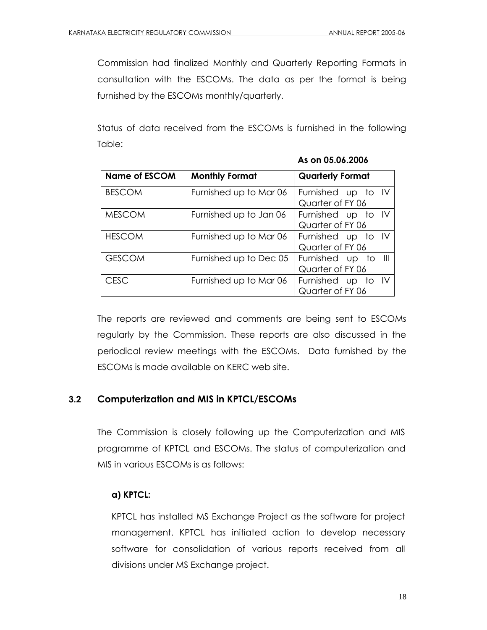Commission had finalized Monthly and Quarterly Reporting Formats in consultation with the ESCOMs. The data as per the format is being furnished by the ESCOMs monthly/quarterly.

Status of data received from the ESCOMs is furnished in the following Table:

| <b>Name of ESCOM</b> | <b>Monthly Format</b>  | <b>Quarterly Format</b>                 |
|----------------------|------------------------|-----------------------------------------|
| <b>BESCOM</b>        | Furnished up to Mar 06 | Furnished up to IV<br>Quarter of FY 06  |
| <b>MESCOM</b>        | Furnished up to Jan 06 | Furnished up to IV<br>Quarter of FY 06  |
| <b>HESCOM</b>        | Furnished up to Mar 06 | Furnished up to IV<br>Quarter of FY 06  |
| <b>GESCOM</b>        | Furnished up to Dec 05 | Furnished up to III<br>Quarter of FY 06 |
| <b>CESC</b>          | Furnished up to Mar 06 | Furnished up to IV<br>Quarter of FY 06  |

**As on 05.06.2006**

The reports are reviewed and comments are being sent to ESCOMs regularly by the Commission. These reports are also discussed in the periodical review meetings with the ESCOMs. Data furnished by the ESCOMs is made available on KERC web site.

# **3.2 Computerization and MIS in KPTCL/ESCOMs**

The Commission is closely following up the Computerization and MIS programme of KPTCL and ESCOMs. The status of computerization and MIS in various ESCOMs is as follows:

# **a) KPTCL:**

KPTCL has installed MS Exchange Project as the software for project management. KPTCL has initiated action to develop necessary software for consolidation of various reports received from all divisions under MS Exchange project.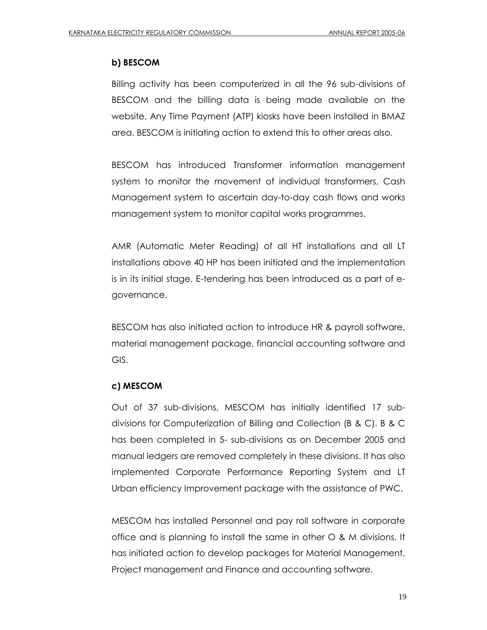#### **b) BESCOM**

Billing activity has been computerized in all the 96 sub-divisions of BESCOM and the billing data is being made available on the website. Any Time Payment (ATP) kiosks have been installed in BMAZ area. BESCOM is initiating action to extend this to other areas also.

BESCOM has introduced Transformer information management system to monitor the movement of individual transformers, Cash Management system to ascertain day-to-day cash flows and works management system to monitor capital works programmes.

AMR (Automatic Meter Reading) of all HT installations and all LT installations above 40 HP has been initiated and the implementation is in its initial stage. E-tendering has been introduced as a part of egovernance.

BESCOM has also initiated action to introduce HR & payroll software, material management package, financial accounting software and GIS.

#### **c) MESCOM**

Out of 37 sub-divisions, MESCOM has initially identified 17 subdivisions for Computerization of Billing and Collection (B & C). B & C has been completed in 5- sub-divisions as on December 2005 and manual ledgers are removed completely in these divisions. It has also implemented Corporate Performance Reporting System and LT Urban efficiency Improvement package with the assistance of PWC.

MESCOM has installed Personnel and pay roll software in corporate office and is planning to install the same in other O & M divisions. It has initiated action to develop packages for Material Management, Project management and Finance and accounting software.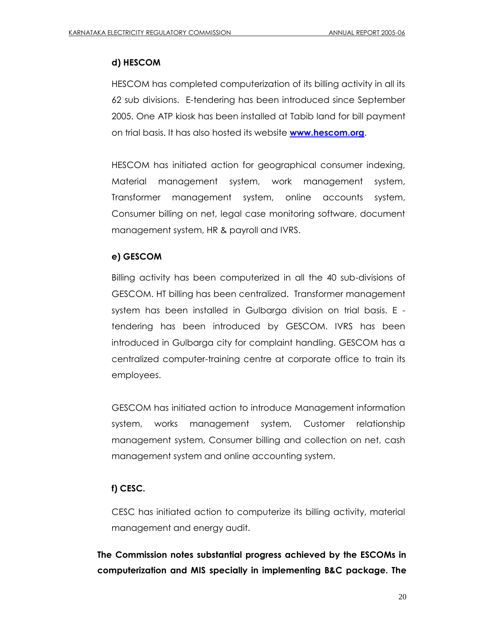#### **d) HESCOM**

HESCOM has completed computerization of its billing activity in all its 62 sub divisions. E-tendering has been introduced since September 2005. One ATP kiosk has been installed at Tabib land for bill payment on trial basis. It has also hosted its website **[www.hescom.org](http://www.hescom.org/)**.

HESCOM has initiated action for geographical consumer indexing, Material management system, work management system, Transformer management system, online accounts system, Consumer billing on net, legal case monitoring software, document management system, HR & payroll and IVRS.

# **e) GESCOM**

Billing activity has been computerized in all the 40 sub-divisions of GESCOM. HT billing has been centralized. Transformer management system has been installed in Gulbarga division on trial basis. E tendering has been introduced by GESCOM. IVRS has been introduced in Gulbarga city for complaint handling. GESCOM has a centralized computer-training centre at corporate office to train its employees.

GESCOM has initiated action to introduce Management information system, works management system, Customer relationship management system, Consumer billing and collection on net, cash management system and online accounting system.

# **f) CESC.**

CESC has initiated action to computerize its billing activity, material management and energy audit.

**The Commission notes substantial progress achieved by the ESCOMs in computerization and MIS specially in implementing B&C package. The**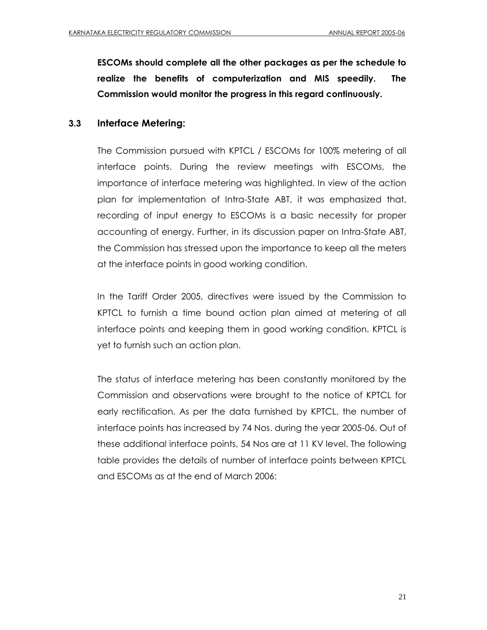**ESCOMs should complete all the other packages as per the schedule to realize the benefits of computerization and MIS speedily. The Commission would monitor the progress in this regard continuously.**

# **3.3 Interface Metering:**

The Commission pursued with KPTCL / ESCOMs for 100% metering of all interface points. During the review meetings with ESCOMs, the importance of interface metering was highlighted. In view of the action plan for implementation of Intra-State ABT, it was emphasized that, recording of input energy to ESCOMs is a basic necessity for proper accounting of energy. Further, in its discussion paper on Intra-State ABT, the Commission has stressed upon the importance to keep all the meters at the interface points in good working condition.

In the Tariff Order 2005, directives were issued by the Commission to KPTCL to furnish a time bound action plan aimed at metering of all interface points and keeping them in good working condition. KPTCL is yet to furnish such an action plan.

The status of interface metering has been constantly monitored by the Commission and observations were brought to the notice of KPTCL for early rectification. As per the data furnished by KPTCL, the number of interface points has increased by 74 Nos. during the year 2005-06. Out of these additional interface points, 54 Nos are at 11 KV level. The following table provides the details of number of interface points between KPTCL and ESCOMs as at the end of March 2006: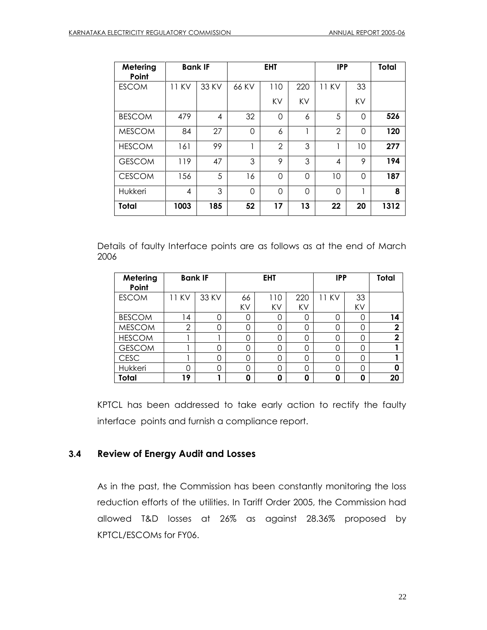| Metering<br>Point | <b>Bank IF</b> |                |          | <b>EHT</b>    |          | <b>IPP</b>     |          | Total |
|-------------------|----------------|----------------|----------|---------------|----------|----------------|----------|-------|
| <b>ESCOM</b>      | 11 KV          | 33 KV          | 66 KV    | 110           | 220      | 11 KV          | 33       |       |
|                   |                |                |          | KV            | KV       |                | KV       |       |
| <b>BESCOM</b>     | 479            | $\overline{4}$ | 32       | $\Omega$      | 6        | 5              | 0        | 526   |
| <b>MESCOM</b>     | 84             | 27             | 0        | 6             |          | $\overline{2}$ | 0        | 120   |
| <b>HESCOM</b>     | 161            | 99             | 1        | $\mathcal{P}$ | 3        | 1              | 10       | 277   |
| <b>GESCOM</b>     | 119            | 47             | 3        | 9             | 3        | 4              | 9        | 194   |
| <b>CESCOM</b>     | 156            | 5              | 16       | $\Omega$      | $\Omega$ | 10             | $\Omega$ | 187   |
| Hukkeri           | 4              | 3              | $\Omega$ | $\Omega$      | 0        | $\Omega$       | 1        | 8     |
| Total             | 1003           | 185            | 52       | 17            | 13       | 22             | 20       | 1312  |

Details of faulty Interface points are as follows as at the end of March 2006

| Metering<br>Point |                | <b>Bank IF</b> |    | <b>EHT</b> |     | <b>IPP</b> |    | Total       |
|-------------------|----------------|----------------|----|------------|-----|------------|----|-------------|
| <b>ESCOM</b>      | 11 KV          | 33 KV          | 66 | 110        | 220 | 11 KV      | 33 |             |
|                   |                |                | KV | KV         | KV  |            | KV |             |
| <b>BESCOM</b>     | 14             |                | 0  | C          | Ω   | Ω          | 0  | 14          |
| <b>MESCOM</b>     | $\overline{2}$ |                | Ω  | C          | ∩   | ი          | 0  | 2           |
| <b>HESCOM</b>     |                |                | Ω  | O          | O   | ი          | 0  | $\mathbf 2$ |
| <b>GESCOM</b>     |                |                | 0  | O          | ი   | ი          | 0  |             |
| <b>CESC</b>       |                | Ω              | 0  | C          | ი   | ი          | 0  |             |
| Hukkeri           |                |                | Ω  | O          | Ω   | ი          | 0  |             |
| Total             | 19             |                | Ω  | 0          | 0   | Ω          | 0  | 20          |

KPTCL has been addressed to take early action to rectify the faulty interface points and furnish a compliance report.

# **3.4 Review of Energy Audit and Losses**

As in the past, the Commission has been constantly monitoring the loss reduction efforts of the utilities. In Tariff Order 2005, the Commission had allowed T&D losses at 26% as against 28.36% proposed by KPTCL/ESCOMs for FY06.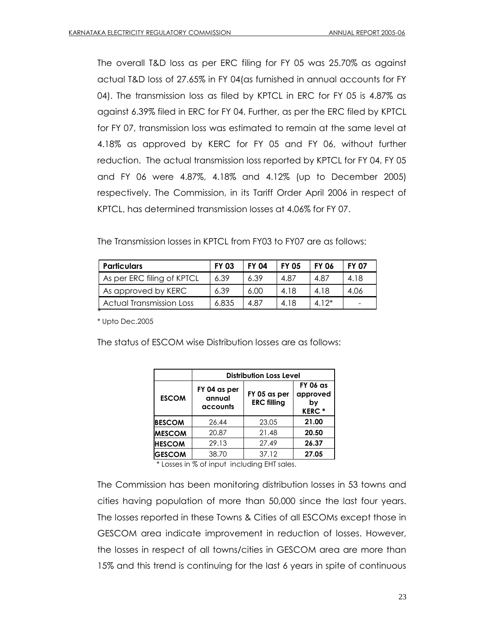The overall T&D loss as per ERC filing for FY 05 was 25.70% as against actual T&D loss of 27.65% in FY 04(as furnished in annual accounts for FY 04). The transmission loss as filed by KPTCL in ERC for FY 05 is 4.87% as against 6.39% filed in ERC for FY 04. Further, as per the ERC filed by KPTCL for FY 07, transmission loss was estimated to remain at the same level at 4.18% as approved by KERC for FY 05 and FY 06, without further reduction. The actual transmission loss reported by KPTCL for FY 04, FY 05 and FY 06 were 4.87%, 4.18% and 4.12% (up to December 2005) respectively. The Commission, in its Tariff Order April 2006 in respect of KPTCL, has determined transmission losses at 4.06% for FY 07.

The Transmission losses in KPTCL from FY03 to FY07 are as follows:

| <b>Particulars</b>              | <b>FY 03</b> | <b>FY 04</b> | <b>FY 05</b> | <b>FY 06</b> | <b>FY 07</b> |
|---------------------------------|--------------|--------------|--------------|--------------|--------------|
| As per ERC filing of KPTCL      | 6.39         | 6.39         | 4.87         | 4.87         | 4.18         |
| As approved by KERC             | 6.39         | 6.00         | 4.18         | 4.18         | 4.06         |
| <b>Actual Transmission Loss</b> | 6.835        | 4.87         | 4.18         | $412*$       |              |

\* Upto Dec.2005

The status of ESCOM wise Distribution losses are as follows:

|               | <b>Distribution Loss Level</b>     |                                    |                                                   |  |  |  |
|---------------|------------------------------------|------------------------------------|---------------------------------------------------|--|--|--|
| <b>ESCOM</b>  | FY 04 as per<br>annual<br>accounts | FY 05 as per<br><b>ERC filling</b> | <b>FY 06 as</b><br>approved<br>by<br><b>KERC*</b> |  |  |  |
| <b>BESCOM</b> | 26.44                              | 23.05                              | 21.00                                             |  |  |  |
| <b>MESCOM</b> | 20.87                              | 21.48                              | 20.50                                             |  |  |  |
| <b>HESCOM</b> | 29.13                              | 27.49                              | 26.37                                             |  |  |  |
| <b>GESCOM</b> | 38.70                              | 37.12                              | 27.05                                             |  |  |  |

\* Losses in % of input including EHT sales.

The Commission has been monitoring distribution losses in 53 towns and cities having population of more than 50,000 since the last four years. The losses reported in these Towns & Cities of all ESCOMs except those in GESCOM area indicate improvement in reduction of losses. However, the losses in respect of all towns/cities in GESCOM area are more than 15% and this trend is continuing for the last 6 years in spite of continuous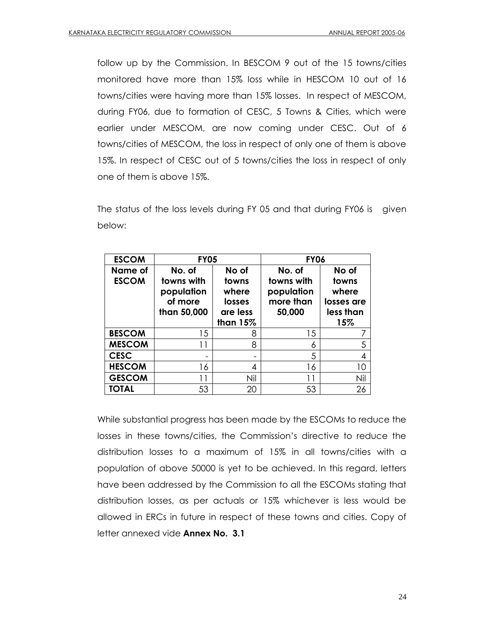follow up by the Commission. In BESCOM 9 out of the 15 towns/cities monitored have more than 15% loss while in HESCOM 10 out of 16 towns/cities were having more than 15% losses. In respect of MESCOM, during FY06, due to formation of CESC, 5 Towns & Cities, which were earlier under MESCOM, are now coming under CESC. Out of 6 towns/cities of MESCOM, the loss in respect of only one of them is above 15%. In respect of CESC out of 5 towns/cities the loss in respect of only one of them is above 15%.

The status of the loss levels during FY 05 and that during FY06 is given below:

| <b>ESCOM</b>            | <b>FY05</b>                                                  |                                                           | <b>FY06</b>                                               |                                                           |
|-------------------------|--------------------------------------------------------------|-----------------------------------------------------------|-----------------------------------------------------------|-----------------------------------------------------------|
| Name of<br><b>ESCOM</b> | No. of<br>towns with<br>population<br>of more<br>than 50,000 | No of<br>towns<br>where<br>losses<br>are less<br>than 15% | No. of<br>towns with<br>population<br>more than<br>50,000 | No of<br>towns<br>where<br>losses are<br>less than<br>15% |
| <b>BESCOM</b>           | 15                                                           | 8                                                         | 15                                                        |                                                           |
| <b>MESCOM</b>           |                                                              | 8                                                         | 6                                                         | 5                                                         |
| <b>CESC</b>             |                                                              | -                                                         | 5                                                         | 4                                                         |
| <b>HESCOM</b>           | 16                                                           | 4                                                         | 16                                                        | 10                                                        |
| <b>GESCOM</b>           |                                                              | Nil                                                       |                                                           | Nil                                                       |
| <b>TOTAL</b>            | 53                                                           | 20                                                        | 53                                                        | 26                                                        |

While substantial progress has been made by the ESCOMs to reduce the losses in these towns/cities, the Commission"s directive to reduce the distribution losses to a maximum of 15% in all towns/cities with a population of above 50000 is yet to be achieved. In this regard, letters have been addressed by the Commission to all the ESCOMs stating that distribution losses, as per actuals or 15% whichever is less would be allowed in ERCs in future in respect of these towns and cities. Copy of letter annexed vide **Annex No. 3.1**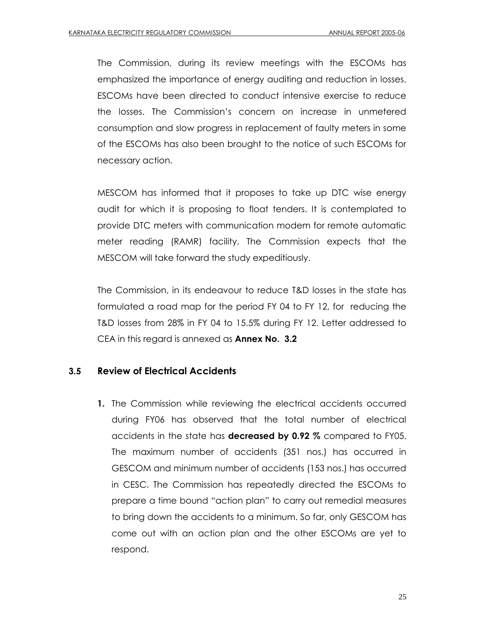The Commission, during its review meetings with the ESCOMs has emphasized the importance of energy auditing and reduction in losses. ESCOMs have been directed to conduct intensive exercise to reduce the losses. The Commission"s concern on increase in unmetered consumption and slow progress in replacement of faulty meters in some of the ESCOMs has also been brought to the notice of such ESCOMs for necessary action.

MESCOM has informed that it proposes to take up DTC wise energy audit for which it is proposing to float tenders. It is contemplated to provide DTC meters with communication modem for remote automatic meter reading (RAMR) facility. The Commission expects that the MESCOM will take forward the study expeditiously.

The Commission, in its endeavour to reduce T&D losses in the state has formulated a road map for the period FY 04 to FY 12, for reducing the T&D losses from 28% in FY 04 to 15.5% during FY 12. Letter addressed to CEA in this regard is annexed as **Annex No. 3.2**

# **3.5 Review of Electrical Accidents**

**1.** The Commission while reviewing the electrical accidents occurred during FY06 has observed that the total number of electrical accidents in the state has **decreased by 0.92 %** compared to FY05. The maximum number of accidents (351 nos.) has occurred in GESCOM and minimum number of accidents (153 nos.) has occurred in CESC. The Commission has repeatedly directed the ESCOMs to prepare a time bound "action plan" to carry out remedial measures to bring down the accidents to a minimum. So far, only GESCOM has come out with an action plan and the other ESCOMs are yet to respond.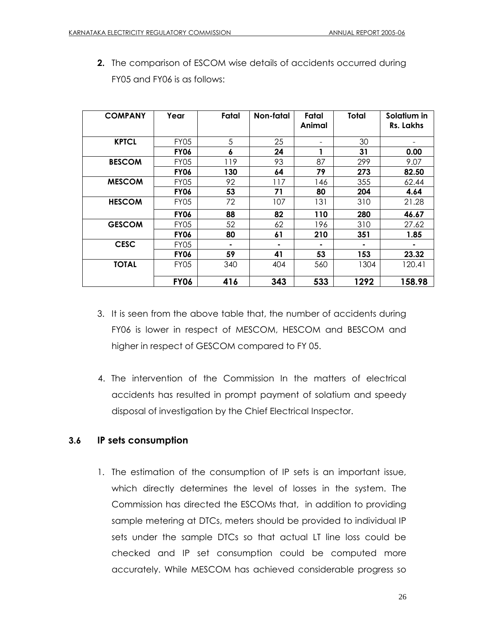| <b>COMPANY</b> | Year        | Fatal | Non-fatal | Fatal<br>Animal | Total | Solatium in<br>Rs. Lakhs |
|----------------|-------------|-------|-----------|-----------------|-------|--------------------------|
| <b>KPTCL</b>   | FY05        | 5     | 25        |                 | 30    |                          |
|                | <b>FY06</b> | 6     | 24        |                 | 31    | 0.00                     |
| <b>BESCOM</b>  | <b>FY05</b> | 119   | 93        | 87              | 299   | 9.07                     |
|                | <b>FY06</b> | 130   | 64        | 79              | 273   | 82.50                    |
| <b>MESCOM</b>  | <b>FY05</b> | 92    | 117       | 146             | 355   | 62.44                    |
|                | <b>FY06</b> | 53    | 71        | 80              | 204   | 4.64                     |
| <b>HESCOM</b>  | FY05        | 72    | 107       | 131             | 310   | 21.28                    |
|                | <b>FY06</b> | 88    | 82        | 110             | 280   | 46.67                    |
| <b>GESCOM</b>  | FY05        | 52    | 62        | 196             | 310   | 27.62                    |
|                | <b>FY06</b> | 80    | 61        | 210             | 351   | 1.85                     |
| <b>CESC</b>    | FY05        |       |           |                 |       | ۰                        |
|                | <b>FY06</b> | 59    | 41        | 53              | 153   | 23.32                    |
| <b>TOTAL</b>   | FY05        | 340   | 404       | 560             | 1304  | 120.41                   |
|                | <b>FY06</b> | 416   | 343       | 533             | 1292  | 158.98                   |

**2.** The comparison of ESCOM wise details of accidents occurred during FY05 and FY06 is as follows:

- 3. It is seen from the above table that, the number of accidents during FY06 is lower in respect of MESCOM, HESCOM and BESCOM and higher in respect of GESCOM compared to FY 05.
- 4. The intervention of the Commission In the matters of electrical accidents has resulted in prompt payment of solatium and speedy disposal of investigation by the Chief Electrical Inspector.

# **3.6 IP sets consumption**

1. The estimation of the consumption of IP sets is an important issue, which directly determines the level of losses in the system. The Commission has directed the ESCOMs that, in addition to providing sample metering at DTCs, meters should be provided to individual IP sets under the sample DTCs so that actual LT line loss could be checked and IP set consumption could be computed more accurately. While MESCOM has achieved considerable progress so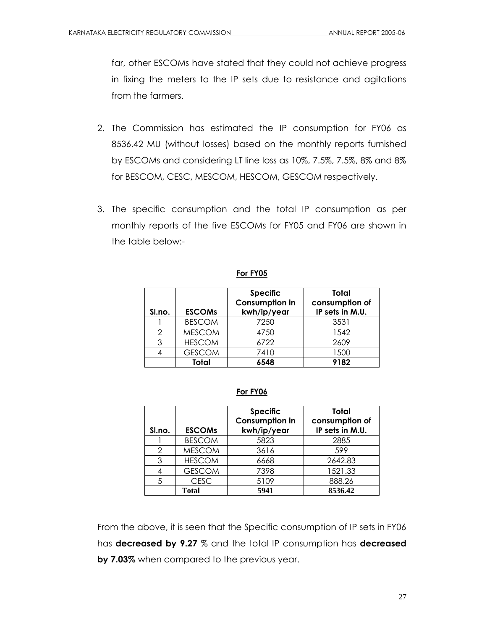far, other ESCOMs have stated that they could not achieve progress in fixing the meters to the IP sets due to resistance and agitations from the farmers.

- 2. The Commission has estimated the IP consumption for FY06 as 8536.42 MU (without losses) based on the monthly reports furnished by ESCOMs and considering LT line loss as 10%, 7.5%, 7.5%, 8% and 8% for BESCOM, CESC, MESCOM, HESCOM, GESCOM respectively.
- 3. The specific consumption and the total IP consumption as per monthly reports of the five ESCOMs for FY05 and FY06 are shown in the table below:-

#### **For FY05**

| Sl.no. | <b>ESCOMS</b> | <b>Specific</b><br><b>Consumption in</b><br>kwh/ip/year | Total<br>consumption of<br>IP sets in M.U. |
|--------|---------------|---------------------------------------------------------|--------------------------------------------|
|        | <b>BESCOM</b> | 7250                                                    | 3531                                       |
| っ      | <b>MESCOM</b> | 4750                                                    | 1542                                       |
|        | <b>HESCOM</b> | 6722                                                    | 2609                                       |
|        | <b>GESCOM</b> | 7410                                                    | 1500                                       |
|        | Total         | 6548                                                    | 9182                                       |

#### **For FY06**

| Sl.no. | <b>ESCOMs</b> | <b>Specific</b><br><b>Consumption in</b><br>kwh/ip/year | Total<br>consumption of<br>IP sets in M.U. |
|--------|---------------|---------------------------------------------------------|--------------------------------------------|
|        | <b>BESCOM</b> | 5823                                                    | 2885                                       |
| っ      | <b>MESCOM</b> | 3616                                                    | 599                                        |
| 3      | <b>HESCOM</b> | 6668                                                    | 2642.83                                    |
|        | <b>GESCOM</b> | 7398                                                    | 1521.33                                    |
|        | <b>CESC</b>   | 5109                                                    | 888.26                                     |
|        | <b>Total</b>  | 5941                                                    | 8536.42                                    |

From the above, it is seen that the Specific consumption of IP sets in FY06 has **decreased by 9.27** % and the total IP consumption has **decreased by 7.03%** when compared to the previous year.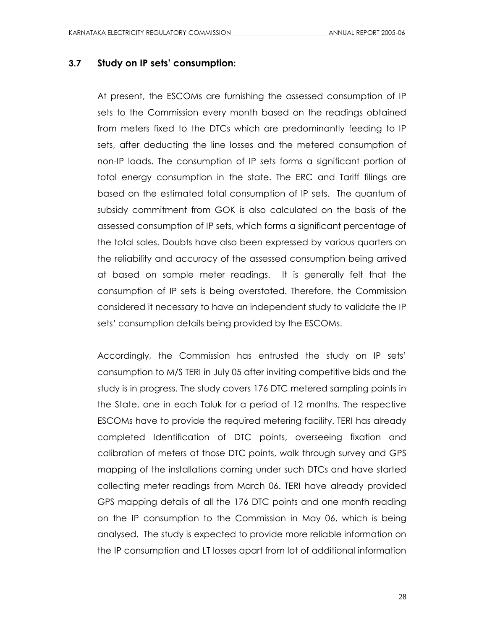#### **3.7 Study on IP sets" consumption:**

At present, the ESCOMs are furnishing the assessed consumption of IP sets to the Commission every month based on the readings obtained from meters fixed to the DTCs which are predominantly feeding to IP sets, after deducting the line losses and the metered consumption of non-IP loads. The consumption of IP sets forms a significant portion of total energy consumption in the state. The ERC and Tariff filings are based on the estimated total consumption of IP sets. The quantum of subsidy commitment from GOK is also calculated on the basis of the assessed consumption of IP sets, which forms a significant percentage of the total sales. Doubts have also been expressed by various quarters on the reliability and accuracy of the assessed consumption being arrived at based on sample meter readings. It is generally felt that the consumption of IP sets is being overstated. Therefore, the Commission considered it necessary to have an independent study to validate the IP sets" consumption details being provided by the ESCOMs.

 Accordingly, the Commission has entrusted the study on IP sets" consumption to M/S TERI in July 05 after inviting competitive bids and the study is in progress. The study covers 176 DTC metered sampling points in the State, one in each Taluk for a period of 12 months. The respective ESCOMs have to provide the required metering facility. TERI has already completed Identification of DTC points, overseeing fixation and calibration of meters at those DTC points, walk through survey and GPS mapping of the installations coming under such DTCs and have started collecting meter readings from March 06. TERI have already provided GPS mapping details of all the 176 DTC points and one month reading on the IP consumption to the Commission in May 06, which is being analysed. The study is expected to provide more reliable information on the IP consumption and LT losses apart from lot of additional information

28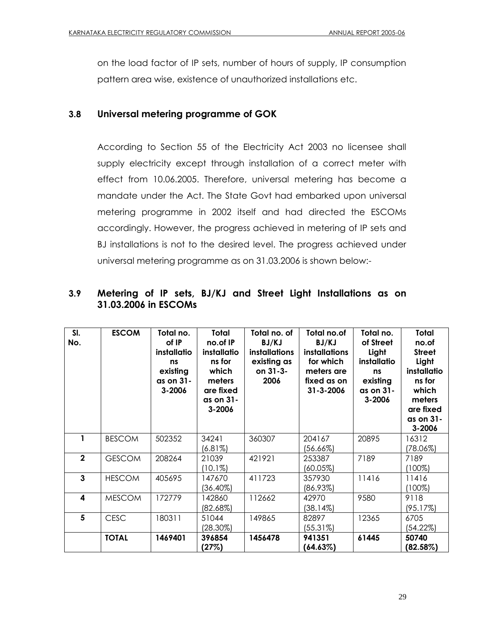on the load factor of IP sets, number of hours of supply, IP consumption pattern area wise, existence of unauthorized installations etc.

# **3.8 Universal metering programme of GOK**

According to Section 55 of the Electricity Act 2003 no licensee shall supply electricity except through installation of a correct meter with effect from 10.06.2005. Therefore, universal metering has become a mandate under the Act. The State Govt had embarked upon universal metering programme in 2002 itself and had directed the ESCOMs accordingly. However, the progress achieved in metering of IP sets and BJ installations is not to the desired level. The progress achieved under universal metering programme as on 31.03.2006 is shown below:-

#### **3.9 Metering of IP sets, BJ/KJ and Street Light Installations as on 31.03.2006 in ESCOMs**

| SI.<br>No.              | <b>ESCOM</b>  | Total no.<br>of IP<br>installatio<br>ns<br>existing<br>as on 31-<br>3-2006 | Total<br>no.of IP<br>installatio<br>ns for<br>which<br>meters<br>are fixed<br>as on 31-<br>3-2006 | Total no. of<br>BJ/KJ<br><b>installations</b><br>existing as<br>on 31-3-<br>2006 | Total no.of<br>BJ/KJ<br><i>installations</i><br>for which<br>meters are<br>fixed as on<br>$31 - 3 - 2006$ | Total no.<br>of Street<br>Light<br>installatio<br>ns<br>existing<br>as on 31-<br>3-2006 | <b>Total</b><br>no.of<br><b>Street</b><br>Light<br>installatio<br>ns for<br>which<br>meters<br>are fixed<br>as on 31-<br>3-2006 |
|-------------------------|---------------|----------------------------------------------------------------------------|---------------------------------------------------------------------------------------------------|----------------------------------------------------------------------------------|-----------------------------------------------------------------------------------------------------------|-----------------------------------------------------------------------------------------|---------------------------------------------------------------------------------------------------------------------------------|
| 1                       | <b>BESCOM</b> | 502352                                                                     | 34241<br>$(6.81\%)$                                                                               | 360307                                                                           | 204167<br>(56.66%)                                                                                        | 20895                                                                                   | 16312<br>(78.06%)                                                                                                               |
| $\mathbf{2}$            | <b>GESCOM</b> | 208264                                                                     | 21039<br>$(10.1\%)$                                                                               | 421921                                                                           | 253387<br>(60.05%)                                                                                        | 7189                                                                                    | 7189<br>$100\%$                                                                                                                 |
| $\mathbf{3}$            | <b>HESCOM</b> | 405695                                                                     | 147670<br>(36.40%)                                                                                | 411723                                                                           | 357930<br>$(86.93\%)$                                                                                     | 11416                                                                                   | 11416<br>$100\%$                                                                                                                |
| $\overline{\mathbf{4}}$ | <b>MESCOM</b> | 172779                                                                     | 142860<br>(82.68%)                                                                                | 112662                                                                           | 42970<br>(38.14%)                                                                                         | 9580                                                                                    | 9118<br>(95.17%)                                                                                                                |
| 5                       | <b>CESC</b>   | 180311                                                                     | 51044<br>$(28.30\%)$                                                                              | 149865                                                                           | 82897<br>(55.31%)                                                                                         | 12365                                                                                   | 6705<br>(54.22%)                                                                                                                |
|                         | <b>TOTAL</b>  | 1469401                                                                    | 396854<br>(27%)                                                                                   | 1456478                                                                          | 941351<br>(64.63%)                                                                                        | 61445                                                                                   | 50740<br>(82.58%)                                                                                                               |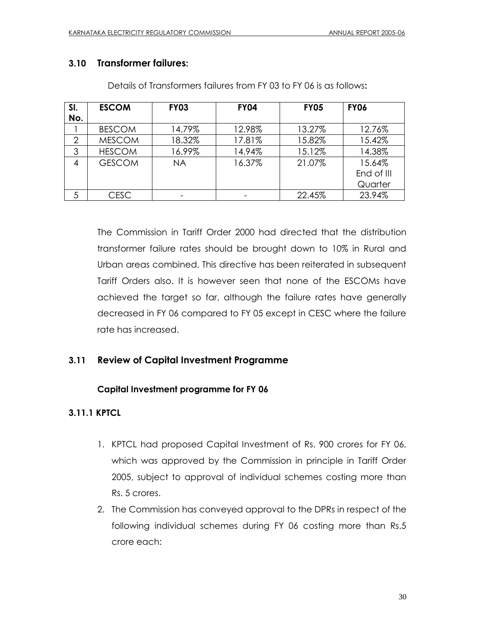# **3.10 Transformer failures:**

| SI.<br>No.     | <b>ESCOM</b>  | <b>FY03</b> | <b>FY04</b> | <b>FY05</b> | <b>FY06</b> |
|----------------|---------------|-------------|-------------|-------------|-------------|
|                | <b>BESCOM</b> | 14.79%      | 12.98%      | 13.27%      | 12.76%      |
| $\overline{2}$ | <b>MESCOM</b> | 18.32%      | 17.81%      | 15.82%      | 15.42%      |
| 3              | <b>HESCOM</b> | 16.99%      | 14.94%      | 15.12%      | 14.38%      |
| 4              | <b>GESCOM</b> | <b>NA</b>   | 16.37%      | 21.07%      | 15.64%      |
|                |               |             |             |             | End of III  |
|                |               |             |             |             | Quarter     |
| 5              | <b>CESC</b>   |             |             | 22.45%      | 23.94%      |

Details of Transformers failures from FY 03 to FY 06 is as follows**:**

The Commission in Tariff Order 2000 had directed that the distribution transformer failure rates should be brought down to 10% in Rural and Urban areas combined. This directive has been reiterated in subsequent Tariff Orders also. It is however seen that none of the ESCOMs have achieved the target so far, although the failure rates have generally decreased in FY 06 compared to FY 05 except in CESC where the failure rate has increased.

# **3.11 Review of Capital Investment Programme**

# **Capital Investment programme for FY 06**

# **3.11.1 KPTCL**

- 1. KPTCL had proposed Capital Investment of Rs. 900 crores for FY 06, which was approved by the Commission in principle in Tariff Order 2005, subject to approval of individual schemes costing more than Rs. 5 crores.
- 2. The Commission has conveyed approval to the DPRs in respect of the following individual schemes during FY 06 costing more than Rs.5 crore each: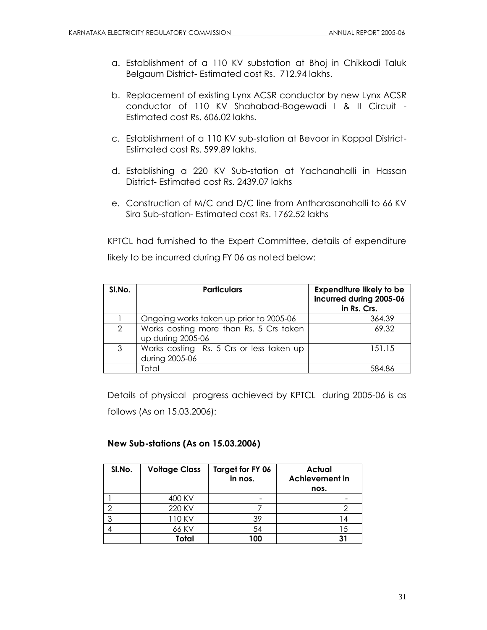- a. Establishment of a 110 KV substation at Bhoj in Chikkodi Taluk Belgaum District- Estimated cost Rs. 712.94 lakhs.
- b. Replacement of existing Lynx ACSR conductor by new Lynx ACSR conductor of 110 KV Shahabad-Bagewadi I & II Circuit - Estimated cost Rs. 606.02 lakhs.
- c. Establishment of a 110 KV sub-station at Bevoor in Koppal District-Estimated cost Rs. 599.89 lakhs.
- d. Establishing a 220 KV Sub-station at Yachanahalli in Hassan District- Estimated cost Rs. 2439.07 lakhs
- e. Construction of M/C and D/C line from Antharasanahalli to 66 KV Sira Sub-station- Estimated cost Rs. 1762.52 lakhs

KPTCL had furnished to the Expert Committee, details of expenditure likely to be incurred during FY 06 as noted below:

| SI.No.        | <b>Particulars</b>                                           | <b>Expenditure likely to be</b><br>incurred during 2005-06<br>in Rs. Crs. |
|---------------|--------------------------------------------------------------|---------------------------------------------------------------------------|
|               | Ongoing works taken up prior to 2005-06                      | 364.39                                                                    |
| $\mathcal{P}$ | Works costing more than Rs. 5 Crs taken<br>up during 2005-06 | 69.32                                                                     |
| 3             | Works costing Rs. 5 Crs or less taken up<br>during 2005-06   | 151.15                                                                    |
|               | Total                                                        | 584.86                                                                    |

Details of physical progress achieved by KPTCL during 2005-06 is as follows (As on 15.03.2006):

# **New Sub-stations (As on 15.03.2006)**

| SI.No. | <b>Voltage Class</b> | Target for FY 06<br>in nos. | <b>Actual</b><br><b>Achievement in</b><br>nos. |
|--------|----------------------|-----------------------------|------------------------------------------------|
|        | 400 KV               |                             |                                                |
|        | 220 KV               |                             |                                                |
| ◠      | 110 KV               | 39                          |                                                |
|        | 66 KV                | 54                          |                                                |
|        | Total                | 100                         |                                                |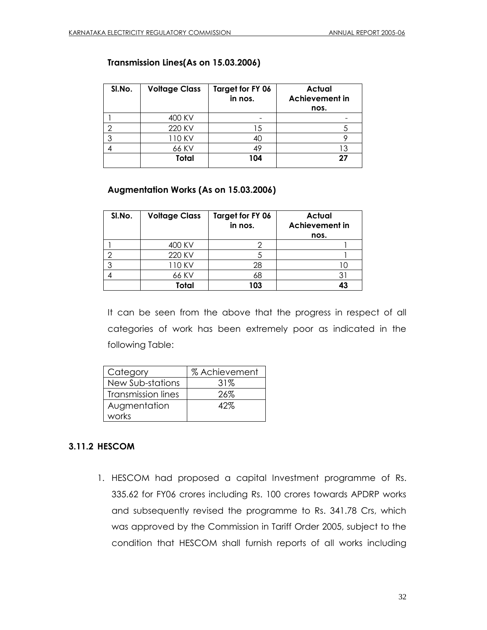| SI.No. | <b>Voltage Class</b> | Target for FY 06<br>in nos. | <b>Actual</b><br><b>Achievement in</b><br>nos. |
|--------|----------------------|-----------------------------|------------------------------------------------|
|        | 400 KV               |                             |                                                |
|        | 220 KV               | .5                          |                                                |
|        | 110 KV               | 40                          |                                                |
|        | 66 KV                | 49                          |                                                |
|        | Total                | 104                         | 27                                             |

#### **Transmission Lines(As on 15.03.2006)**

#### **Augmentation Works (As on 15.03.2006)**

| SI.No. | <b>Voltage Class</b> | Target for FY 06<br>in nos. | Actual<br><b>Achievement in</b><br>nos. |
|--------|----------------------|-----------------------------|-----------------------------------------|
|        | 400 KV               |                             |                                         |
|        | 220 KV               |                             |                                         |
|        | 110 KV               | 28                          |                                         |
|        | 66 KV                | 68                          |                                         |
|        | Total                | 103                         | 43                                      |

It can be seen from the above that the progress in respect of all categories of work has been extremely poor as indicated in the following Table:

| Category                  | % Achievement |
|---------------------------|---------------|
| New Sub-stations          | 31%           |
| <b>Transmission lines</b> | 26%           |
| Augmentation              | 42%           |
| works                     |               |

#### **3.11.2 HESCOM**

1. HESCOM had proposed a capital Investment programme of Rs. 335.62 for FY06 crores including Rs. 100 crores towards APDRP works and subsequently revised the programme to Rs. 341.78 Crs, which was approved by the Commission in Tariff Order 2005, subject to the condition that HESCOM shall furnish reports of all works including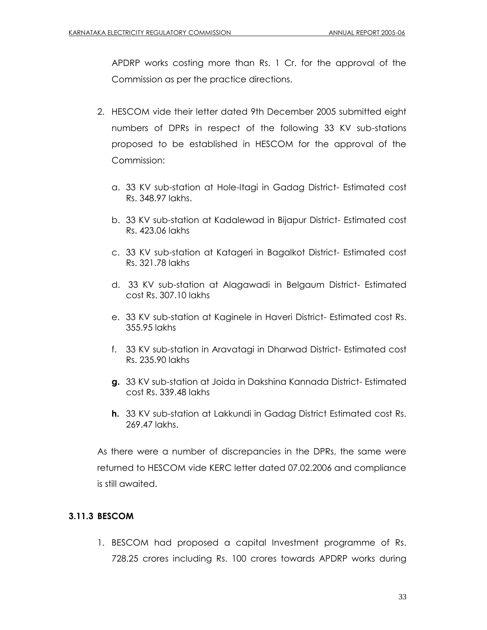APDRP works costing more than Rs. 1 Cr. for the approval of the Commission as per the practice directions.

- 2. HESCOM vide their letter dated 9th December 2005 submitted eight numbers of DPRs in respect of the following 33 KV sub-stations proposed to be established in HESCOM for the approval of the Commission:
	- a. 33 KV sub-station at Hole-Itagi in Gadag District- Estimated cost Rs. 348.97 lakhs.
	- b. 33 KV sub-station at Kadalewad in Bijapur District- Estimated cost Rs. 423.06 lakhs
	- c. 33 KV sub-station at Katageri in Bagalkot District- Estimated cost Rs. 321.78 lakhs
	- d. 33 KV sub-station at Alagawadi in Belgaum District- Estimated cost Rs. 307.10 lakhs
	- e. 33 KV sub-station at Kaginele in Haveri District- Estimated cost Rs. 355.95 lakhs
	- f. 33 KV sub-station in Aravatagi in Dharwad District- Estimated cost Rs. 235.90 lakhs
	- **g.** 33 KV sub-station at Joida in Dakshina Kannada District- Estimated cost Rs. 339.48 lakhs
	- **h.** 33 KV sub-station at Lakkundi in Gadag District Estimated cost Rs. 269.47 lakhs.

As there were a number of discrepancies in the DPRs, the same were returned to HESCOM vide KERC letter dated 07.02.2006 and compliance is still awaited.

# **3.11.3 BESCOM**

1. BESCOM had proposed a capital Investment programme of Rs. 728.25 crores including Rs. 100 crores towards APDRP works during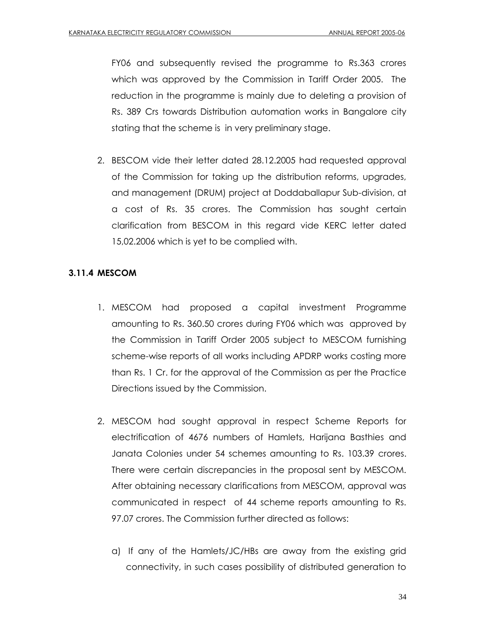FY06 and subsequently revised the programme to Rs.363 crores which was approved by the Commission in Tariff Order 2005. The reduction in the programme is mainly due to deleting a provision of Rs. 389 Crs towards Distribution automation works in Bangalore city stating that the scheme is in very preliminary stage.

2. BESCOM vide their letter dated 28.12.2005 had requested approval of the Commission for taking up the distribution reforms, upgrades, and management (DRUM) project at Doddaballapur Sub-division, at a cost of Rs. 35 crores. The Commission has sought certain clarification from BESCOM in this regard vide KERC letter dated 15,02.2006 which is yet to be complied with.

# **3.11.4 MESCOM**

- 1. MESCOM had proposed a capital investment Programme amounting to Rs. 360.50 crores during FY06 which was approved by the Commission in Tariff Order 2005 subject to MESCOM furnishing scheme-wise reports of all works including APDRP works costing more than Rs. 1 Cr. for the approval of the Commission as per the Practice Directions issued by the Commission.
- 2. MESCOM had sought approval in respect Scheme Reports for electrification of 4676 numbers of Hamlets, Harijana Basthies and Janata Colonies under 54 schemes amounting to Rs. 103.39 crores. There were certain discrepancies in the proposal sent by MESCOM. After obtaining necessary clarifications from MESCOM, approval was communicated in respect of 44 scheme reports amounting to Rs. 97.07 crores. The Commission further directed as follows:
	- a) If any of the Hamlets/JC/HBs are away from the existing grid connectivity, in such cases possibility of distributed generation to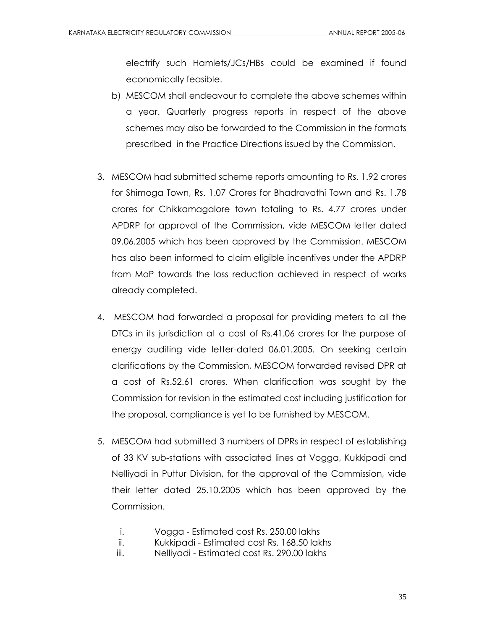electrify such Hamlets/JCs/HBs could be examined if found economically feasible.

- b) MESCOM shall endeavour to complete the above schemes within a year. Quarterly progress reports in respect of the above schemes may also be forwarded to the Commission in the formats prescribed in the Practice Directions issued by the Commission.
- 3. MESCOM had submitted scheme reports amounting to Rs. 1.92 crores for Shimoga Town, Rs. 1.07 Crores for Bhadravathi Town and Rs. 1.78 crores for Chikkamagalore town totaling to Rs. 4.77 crores under APDRP for approval of the Commission, vide MESCOM letter dated 09.06.2005 which has been approved by the Commission. MESCOM has also been informed to claim eligible incentives under the APDRP from MoP towards the loss reduction achieved in respect of works already completed.
- 4. MESCOM had forwarded a proposal for providing meters to all the DTCs in its jurisdiction at a cost of Rs.41.06 crores for the purpose of energy auditing vide letter-dated 06.01.2005. On seeking certain clarifications by the Commission, MESCOM forwarded revised DPR at a cost of Rs.52.61 crores. When clarification was sought by the Commission for revision in the estimated cost including justification for the proposal, compliance is yet to be furnished by MESCOM.
- 5. MESCOM had submitted 3 numbers of DPRs in respect of establishing of 33 KV sub-stations with associated lines at Vogga, Kukkipadi and Nelliyadi in Puttur Division, for the approval of the Commission, vide their letter dated 25.10.2005 which has been approved by the Commission.
	- i. Vogga Estimated cost Rs. 250.00 lakhs
	- ii. Kukkipadi Estimated cost Rs. 168.50 lakhs
	- iii. Nelliyadi Estimated cost Rs. 290.00 lakhs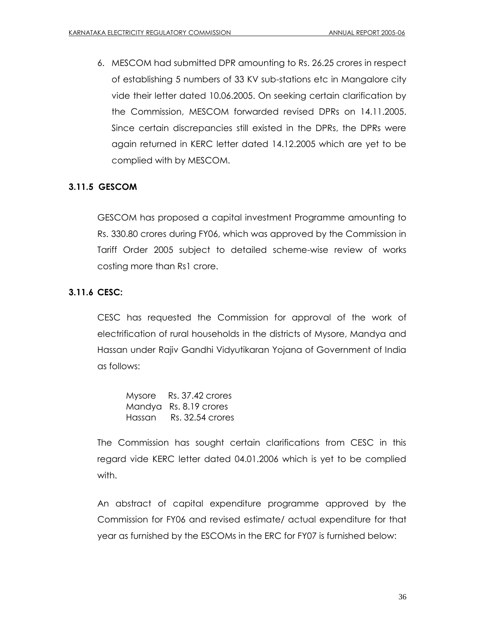6. MESCOM had submitted DPR amounting to Rs. 26.25 crores in respect of establishing 5 numbers of 33 KV sub-stations etc in Mangalore city vide their letter dated 10.06.2005. On seeking certain clarification by the Commission, MESCOM forwarded revised DPRs on 14.11.2005. Since certain discrepancies still existed in the DPRs, the DPRs were again returned in KERC letter dated 14.12.2005 which are yet to be complied with by MESCOM.

# **3.11.5 GESCOM**

GESCOM has proposed a capital investment Programme amounting to Rs. 330.80 crores during FY06, which was approved by the Commission in Tariff Order 2005 subject to detailed scheme-wise review of works costing more than Rs1 crore.

# **3.11.6 CESC:**

CESC has requested the Commission for approval of the work of electrification of rural households in the districts of Mysore, Mandya and Hassan under Rajiv Gandhi Vidyutikaran Yojana of Government of India as follows:

| <b>Mysore</b> | Rs. 37.42 crores       |
|---------------|------------------------|
|               | Mandya Rs. 8.19 crores |
| Hassan        | Rs. 32.54 crores       |

The Commission has sought certain clarifications from CESC in this regard vide KERC letter dated 04.01.2006 which is yet to be complied with.

An abstract of capital expenditure programme approved by the Commission for FY06 and revised estimate/ actual expenditure for that year as furnished by the ESCOMs in the ERC for FY07 is furnished below: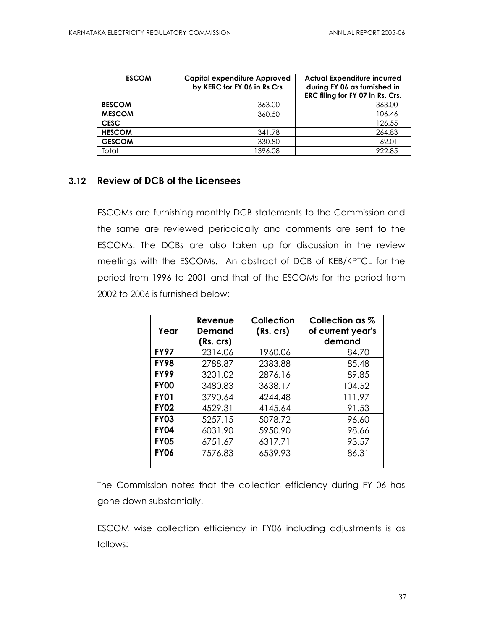| <b>ESCOM</b>  | <b>Capital expenditure Approved</b><br>by KERC for FY 06 in Rs Crs | <b>Actual Expenditure incurred</b><br>during FY 06 as furnished in<br>ERC filing for FY 07 in Rs. Crs. |
|---------------|--------------------------------------------------------------------|--------------------------------------------------------------------------------------------------------|
| <b>BESCOM</b> | 363.00                                                             | 363.00                                                                                                 |
| <b>MESCOM</b> | 360.50                                                             | 106.46                                                                                                 |
| <b>CESC</b>   |                                                                    | 126.55                                                                                                 |
| <b>HESCOM</b> | 341.78                                                             | 264.83                                                                                                 |
| <b>GESCOM</b> | 330.80                                                             | 62.01                                                                                                  |
| Total         | 1396.08                                                            | 922.85                                                                                                 |

## **3.12 Review of DCB of the Licensees**

ESCOMs are furnishing monthly DCB statements to the Commission and the same are reviewed periodically and comments are sent to the ESCOMs. The DCBs are also taken up for discussion in the review meetings with the ESCOMs. An abstract of DCB of KEB/KPTCL for the period from 1996 to 2001 and that of the ESCOMs for the period from 2002 to 2006 is furnished below:

| Year        | Revenue<br>Demand<br>(Rs. crs) | <b>Collection</b><br>(Rs. crs) | Collection as %<br>of current year's<br>demand |
|-------------|--------------------------------|--------------------------------|------------------------------------------------|
| <b>FY97</b> | 2314.06                        | 1960.06                        | 84.70                                          |
| <b>FY98</b> | 2788.87                        | 2383.88                        | 85.48                                          |
| <b>FY99</b> | 3201.02                        | 2876.16                        | 89.85                                          |
| <b>FY00</b> | 3480.83                        | 3638.17                        | 104.52                                         |
| <b>FY01</b> | 3790.64                        | 4244.48                        | 111.97                                         |
| <b>FY02</b> | 4529.31                        | 4145.64                        | 91.53                                          |
| <b>FY03</b> | 5257.15                        | 5078.72                        | 96.60                                          |
| <b>FY04</b> | 6031.90                        | 5950.90                        | 98.66                                          |
| <b>FY05</b> | 6751.67                        | 6317.71                        | 93.57                                          |
| <b>FY06</b> | 7576.83                        | 6539.93                        | 86.31                                          |

The Commission notes that the collection efficiency during FY 06 has gone down substantially.

ESCOM wise collection efficiency in FY06 including adjustments is as follows: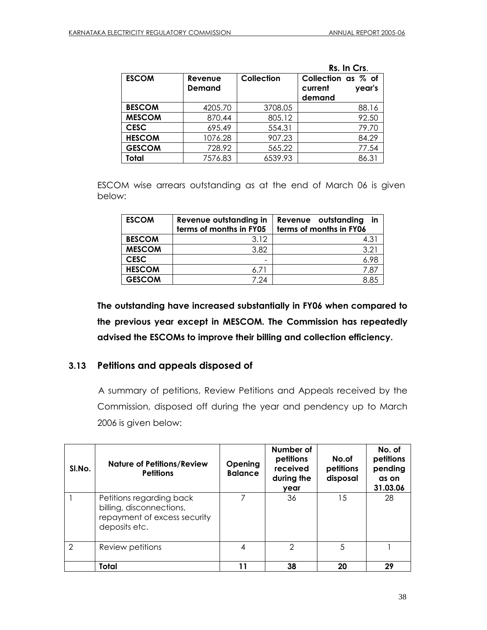|               |                   |            | Rs. In Crs.                                       |
|---------------|-------------------|------------|---------------------------------------------------|
| <b>ESCOM</b>  | Revenue<br>Demand | Collection | Collection as % of<br>year's<br>current<br>demand |
| <b>BESCOM</b> | 4205.70           | 3708.05    | 88.16                                             |
| <b>MESCOM</b> | 870.44            | 805.12     | 92.50                                             |
| <b>CESC</b>   | 695.49            | 554.31     | 79.70                                             |
| <b>HESCOM</b> | 1076.28           | 907.23     | 84.29                                             |
| <b>GESCOM</b> | 728.92            | 565.22     | 77.54                                             |
| Total         | 7576.83           | 6539.93    | 86.31                                             |

ESCOM wise arrears outstanding as at the end of March 06 is given below:

| <b>ESCOM</b>  | Revenue outstanding in<br>terms of months in FY05 | Revenue outstanding<br>in<br>terms of months in FY06 |
|---------------|---------------------------------------------------|------------------------------------------------------|
| <b>BESCOM</b> | 3.12                                              | 4.31                                                 |
| <b>MESCOM</b> | 3.82                                              | 3.21                                                 |
| <b>CESC</b>   | $\overline{\phantom{0}}$                          | 6.98                                                 |
| <b>HESCOM</b> | 6.71                                              | 7.87                                                 |
| <b>GESCOM</b> | 7.24                                              | 8.85                                                 |

**The outstanding have increased substantially in FY06 when compared to the previous year except in MESCOM. The Commission has repeatedly advised the ESCOMs to improve their billing and collection efficiency.**

## **3.13 Petitions and appeals disposed of**

A summary of petitions, Review Petitions and Appeals received by the Commission, disposed off during the year and pendency up to March 2006 is given below:

| SI.No.        | <b>Nature of Petitions/Review</b><br><b>Petitions</b>                                                 | Opening<br><b>Balance</b> | Number of<br>petitions<br>received<br>during the<br>vear | No.of<br>petitions<br>disposal | No. of<br>petitions<br>pending<br>as on<br>31.03.06 |
|---------------|-------------------------------------------------------------------------------------------------------|---------------------------|----------------------------------------------------------|--------------------------------|-----------------------------------------------------|
|               | Petitions regarding back<br>billing, disconnections,<br>repayment of excess security<br>deposits etc. |                           | 36                                                       | 15                             | 28                                                  |
| $\mathcal{P}$ | Review petitions                                                                                      | 4                         | $\mathcal{P}$                                            | 5                              |                                                     |
|               | Total                                                                                                 | 11                        | 38                                                       | 20                             | 29                                                  |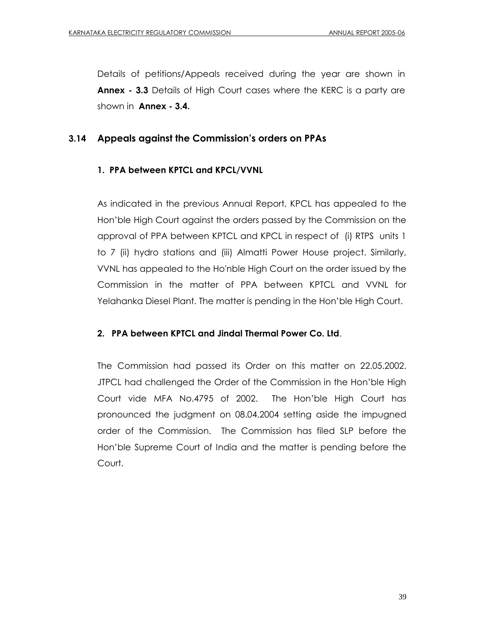Details of petitions/Appeals received during the year are shown in **Annex - 3.3** Details of High Court cases where the KERC is a party are shown in **Annex - 3.4.**

# **3.14 Appeals against the Commission"s orders on PPAs**

# **1. PPA between KPTCL and KPCL/VVNL**

As indicated in the previous Annual Report, KPCL has appealed to the Hon"ble High Court against the orders passed by the Commission on the approval of PPA between KPTCL and KPCL in respect of (i) RTPS units 1 to 7 (ii) hydro stations and (iii) Almatti Power House project. Similarly, VVNL has appealed to the Ho'nble High Court on the order issued by the Commission in the matter of PPA between KPTCL and VVNL for Yelahanka Diesel Plant. The matter is pending in the Hon"ble High Court.

## **2. PPA between KPTCL and Jindal Thermal Power Co. Ltd**.

The Commission had passed its Order on this matter on 22.05.2002. JTPCL had challenged the Order of the Commission in the Hon"ble High Court vide MFA No.4795 of 2002. The Hon"ble High Court has pronounced the judgment on 08.04.2004 setting aside the impugned order of the Commission. The Commission has filed SLP before the Hon"ble Supreme Court of India and the matter is pending before the Court.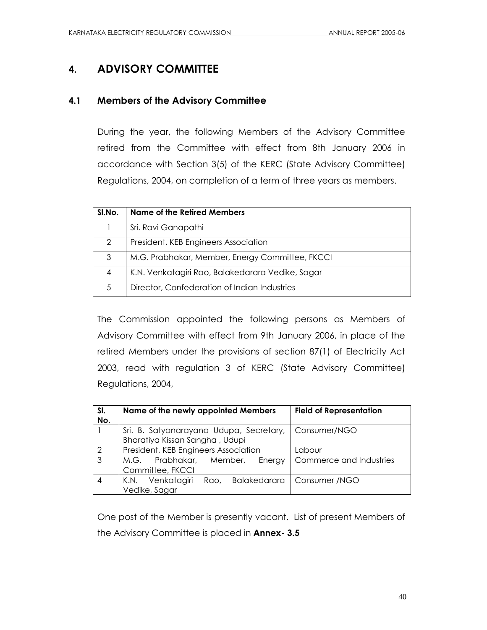# **4. ADVISORY COMMITTEE**

# **4.1 Members of the Advisory Committee**

During the year, the following Members of the Advisory Committee retired from the Committee with effect from 8th January 2006 in accordance with Section 3(5) of the KERC (State Advisory Committee) Regulations, 2004, on completion of a term of three years as members.

| SI.No.        | Name of the Retired Members                      |
|---------------|--------------------------------------------------|
|               | Sri. Ravi Ganapathi                              |
| $\mathcal{P}$ | President, KEB Engineers Association             |
| 3             | M.G. Prabhakar, Member, Energy Committee, FKCCI  |
| 4             | K.N. Venkatagiri Rao, Balakedarara Vedike, Sagar |
| 5             | Director, Confederation of Indian Industries     |

The Commission appointed the following persons as Members of Advisory Committee with effect from 9th January 2006, in place of the retired Members under the provisions of section 87(1) of Electricity Act 2003, read with regulation 3 of KERC (State Advisory Committee) Regulations, 2004,

| SI.<br>No.    | Name of the newly appointed Members                                       | <b>Field of Representation</b> |
|---------------|---------------------------------------------------------------------------|--------------------------------|
|               | Sri. B. Satyanarayana Udupa, Secretary,<br>Bharatiya Kissan Sangha, Udupi | Consumer/NGO                   |
| $\mathcal{L}$ | President, KEB Engineers Association                                      | Labour                         |
| 3             | M.G. Prabhakar, Member,<br>Energy<br>Committee, FKCCI                     | Commerce and Industries        |
|               | K.N. Venkatagiri<br>Rao,<br>Vedike, Sagar                                 | Balakedarara   Consumer / NGO  |

One post of the Member is presently vacant. List of present Members of the Advisory Committee is placed in **Annex- 3.5**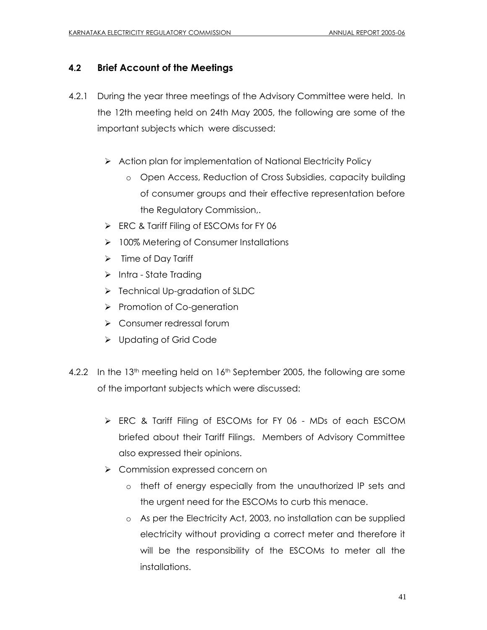# **4.2 Brief Account of the Meetings**

- 4.2.1 During the year three meetings of the Advisory Committee were held. In the 12th meeting held on 24th May 2005, the following are some of the important subjects which were discussed:
	- $\triangleright$  Action plan for implementation of National Electricity Policy
		- o Open Access, Reduction of Cross Subsidies, capacity building of consumer groups and their effective representation before the Regulatory Commission,.
	- ERC & Tariff Filing of ESCOMs for FY 06
	- ▶ 100% Metering of Consumer Installations
	- $\triangleright$  Time of Day Tariff
	- $\triangleright$  Intra State Trading
	- $\triangleright$  Technical Up-gradation of SLDC
	- $\triangleright$  Promotion of Co-generation
	- Consumer redressal forum
	- Updating of Grid Code
- 4.2.2 In the 13<sup>th</sup> meeting held on  $16<sup>th</sup>$  September 2005, the following are some of the important subjects which were discussed:
	- ERC & Tariff Filing of ESCOMs for FY 06 MDs of each ESCOM briefed about their Tariff Filings. Members of Advisory Committee also expressed their opinions.
	- ▶ Commission expressed concern on
		- o theft of energy especially from the unauthorized IP sets and the urgent need for the ESCOMs to curb this menace.
		- o As per the Electricity Act, 2003, no installation can be supplied electricity without providing a correct meter and therefore it will be the responsibility of the ESCOMs to meter all the installations.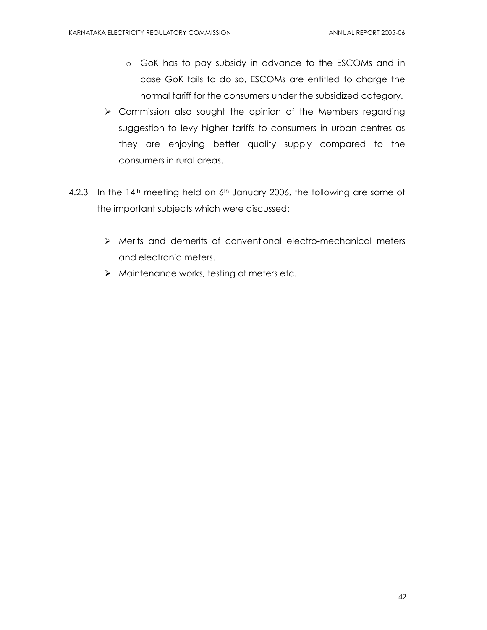- o GoK has to pay subsidy in advance to the ESCOMs and in case GoK fails to do so, ESCOMs are entitled to charge the normal tariff for the consumers under the subsidized category.
- Commission also sought the opinion of the Members regarding suggestion to levy higher tariffs to consumers in urban centres as they are enjoying better quality supply compared to the consumers in rural areas.
- 4.2.3 In the  $14<sup>th</sup>$  meeting held on  $6<sup>th</sup>$  January 2006, the following are some of the important subjects which were discussed:
	- Merits and demerits of conventional electro-mechanical meters and electronic meters.
	- $\triangleright$  Maintenance works, testing of meters etc.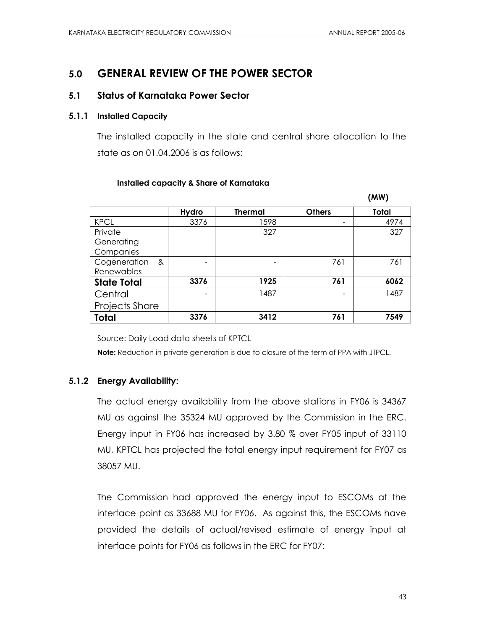# **5.0 GENERAL REVIEW OF THE POWER SECTOR**

# **5.1 Status of Karnataka Power Sector**

## **5.1.1 Installed Capacity**

The installed capacity in the state and central share allocation to the state as on 01.04.2006 is as follows:

#### **Installed capacity & Share of Karnataka**

|                       |       |                |               | (MW)  |
|-----------------------|-------|----------------|---------------|-------|
|                       | Hydro | <b>Thermal</b> | <b>Others</b> | Total |
| <b>KPCL</b>           | 3376  | 1598           |               | 4974  |
| Private               |       | 327            |               | 327   |
| Generating            |       |                |               |       |
| Companies             |       |                |               |       |
| Cogeneration<br>&     |       |                | 761           | 761   |
| Renewables            |       |                |               |       |
| <b>State Total</b>    | 3376  | 1925           | 761           | 6062  |
| Central               |       | 1487           |               | 1487  |
| <b>Projects Share</b> |       |                |               |       |
| Total                 | 3376  | 3412           | 761           | 7549  |

Source: Daily Load data sheets of KPTCL

**Note:** Reduction in private generation is due to closure of the term of PPA with JTPCL.

## **5.1.2 Energy Availability:**

The actual energy availability from the above stations in FY06 is 34367 MU as against the 35324 MU approved by the Commission in the ERC. Energy input in FY06 has increased by 3.80 % over FY05 input of 33110 MU, KPTCL has projected the total energy input requirement for FY07 as 38057 MU.

The Commission had approved the energy input to ESCOMs at the interface point as 33688 MU for FY06. As against this, the ESCOMs have provided the details of actual/revised estimate of energy input at interface points for FY06 as follows in the ERC for FY07: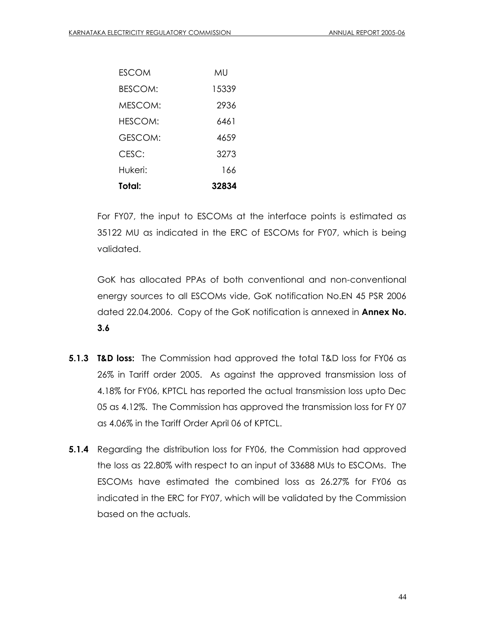| Total:         | 32834 |
|----------------|-------|
| Hukeri:        | 166   |
| CESC:          | 3273  |
| GESCOM:        | 46.59 |
| HESCOM:        | 6461  |
| MESCOM:        | 2936  |
| <b>BESCOM:</b> | 15339 |
| <b>ESCOM</b>   | MU    |

For FY07, the input to ESCOMs at the interface points is estimated as 35122 MU as indicated in the ERC of ESCOMs for FY07, which is being validated.

GoK has allocated PPAs of both conventional and non-conventional energy sources to all ESCOMs vide, GoK notification No.EN 45 PSR 2006 dated 22.04.2006. Copy of the GoK notification is annexed in **Annex No. 3.6**

- **5.1.3 T&D loss:** The Commission had approved the total T&D loss for FY06 as 26% in Tariff order 2005. As against the approved transmission loss of 4.18% for FY06, KPTCL has reported the actual transmission loss upto Dec 05 as 4.12%. The Commission has approved the transmission loss for FY 07 as 4.06% in the Tariff Order April 06 of KPTCL.
- **5.1.4** Regarding the distribution loss for FY06, the Commission had approved the loss as 22.80% with respect to an input of 33688 MUs to ESCOMs. The ESCOMs have estimated the combined loss as 26.27% for FY06 as indicated in the ERC for FY07, which will be validated by the Commission based on the actuals.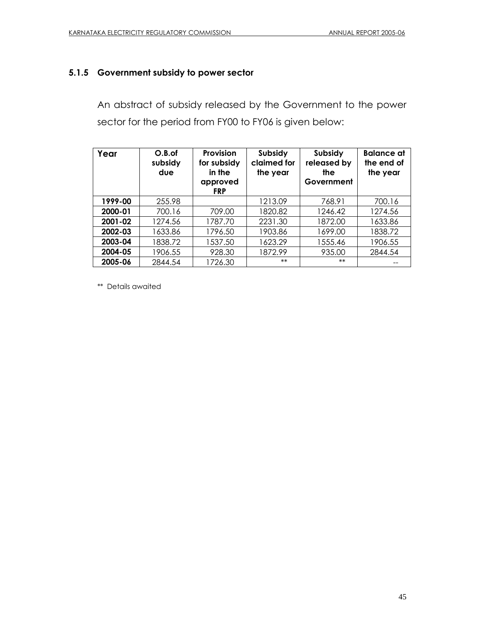# **5.1.5 Government subsidy to power sector**

An abstract of subsidy released by the Government to the power sector for the period from FY00 to FY06 is given below:

| Year    | $O.B.$ of<br>subsidy<br>due | Provision<br>for subsidy<br>in the<br>approved<br><b>FRP</b> | Subsidy<br>claimed for<br>the year | Subsidy<br>released by<br>the<br>Government | <b>Balance</b> at<br>the end of<br>the year |
|---------|-----------------------------|--------------------------------------------------------------|------------------------------------|---------------------------------------------|---------------------------------------------|
| 1999-00 | 255.98                      |                                                              | 1213.09                            | 768.91                                      | 700.16                                      |
| 2000-01 | 700.16                      | 709.00                                                       | 1820.82                            | 1246.42                                     | 1274.56                                     |
| 2001-02 | 1274.56                     | 1787.70                                                      | 2231.30                            | 1872.00                                     | 1633.86                                     |
| 2002-03 | 1633.86                     | 1796.50                                                      | 1903.86                            | 1699.00                                     | 1838.72                                     |
| 2003-04 | 1838.72                     | 1537.50                                                      | 1623.29                            | 1555.46                                     | 1906.55                                     |
| 2004-05 | 1906.55                     | 928.30                                                       | 1872.99                            | 935.00                                      | 2844.54                                     |
| 2005-06 | 2844.54                     | 1726.30                                                      | $**$                               | $***$                                       |                                             |

\*\* Details awaited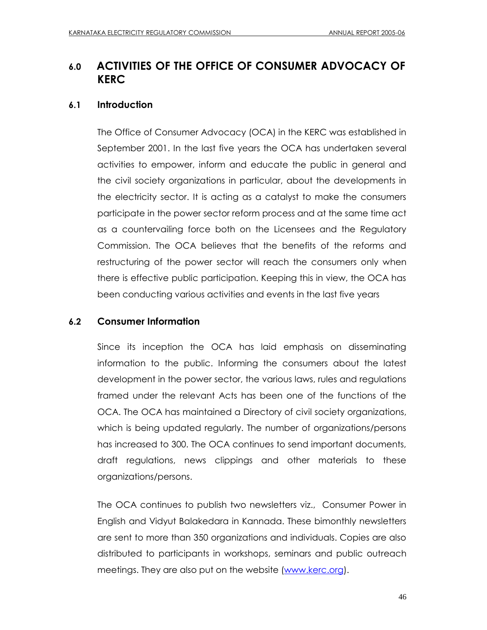# **6.0 ACTIVITIES OF THE OFFICE OF CONSUMER ADVOCACY OF KERC**

## **6.1 Introduction**

The Office of Consumer Advocacy (OCA) in the KERC was established in September 2001. In the last five years the OCA has undertaken several activities to empower, inform and educate the public in general and the civil society organizations in particular, about the developments in the electricity sector. It is acting as a catalyst to make the consumers participate in the power sector reform process and at the same time act as a countervailing force both on the Licensees and the Regulatory Commission. The OCA believes that the benefits of the reforms and restructuring of the power sector will reach the consumers only when there is effective public participation. Keeping this in view, the OCA has been conducting various activities and events in the last five years

## **6.2 Consumer Information**

Since its inception the OCA has laid emphasis on disseminating information to the public. Informing the consumers about the latest development in the power sector, the various laws, rules and regulations framed under the relevant Acts has been one of the functions of the OCA. The OCA has maintained a Directory of civil society organizations, which is being updated regularly. The number of organizations/persons has increased to 300. The OCA continues to send important documents, draft regulations, news clippings and other materials to these organizations/persons.

The OCA continues to publish two newsletters viz., Consumer Power in English and Vidyut Balakedara in Kannada. These bimonthly newsletters are sent to more than 350 organizations and individuals. Copies are also distributed to participants in workshops, seminars and public outreach meetings. They are also put on the website [\(www.kerc.org\)](http://www.kerc.org/).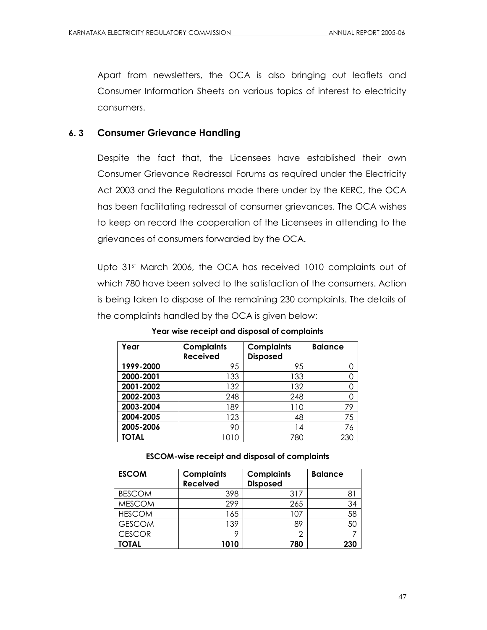Apart from newsletters, the OCA is also bringing out leaflets and Consumer Information Sheets on various topics of interest to electricity consumers.

# **6. 3 Consumer Grievance Handling**

Despite the fact that, the Licensees have established their own Consumer Grievance Redressal Forums as required under the Electricity Act 2003 and the Regulations made there under by the KERC, the OCA has been facilitating redressal of consumer grievances. The OCA wishes to keep on record the cooperation of the Licensees in attending to the grievances of consumers forwarded by the OCA.

Upto 31st March 2006, the OCA has received 1010 complaints out of which 780 have been solved to the satisfaction of the consumers. Action is being taken to dispose of the remaining 230 complaints. The details of the complaints handled by the OCA is given below:

| Year         | <b>Complaints</b><br><b>Received</b> | <b>Complaints</b><br><b>Disposed</b> | <b>Balance</b> |
|--------------|--------------------------------------|--------------------------------------|----------------|
|              |                                      |                                      |                |
| 1999-2000    | 95                                   | 95                                   | 0              |
| 2000-2001    | 133                                  | 133                                  | 0              |
| 2001-2002    | 132                                  | 132                                  | 0              |
| 2002-2003    | 248                                  | 248                                  | 0              |
| 2003-2004    | 189                                  | 110                                  | 79             |
| 2004-2005    | 123                                  | 48                                   | 75             |
| 2005-2006    | 90                                   | 14                                   | 76             |
| <b>TOTAL</b> | 1010                                 | 780                                  | 23C            |

**Year wise receipt and disposal of complaints**

#### **ESCOM-wise receipt and disposal of complaints**

| <b>ESCOM</b>  | <b>Complaints</b><br><b>Received</b> | <b>Complaints</b><br><b>Disposed</b> | <b>Balance</b> |
|---------------|--------------------------------------|--------------------------------------|----------------|
| <b>BESCOM</b> | 398                                  | 317                                  |                |
| <b>MESCOM</b> | 299                                  | 265                                  | 34             |
| <b>HESCOM</b> | 165                                  | 107                                  | 58             |
| <b>GESCOM</b> | 139                                  | 89                                   | 50             |
| <b>CESCOR</b> | റ                                    | ∩                                    |                |
| TOTAL         | 1010                                 | 780                                  | 230            |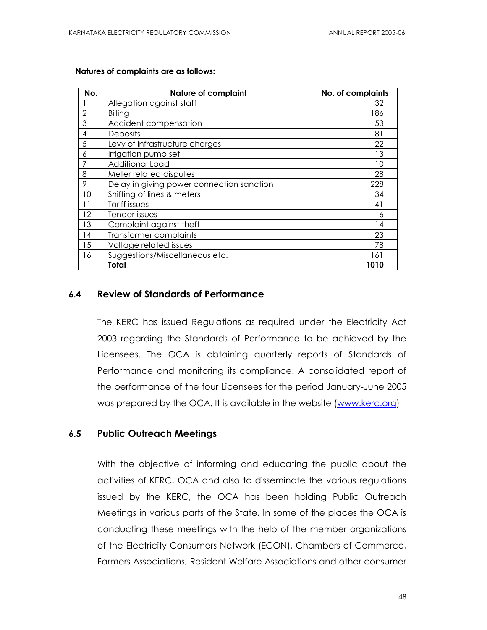| No.            | <b>Nature of complaint</b>                | No. of complaints |
|----------------|-------------------------------------------|-------------------|
|                | Allegation against staff                  | 32                |
| $\overline{2}$ | Billing                                   | 186               |
| 3              | Accident compensation                     | 53                |
| 4              | Deposits                                  | 81                |
| 5              | Levy of infrastructure charges            | 22                |
| 6              | Irrigation pump set                       | 13                |
|                | Additional Load                           | 10                |
| 8              | Meter related disputes                    | 28                |
| 9              | Delay in giving power connection sanction | 228               |
| 10             | Shifting of lines & meters                | 34                |
| 11             | Tariff issues                             | 41                |
| 12             | Tender issues                             | 6                 |
| 13             | Complaint against theft                   | 14                |
| 14             | Transformer complaints                    | 23                |
| 15             | Voltage related issues                    | 78                |
| 16             | Suggestions/Miscellaneous etc.            | 161               |
|                | Total                                     | 1010              |

#### **Natures of complaints are as follows:**

## **6.4 Review of Standards of Performance**

The KERC has issued Regulations as required under the Electricity Act 2003 regarding the Standards of Performance to be achieved by the Licensees. The OCA is obtaining quarterly reports of Standards of Performance and monitoring its compliance. A consolidated report of the performance of the four Licensees for the period January-June 2005 was prepared by the OCA. It is available in the website [\(www.kerc.org\)](http://www.kerc.org/)

#### **6.5 Public Outreach Meetings**

With the objective of informing and educating the public about the activities of KERC, OCA and also to disseminate the various regulations issued by the KERC, the OCA has been holding Public Outreach Meetings in various parts of the State. In some of the places the OCA is conducting these meetings with the help of the member organizations of the Electricity Consumers Network (ECON), Chambers of Commerce, Farmers Associations, Resident Welfare Associations and other consumer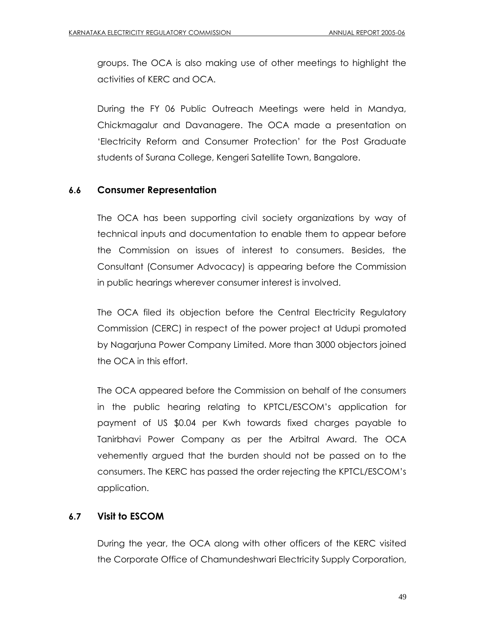groups. The OCA is also making use of other meetings to highlight the activities of KERC and OCA.

During the FY 06 Public Outreach Meetings were held in Mandya, Chickmagalur and Davanagere. The OCA made a presentation on "Electricity Reform and Consumer Protection" for the Post Graduate students of Surana College, Kengeri Satellite Town, Bangalore.

# **6.6 Consumer Representation**

The OCA has been supporting civil society organizations by way of technical inputs and documentation to enable them to appear before the Commission on issues of interest to consumers. Besides, the Consultant (Consumer Advocacy) is appearing before the Commission in public hearings wherever consumer interest is involved.

The OCA filed its objection before the Central Electricity Regulatory Commission (CERC) in respect of the power project at Udupi promoted by Nagarjuna Power Company Limited. More than 3000 objectors joined the OCA in this effort.

The OCA appeared before the Commission on behalf of the consumers in the public hearing relating to KPTCL/ESCOM"s application for payment of US \$0.04 per Kwh towards fixed charges payable to Tanirbhavi Power Company as per the Arbitral Award. The OCA vehemently argued that the burden should not be passed on to the consumers. The KERC has passed the order rejecting the KPTCL/ESCOM"s application.

# **6.7 Visit to ESCOM**

During the year, the OCA along with other officers of the KERC visited the Corporate Office of Chamundeshwari Electricity Supply Corporation,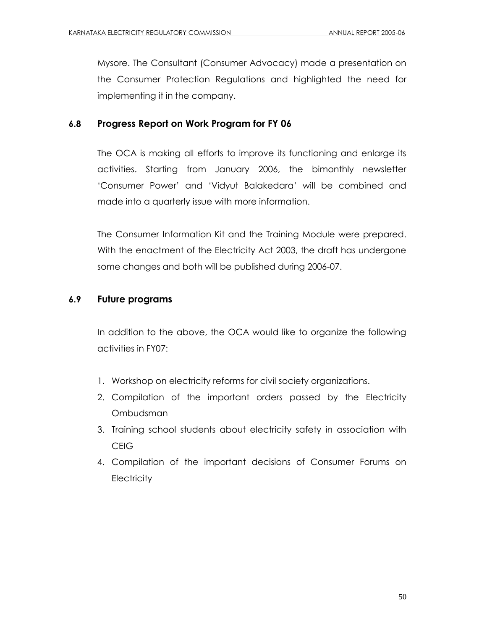Mysore. The Consultant (Consumer Advocacy) made a presentation on the Consumer Protection Regulations and highlighted the need for implementing it in the company.

# **6.8 Progress Report on Work Program for FY 06**

The OCA is making all efforts to improve its functioning and enlarge its activities. Starting from January 2006, the bimonthly newsletter "Consumer Power" and "Vidyut Balakedara" will be combined and made into a quarterly issue with more information.

The Consumer Information Kit and the Training Module were prepared. With the enactment of the Electricity Act 2003, the draft has undergone some changes and both will be published during 2006-07.

# **6.9 Future programs**

In addition to the above, the OCA would like to organize the following activities in FY07:

- 1. Workshop on electricity reforms for civil society organizations.
- 2. Compilation of the important orders passed by the Electricity Ombudsman
- 3. Training school students about electricity safety in association with CEIG
- 4. Compilation of the important decisions of Consumer Forums on **Electricity**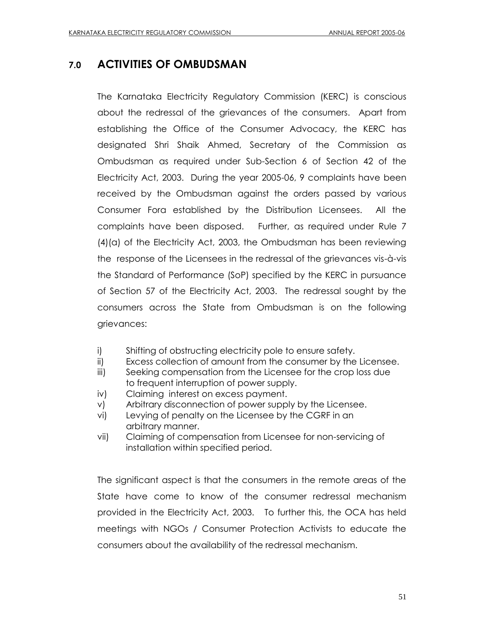# **7.0 ACTIVITIES OF OMBUDSMAN**

The Karnataka Electricity Regulatory Commission (KERC) is conscious about the redressal of the grievances of the consumers. Apart from establishing the Office of the Consumer Advocacy, the KERC has designated Shri Shaik Ahmed, Secretary of the Commission as Ombudsman as required under Sub-Section 6 of Section 42 of the Electricity Act, 2003. During the year 2005-06, 9 complaints have been received by the Ombudsman against the orders passed by various Consumer Fora established by the Distribution Licensees. All the complaints have been disposed. Further, as required under Rule 7 (4)(a) of the Electricity Act, 2003, the Ombudsman has been reviewing the response of the Licensees in the redressal of the grievances vis-à-vis the Standard of Performance (SoP) specified by the KERC in pursuance of Section 57 of the Electricity Act, 2003. The redressal sought by the consumers across the State from Ombudsman is on the following grievances:

- i) Shifting of obstructing electricity pole to ensure safety.
- ii) Excess collection of amount from the consumer by the Licensee.
- iii) Seeking compensation from the Licensee for the crop loss due to frequent interruption of power supply.
- iv) Claiming interest on excess payment.
- v) Arbitrary disconnection of power supply by the Licensee.
- vi) Levying of penalty on the Licensee by the CGRF in an arbitrary manner.
- vii) Claiming of compensation from Licensee for non-servicing of installation within specified period.

The significant aspect is that the consumers in the remote areas of the State have come to know of the consumer redressal mechanism provided in the Electricity Act, 2003. To further this, the OCA has held meetings with NGOs / Consumer Protection Activists to educate the consumers about the availability of the redressal mechanism.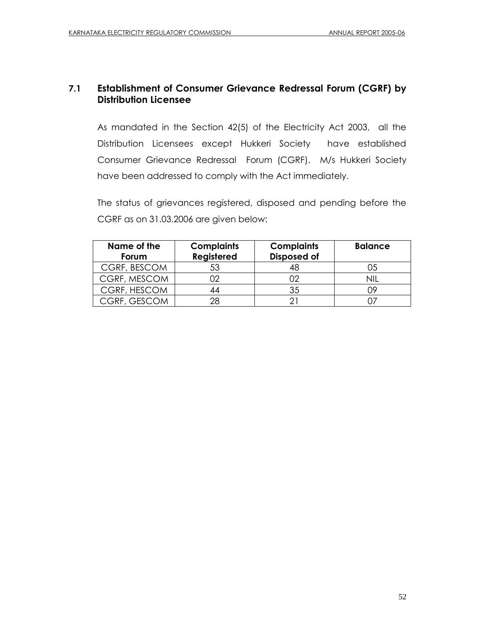# **7.1 Establishment of Consumer Grievance Redressal Forum (CGRF) by Distribution Licensee**

As mandated in the Section 42(5) of the Electricity Act 2003, all the Distribution Licensees except Hukkeri Society have established Consumer Grievance Redressal Forum (CGRF). M/s Hukkeri Society have been addressed to comply with the Act immediately.

The status of grievances registered, disposed and pending before the CGRF as on 31.03.2006 are given below:

| Name of the<br>Forum | <b>Complaints</b><br>Registered | <b>Complaints</b><br><b>Disposed of</b> | <b>Balance</b> |
|----------------------|---------------------------------|-----------------------------------------|----------------|
| CGRF, BESCOM         | 53                              |                                         |                |
| CGRF, MESCOM         |                                 |                                         |                |
| CGRF, HESCOM         | 44                              | 35                                      |                |
| <b>CGRF, GESCOM</b>  | 28                              |                                         |                |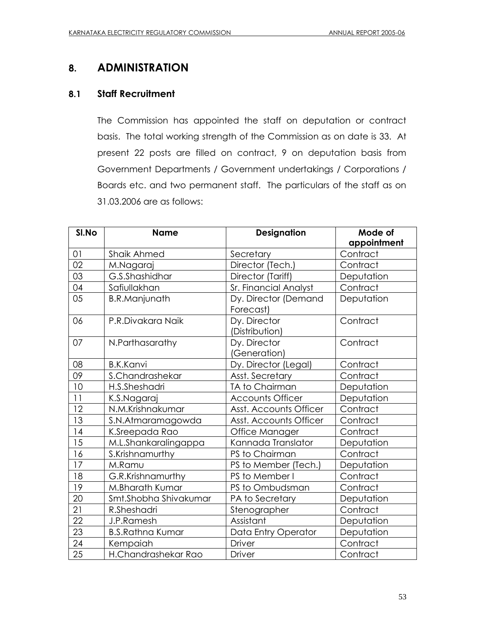# **8. ADMINISTRATION**

# **8.1 Staff Recruitment**

The Commission has appointed the staff on deputation or contract basis. The total working strength of the Commission as on date is 33. At present 22 posts are filled on contract, 9 on deputation basis from Government Departments / Government undertakings / Corporations / Boards etc. and two permanent staff. The particulars of the staff as on 31.03.2006 are as follows:

| SI.No | <b>Name</b>             | <b>Designation</b>      | Mode of     |
|-------|-------------------------|-------------------------|-------------|
|       |                         |                         | appointment |
| 01    | <b>Shaik Ahmed</b>      | Secretary               | Contract    |
| 02    | M.Nagaraj               | Director (Tech.)        | Contract    |
| 03    | G.S.Shashidhar          | Director (Tariff)       | Deputation  |
| 04    | Safiullakhan            | Sr. Financial Analyst   | Contract    |
| 05    | <b>B.R.Manjunath</b>    | Dy. Director (Demand    | Deputation  |
|       |                         | Forecast)               |             |
| 06    | P.R.Divakara Naik       | Dy. Director            | Contract    |
|       |                         | (Distribution)          |             |
| 07    | N.Parthasarathy         | Dy. Director            | Contract    |
|       |                         | (Generation)            |             |
| 08    | <b>B.K.Kanvi</b>        | Dy. Director (Legal)    | Contract    |
| 09    | S.Chandrashekar         | Asst. Secretary         | Contract    |
| 10    | H.S.Sheshadri           | TA to Chairman          | Deputation  |
| 11    | K.S.Nagaraj             | <b>Accounts Officer</b> | Deputation  |
| 12    | N.M.Krishnakumar        | Asst. Accounts Officer  | Contract    |
| 13    | S.N.Atmaramagowda       | Asst. Accounts Officer  | Contract    |
| 14    | K.Sreepada Rao          | Office Manager          | Contract    |
| 15    | M.L.Shankaralingappa    | Kannada Translator      | Deputation  |
| 16    | S.Krishnamurthy         | PS to Chairman          | Contract    |
| 17    | M.Ramu                  | PS to Member (Tech.)    | Deputation  |
| 18    | G.R.Krishnamurthy       | PS to Member I          | Contract    |
| 19    | M.Bharath Kumar         | PS to Ombudsman         | Contract    |
| 20    | Smt.Shobha Shivakumar   | PA to Secretary         | Deputation  |
| 21    | R.Sheshadri             | Stenographer            | Contract    |
| 22    | J.P.Ramesh              | Assistant               | Deputation  |
| 23    | <b>B.S.Rathna Kumar</b> | Data Entry Operator     | Deputation  |
| 24    | Kempaiah                | <b>Driver</b>           | Contract    |
| 25    | H.Chandrashekar Rao     | <b>Driver</b>           | Contract    |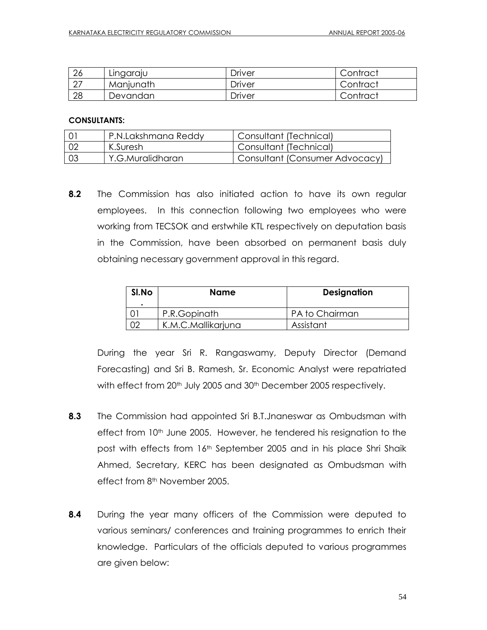| ∠٥ | Lingaraju | Driver | Contract |
|----|-----------|--------|----------|
| ∠  | Manjunath | Driver | Contract |
| 28 | Devandan  | Driver | Contract |

## **CONSULTANTS:**

| ר ה' | P.N.Lakshmana Reddy | Consultant (Technical)         |
|------|---------------------|--------------------------------|
| l 02 | K.Suresh            | Consultant (Technical)         |
| - 03 | Y.G.Muralidharan    | Consultant (Consumer Advocacy) |

**8.2** The Commission has also initiated action to have its own regular employees. In this connection following two employees who were working from TECSOK and erstwhile KTL respectively on deputation basis in the Commission, have been absorbed on permanent basis duly obtaining necessary government approval in this regard.

| SI.No | <b>Name</b>        | <b>Designation</b> |  |  |
|-------|--------------------|--------------------|--|--|
|       | P.R.Gopinath       | PA to Chairman     |  |  |
|       | K.M.C.Mallikarjuna | Assistant          |  |  |

During the year Sri R. Rangaswamy, Deputy Director (Demand Forecasting) and Sri B. Ramesh, Sr. Economic Analyst were repatriated with effect from 20<sup>th</sup> July 2005 and 30<sup>th</sup> December 2005 respectively.

- **8.3** The Commission had appointed Sri B.T.Jnaneswar as Ombudsman with effect from 10<sup>th</sup> June 2005. However, he tendered his resignation to the post with effects from 16th September 2005 and in his place Shri Shaik Ahmed, Secretary, KERC has been designated as Ombudsman with effect from 8<sup>th</sup> November 2005.
- **8.4** During the year many officers of the Commission were deputed to various seminars/ conferences and training programmes to enrich their knowledge. Particulars of the officials deputed to various programmes are given below: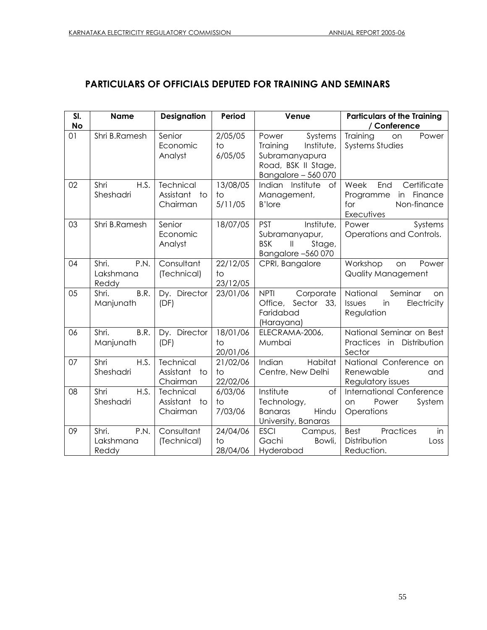# **PARTICULARS OF OFFICIALS DEPUTED FOR TRAINING AND SEMINARS**

| SI.             | <b>Name</b>                         | <b>Designation</b>                    | Period                                 | Venue                                                                                                      | <b>Particulars of the Training</b>                                                           |
|-----------------|-------------------------------------|---------------------------------------|----------------------------------------|------------------------------------------------------------------------------------------------------------|----------------------------------------------------------------------------------------------|
| <b>No</b><br>01 | Shri B.Ramesh                       | Senior<br>Economic<br>Analyst         | 2/05/05<br>to<br>6/05/05               | Systems<br>Power<br>Training<br>Institute,<br>Subramanyapura<br>Road, BSK II Stage,<br>Bangalore - 560 070 | / Conference<br>Training<br>Power<br>on<br><b>Systems Studies</b>                            |
| 02              | Shri<br>H.S.<br>Sheshadri           | Technical<br>Assistant to<br>Chairman | 13/08/05<br>to<br>5/11/05              | Indian Institute<br>0f<br>Management,<br><b>B'lore</b>                                                     | Certificate<br>Week<br>End<br>Finance<br>Programme<br>in<br>for<br>Non-finance<br>Executives |
| 03              | Shri B.Ramesh                       | Senior<br>Economic<br>Analyst         | 18/07/05                               | <b>PST</b><br>Institute,<br>Subramanyapur,<br><b>BSK</b><br>$\mathbf{  }$<br>Stage,<br>Bangalore -560 070  | Systems<br>Power<br>Operations and Controls.                                                 |
| 04              | Shri.<br>P.N.<br>Lakshmana<br>Reddy | Consultant<br>(Technical)             | 22/12/05<br>$\overline{1}$<br>23/12/05 | CPRI, Bangalore                                                                                            | Power<br>Workshop<br>on<br>Quality Management                                                |
| 05              | Shri.<br>B.R.<br>Manjunath          | Dy. Director<br>(DF)                  | 23/01/06                               | <b>NPTI</b><br>Corporate<br>Office, Sector 33,<br>Faridabad<br>(Harayana)                                  | National<br>Seminar<br>on<br>Issues<br>in<br>Electricity<br>Regulation                       |
| 06              | Shri.<br>B.R.<br>Manjunath          | Dy. Director<br>(DF)                  | 18/01/06<br>to<br>20/01/06             | ELECRAMA-2006,<br>Mumbai                                                                                   | National Seminar on Best<br>Practices in Distribution<br>Sector                              |
| 07              | Shri<br>H.S.<br>Sheshadri           | Technical<br>Assistant to<br>Chairman | 21/02/06<br>to<br>22/02/06             | Indian<br>Habitat<br>Centre, New Delhi                                                                     | National Conference on<br>Renewable<br>and<br>Regulatory issues                              |
| 08              | Shri<br>H.S.<br>Sheshadri           | Technical<br>Assistant to<br>Chairman | 6/03/06<br>to<br>7/03/06               | Institute<br>of<br>Technology,<br>Hindu<br><b>Banaras</b><br>University, Banaras                           | <b>International Conference</b><br>Power<br>System<br><b>on</b><br>Operations                |
| 09              | P.N.<br>Shri.<br>Lakshmana<br>Reddy | Consultant<br>(Technical)             | 24/04/06<br>to<br>28/04/06             | <b>ESCI</b><br>Campus,<br>Gachi<br>Bowli,<br>Hyderabad                                                     | <b>Best</b><br>Practices<br>in<br>Distribution<br>Loss<br>Reduction.                         |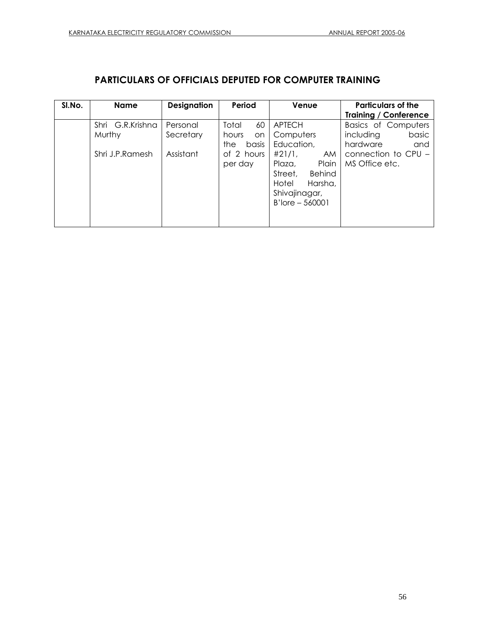# **PARTICULARS OF OFFICIALS DEPUTED FOR COMPUTER TRAINING**

| SI.No. | <b>Name</b>                                                           | <b>Designation</b>    | Period                                                                                                                                 | Venue                                                    | <b>Particulars of the</b><br><b>Training / Conference</b> |
|--------|-----------------------------------------------------------------------|-----------------------|----------------------------------------------------------------------------------------------------------------------------------------|----------------------------------------------------------|-----------------------------------------------------------|
|        | Shri G.R.Krishna<br><b>Murthy</b>                                     | Personal<br>Secretary | Total<br>60<br>hours<br>on                                                                                                             | <b>APTECH</b><br>Computers                               | <b>Basics of Computers</b><br>basic<br>including          |
|        | basis<br>the<br>Assistant<br>Shri J.P.Ramesh<br>of 2 hours<br>per day |                       | Education,<br>#21/1,<br>AM.<br>Plain<br>Plaza,<br><b>Behind</b><br>Street,<br>Hotel<br>Harsha,<br>Shivajinagar,<br>$B'$ lore $-560001$ | hardware<br>and<br>connection to CPU -<br>MS Office etc. |                                                           |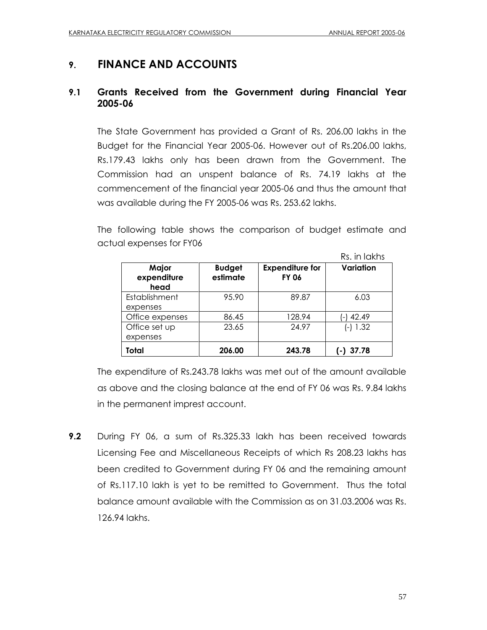Rs. in lakhs

# **9. FINANCE AND ACCOUNTS**

# **9.1 Grants Received from the Government during Financial Year 2005-06**

The State Government has provided a Grant of Rs. 206.00 lakhs in the Budget for the Financial Year 2005-06. However out of Rs.206.00 lakhs, Rs.179.43 lakhs only has been drawn from the Government. The Commission had an unspent balance of Rs. 74.19 lakhs at the commencement of the financial year 2005-06 and thus the amount that was available during the FY 2005-06 was Rs. 253.62 lakhs.

The following table shows the comparison of budget estimate and actual expenses for FY06

|                              |                           |                                        | KS. III IUKI IS |
|------------------------------|---------------------------|----------------------------------------|-----------------|
| Major<br>expenditure<br>head | <b>Budget</b><br>estimate | <b>Expenditure for</b><br><b>FY 06</b> | Variation       |
| Establishment                | 95.90                     | 89.87                                  | 6.03            |
| expenses                     |                           |                                        |                 |
| Office expenses              | 86.45                     | 128.94                                 | 42.49           |
| Office set up                | 23.65                     | 24.97                                  | $(-) 1.32$      |
| expenses                     |                           |                                        |                 |
| Total                        | 206.00                    | 243.78                                 | 37.78           |

The expenditure of Rs.243.78 lakhs was met out of the amount available as above and the closing balance at the end of FY 06 was Rs. 9.84 lakhs in the permanent imprest account.

**9.2** During FY 06, a sum of Rs.325.33 lakh has been received towards Licensing Fee and Miscellaneous Receipts of which Rs 208.23 lakhs has been credited to Government during FY 06 and the remaining amount of Rs.117.10 lakh is yet to be remitted to Government. Thus the total balance amount available with the Commission as on 31.03.2006 was Rs. 126.94 lakhs.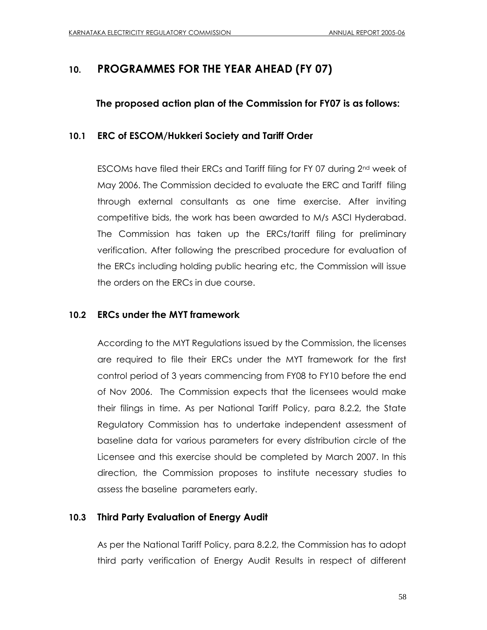# **10. PROGRAMMES FOR THE YEAR AHEAD (FY 07)**

**The proposed action plan of the Commission for FY07 is as follows:**

# **10.1 ERC of ESCOM/Hukkeri Society and Tariff Order**

ESCOMs have filed their ERCs and Tariff filing for FY 07 during 2<sup>nd</sup> week of May 2006. The Commission decided to evaluate the ERC and Tariff filing through external consultants as one time exercise. After inviting competitive bids, the work has been awarded to M/s ASCI Hyderabad. The Commission has taken up the ERCs/tariff filing for preliminary verification. After following the prescribed procedure for evaluation of the ERCs including holding public hearing etc, the Commission will issue the orders on the ERCs in due course.

# **10.2 ERCs under the MYT framework**

According to the MYT Regulations issued by the Commission, the licenses are required to file their ERCs under the MYT framework for the first control period of 3 years commencing from FY08 to FY10 before the end of Nov 2006. The Commission expects that the licensees would make their filings in time. As per National Tariff Policy, para 8.2.2, the State Regulatory Commission has to undertake independent assessment of baseline data for various parameters for every distribution circle of the Licensee and this exercise should be completed by March 2007. In this direction, the Commission proposes to institute necessary studies to assess the baseline parameters early.

# **10.3 Third Party Evaluation of Energy Audit**

As per the National Tariff Policy, para 8.2.2, the Commission has to adopt third party verification of Energy Audit Results in respect of different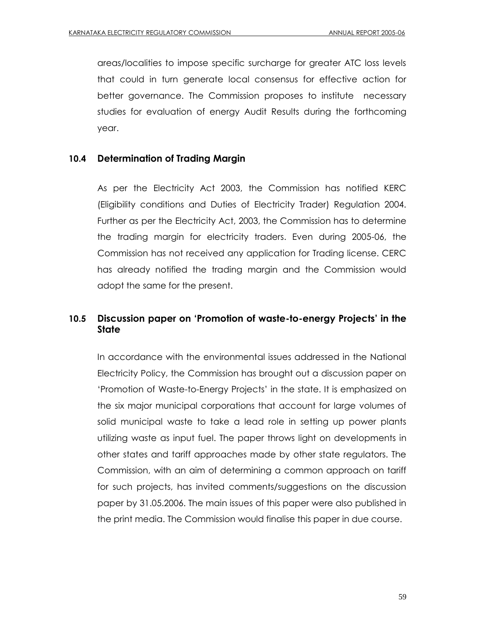areas/localities to impose specific surcharge for greater ATC loss levels that could in turn generate local consensus for effective action for better governance. The Commission proposes to institute necessary studies for evaluation of energy Audit Results during the forthcoming year.

# **10.4 Determination of Trading Margin**

As per the Electricity Act 2003, the Commission has notified KERC (Eligibility conditions and Duties of Electricity Trader) Regulation 2004. Further as per the Electricity Act, 2003, the Commission has to determine the trading margin for electricity traders. Even during 2005-06, the Commission has not received any application for Trading license. CERC has already notified the trading margin and the Commission would adopt the same for the present.

# **10.5 Discussion paper on "Promotion of waste-to-energy Projects" in the State**

In accordance with the environmental issues addressed in the National Electricity Policy, the Commission has brought out a discussion paper on "Promotion of Waste-to-Energy Projects" in the state. It is emphasized on the six major municipal corporations that account for large volumes of solid municipal waste to take a lead role in setting up power plants utilizing waste as input fuel. The paper throws light on developments in other states and tariff approaches made by other state regulators. The Commission, with an aim of determining a common approach on tariff for such projects, has invited comments/suggestions on the discussion paper by 31.05.2006. The main issues of this paper were also published in the print media. The Commission would finalise this paper in due course.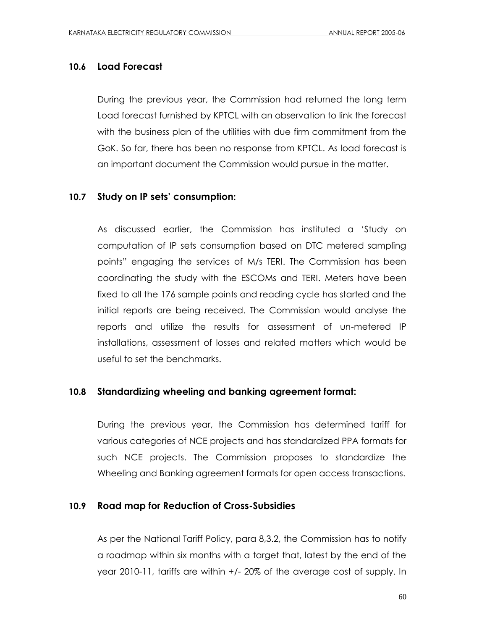#### **10.6 Load Forecast**

During the previous year, the Commission had returned the long term Load forecast furnished by KPTCL with an observation to link the forecast with the business plan of the utilities with due firm commitment from the GoK. So far, there has been no response from KPTCL. As load forecast is an important document the Commission would pursue in the matter.

#### **10.7 Study on IP sets" consumption:**

As discussed earlier, the Commission has instituted a "Study on computation of IP sets consumption based on DTC metered sampling points" engaging the services of M/s TERI. The Commission has been coordinating the study with the ESCOMs and TERI. Meters have been fixed to all the 176 sample points and reading cycle has started and the initial reports are being received. The Commission would analyse the reports and utilize the results for assessment of un-metered IP installations, assessment of losses and related matters which would be useful to set the benchmarks.

## **10.8 Standardizing wheeling and banking agreement format:**

During the previous year, the Commission has determined tariff for various categories of NCE projects and has standardized PPA formats for such NCE projects. The Commission proposes to standardize the Wheeling and Banking agreement formats for open access transactions.

#### **10.9 Road map for Reduction of Cross-Subsidies**

As per the National Tariff Policy, para 8,3.2, the Commission has to notify a roadmap within six months with a target that, latest by the end of the year 2010-11, tariffs are within +/- 20% of the average cost of supply. In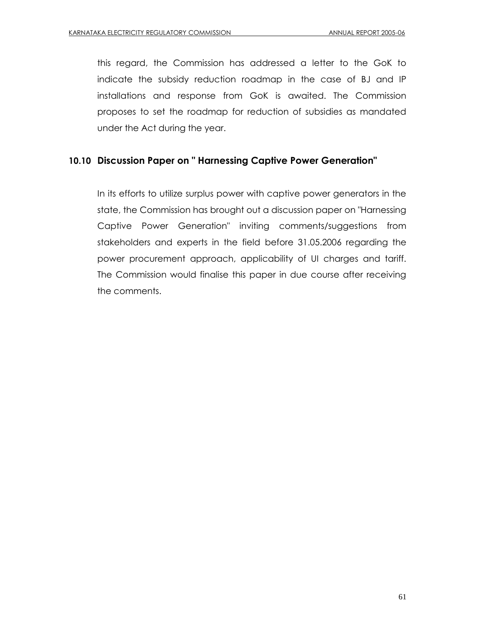this regard, the Commission has addressed a letter to the GoK to indicate the subsidy reduction roadmap in the case of BJ and IP installations and response from GoK is awaited. The Commission proposes to set the roadmap for reduction of subsidies as mandated under the Act during the year.

# **10.10 Discussion Paper on " Harnessing Captive Power Generation"**

In its efforts to utilize surplus power with captive power generators in the state, the Commission has brought out a discussion paper on "Harnessing Captive Power Generation" inviting comments/suggestions from stakeholders and experts in the field before 31.05.2006 regarding the power procurement approach, applicability of UI charges and tariff. The Commission would finalise this paper in due course after receiving the comments.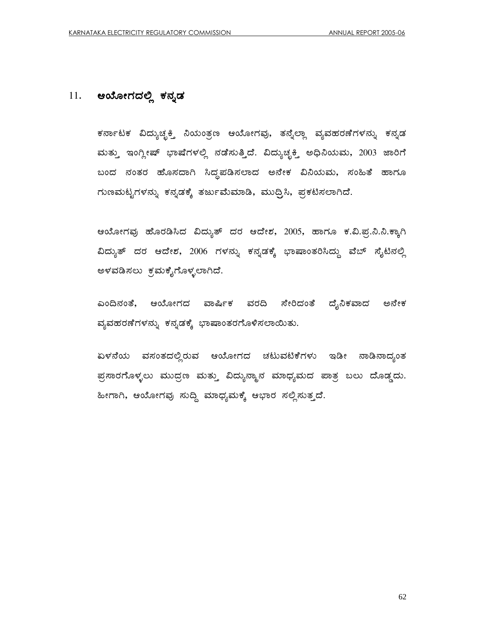# $11.$  ಆಯೋಗದಲ್ಲಿ ಕನ್ನಡ

ಕರ್ನಾಟಕ ವಿದ್ಯುಚ್ಛಕ್ತಿ ನಿಯಂತ್ರಣ ಆಯೋಗವು, ತನ್ನೆಲ್ಲಾ ವ್ಯವಹರಣೆಗಳನ್ನು ಕನ್ನಡ ಮತ್ತು ಇಂಗ್ಲೀಷ್ ಭಾಷೆಗಳಲ್ಲಿ ನಡೆಸುತ್ತಿದೆ. ವಿದ್ಯುಚ್ಛಕ್ತಿ ಅಧಿನಿಯಮ, 2003 ಜಾರಿಗೆ ಬಂದ ನಂತರ ಹೊಸದಾಗಿ ಸಿದ್ಧಪಡಿಸಲಾದ ಅನೇಕ ವಿನಿಯಮ, ಸಂಹಿತೆ ಹಾಗೂ ಗುಣಮಟ್ಟಗಳನ್ನು ಕನ್ನಡಕ್ಕೆ ತರ್ಜುಮೆಮಾಡಿ, ಮುದ್ರಿಸಿ, ಪ್ರಕಟಿಸಲಾಗಿದೆ.

ಆಯೋಗವು ಹೊರಡಿಸಿದ ವಿದ್ಯುತ್ ದರ ಆದೇಶ, 2005, ಹಾಗೂ ಕ.ವಿ.ಪ.ನಿ.ನಿ.ಕ್ಕಾಗಿ ವಿದ್ಯುತ್ ದರ ಆದೇಶ, 2006 ಗಳನ್ನು ಕನ್ನಡಕ್ಕೆ ಭಾಷಾಂತರಿಸಿದ್ದು ವೆಬ್ ಸೈಟಿನಲ್ಲಿ ಅಳವಡಿಸಲು ಕ್ರಮಕೈಗೊಳ್ಳಲಾಗಿದೆ.

ಎಂದಿನಂತೆ, ಆಯೋಗದ ವಾರ್ಷಿಕ ವರದಿ ಸೇರಿದಂತೆ ದೈನಿಕವಾದ ಅನೇಕ ವ್ಯವಹರಣೆಗಳನ್ನು ಕನ್ನಡಕ್ಕೆ ಭಾಷಾಂತರಗೊಳಿಸಲಾಯಿತು.

ಏಳನೆಯ ವಸಂತದಲ್ಲಿರುವ ಆಯೋಗದ ಚಟುವಟಿಕೆಗಳು ಇಡೀ ನಾಡಿನಾದ್ಯಂತ ಪ್ರಸಾರಗೊಳ್ಳಲು ಮುದ್ರಣ ಮತ್ತು ವಿದ್ಯುನ್ಮಾನ ಮಾಧ್ಯಮದ ಪಾತ್ರ ಬಲು ದೊಡ್ಡದು. ಹೀಗಾಗಿ, ಆಯೋಗವು ಸುದ್ದಿ ಮಾಧ್ಯಮಕ್ಕೆ ಆಭಾರ ಸಲ್ಲಿಸುತ್ತದೆ.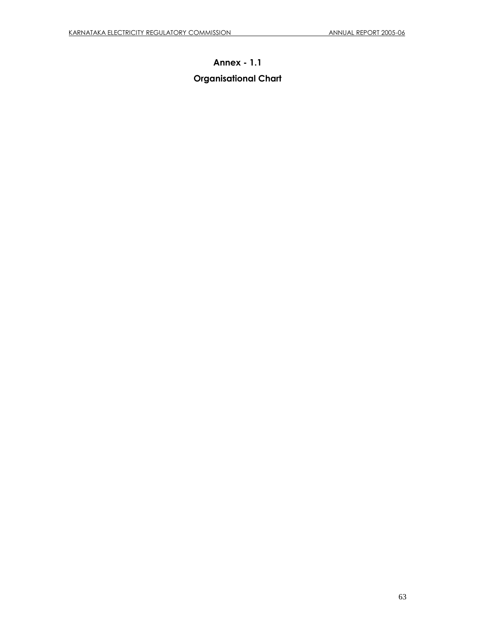# **Annex - 1.1 Organisational Chart**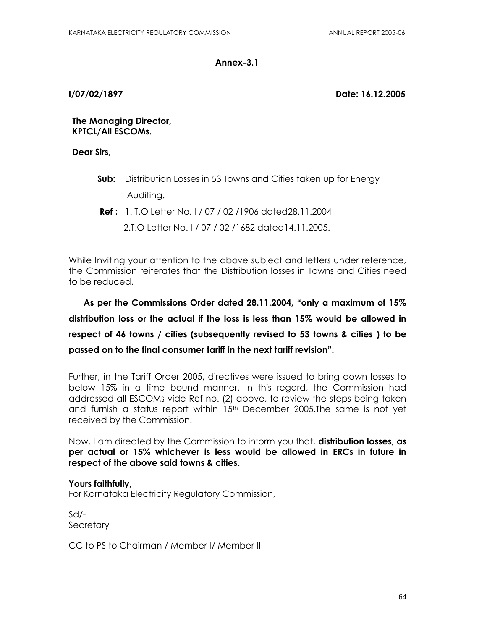## **Annex-3.1**

**I/07/02/1897 Date: 16.12.2005**

## **The Managing Director, KPTCL/All ESCOMs.**

## **Dear Sirs,**

- **Sub:** Distribution Losses in 53 Towns and Cities taken up for Energy Auditing.
- **Ref :** 1. T.O Letter No. I / 07 / 02 /1906 dated28.11.2004
	- 2.T.O Letter No. I / 07 / 02 /1682 dated14.11.2005.

While Inviting your attention to the above subject and letters under reference, the Commission reiterates that the Distribution losses in Towns and Cities need to be reduced.

 **As per the Commissions Order dated 28.11.2004, "only a maximum of 15% distribution loss or the actual if the loss is less than 15% would be allowed in respect of 46 towns / cities (subsequently revised to 53 towns & cities ) to be passed on to the final consumer tariff in the next tariff revision".**

Further, in the Tariff Order 2005, directives were issued to bring down losses to below 15% in a time bound manner. In this regard, the Commission had addressed all ESCOMs vide Ref no. (2) above, to review the steps being taken and furnish a status report within 15<sup>th</sup> December 2005. The same is not yet received by the Commission.

Now, I am directed by the Commission to inform you that, **distribution losses, as per actual or 15% whichever is less would be allowed in ERCs in future in respect of the above said towns & cities**.

## **Yours faithfully,**

For Karnataka Electricity Regulatory Commission,

Sd/- **Secretary** 

CC to PS to Chairman / Member I/ Member II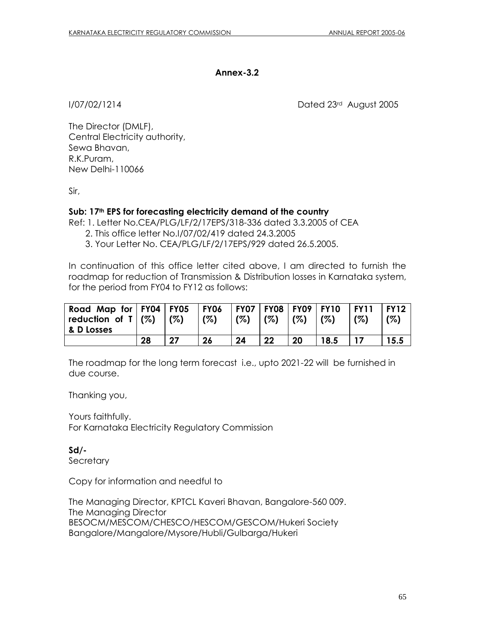## **Annex-3.2**

I/07/02/1214 Dated 23rd August 2005

The Director (DMLF), Central Electricity authority, Sewa Bhavan, R.K.Puram, New Delhi-110066

Sir,

## **Sub: 17th EPS for forecasting electricity demand of the country**

Ref: 1. Letter No.CEA/PLG/LF/2/17EPS/318-336 dated 3.3.2005 of CEA

- 2. This office letter No.I/07/02/419 dated 24.3.2005
- 3. Your Letter No. CEA/PLG/LF/2/17EPS/929 dated 26.5.2005.

In continuation of this office letter cited above, I am directed to furnish the roadmap for reduction of Transmission & Distribution losses in Karnataka system, for the period from FY04 to FY12 as follows:

| Road Map for $ $ FY04 $ $ FY05<br>reduction of $I   (\%)$<br>& D Losses |    | (%) | FY06<br>(%) | (%) | FY07   FY08   FY09   FY10<br>(%) | (%) | (%)  | FY11<br>(%) | FY12<br>(%) |
|-------------------------------------------------------------------------|----|-----|-------------|-----|----------------------------------|-----|------|-------------|-------------|
|                                                                         | 28 |     | 26          | 24  | 22                               | 20  | 18.5 |             | 15.5        |

The roadmap for the long term forecast i.e., upto 2021-22 will be furnished in due course.

Thanking you,

Yours faithfully. For Karnataka Electricity Regulatory Commission

**Sd/- Secretary** 

Copy for information and needful to

The Managing Director, KPTCL Kaveri Bhavan, Bangalore-560 009. The Managing Director BESOCM/MESCOM/CHESCO/HESCOM/GESCOM/Hukeri Society Bangalore/Mangalore/Mysore/Hubli/Gulbarga/Hukeri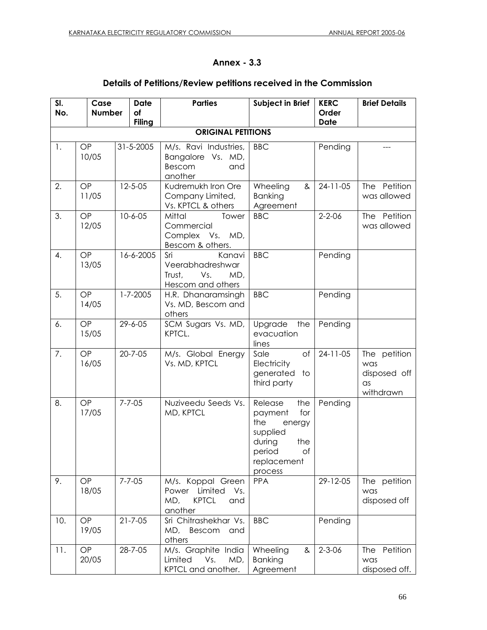# **Annex - 3.3**

# **Details of Petitions/Review petitions received in the Commission**

| SI. | Case               |  | <b>Date</b>    | <b>Parties</b>                               | Subject in Brief                | <b>KERC</b>    | <b>Brief Details</b> |  |
|-----|--------------------|--|----------------|----------------------------------------------|---------------------------------|----------------|----------------------|--|
| No. | <b>Number</b>      |  | of             |                                              |                                 | Order          |                      |  |
|     |                    |  | <b>Filing</b>  | <b>Date</b><br><b>ORIGINAL PETITIONS</b>     |                                 |                |                      |  |
|     |                    |  |                |                                              |                                 |                |                      |  |
| 1.  | OP                 |  | 31-5-2005      | M/s. Ravi Industries,                        | <b>BBC</b>                      | Pending        |                      |  |
|     | 10/05              |  |                | Bangalore Vs. MD,                            |                                 |                |                      |  |
|     |                    |  |                | Bescom<br>and<br>another                     |                                 |                |                      |  |
| 2.  | OP                 |  | $12 - 5 - 05$  | Kudremukh Iron Ore                           | Wheeling<br>&                   | $24-11-05$     | The Petition         |  |
|     | 11/05              |  |                | Company Limited,                             | <b>Banking</b>                  |                | was allowed          |  |
|     |                    |  |                | Vs. KPTCL & others                           | Agreement                       |                |                      |  |
| 3.  | OP                 |  | $10-6-05$      | Mittal<br>Tower                              | <b>BBC</b>                      | $2 - 2 - 06$   | The Petition         |  |
|     | 12/05              |  |                | Commercial                                   |                                 |                | was allowed          |  |
|     |                    |  |                | Complex Vs. MD,                              |                                 |                |                      |  |
| 4.  | OP                 |  | 16-6-2005      | Bescom & others.<br>Sri<br>Kanavi            | <b>BBC</b>                      | Pending        |                      |  |
|     | 13/05              |  |                | Veerabhadreshwar                             |                                 |                |                      |  |
|     |                    |  |                | Vs.<br>MD,<br>Trust,                         |                                 |                |                      |  |
|     |                    |  |                | Hescom and others                            |                                 |                |                      |  |
| 5.  | OP                 |  | $1 - 7 - 2005$ | H.R. Dhanaramsingh                           | <b>BBC</b>                      | Pending        |                      |  |
|     | 14/05              |  |                | Vs. MD, Bescom and                           |                                 |                |                      |  |
|     |                    |  |                | others                                       |                                 |                |                      |  |
| 6.  | OP                 |  | 29-6-05        | SCM Sugars Vs. MD,                           | Upgrade<br>the                  | Pending        |                      |  |
|     | 15/05              |  |                | KPTCL.                                       | evacuation<br>lines             |                |                      |  |
| 7.  | OP                 |  | $20 - 7 - 05$  | M/s. Global Energy                           | Sale<br>of                      | $24 - 11 - 05$ | The petition         |  |
|     | 16/05              |  |                | Vs. MD, KPTCL                                | Electricity                     |                | was                  |  |
|     |                    |  |                |                                              | generated<br>to                 |                | disposed off         |  |
|     |                    |  |                |                                              | third party                     |                | $\alpha$ s           |  |
|     |                    |  |                |                                              |                                 |                | withdrawn            |  |
| 8.  | OP                 |  | $7 - 7 - 05$   | Nuziveedu Seeds Vs.                          | Release<br>the                  | Pending        |                      |  |
|     | 17/05              |  |                | MD, KPTCL                                    | for<br>payment<br>the<br>energy |                |                      |  |
|     |                    |  |                |                                              | supplied                        |                |                      |  |
|     |                    |  |                |                                              | during<br>the                   |                |                      |  |
|     |                    |  |                |                                              | of<br>period                    |                |                      |  |
|     |                    |  |                |                                              | replacement                     |                |                      |  |
|     |                    |  |                |                                              | process                         |                |                      |  |
| 9.  | OP<br>$7 - 7 - 05$ |  |                | M/s. Koppal Green<br>Limited<br>Power<br>Vs. | <b>PPA</b>                      | 29-12-05       | The petition<br>was  |  |
|     | 18/05              |  |                | <b>KPTCL</b><br>MD,<br>and                   |                                 |                | disposed off         |  |
|     |                    |  |                | another                                      |                                 |                |                      |  |
| 10. | OP                 |  | $21 - 7 - 05$  | Sri Chitrashekhar Vs.                        | <b>BBC</b>                      | Pending        |                      |  |
|     | 19/05              |  |                | MD,<br>Bescom<br>and                         |                                 |                |                      |  |
|     |                    |  |                | others                                       |                                 |                |                      |  |
| 11. | OP                 |  | 28-7-05        | M/s. Graphite India                          | Wheeling<br>&                   | $2 - 3 - 06$   | The Petition         |  |
|     | 20/05              |  |                | Vs.<br>Limited<br>MD,                        | <b>Banking</b>                  |                | was                  |  |
|     |                    |  |                | KPTCL and another.                           | Agreement                       |                | disposed off.        |  |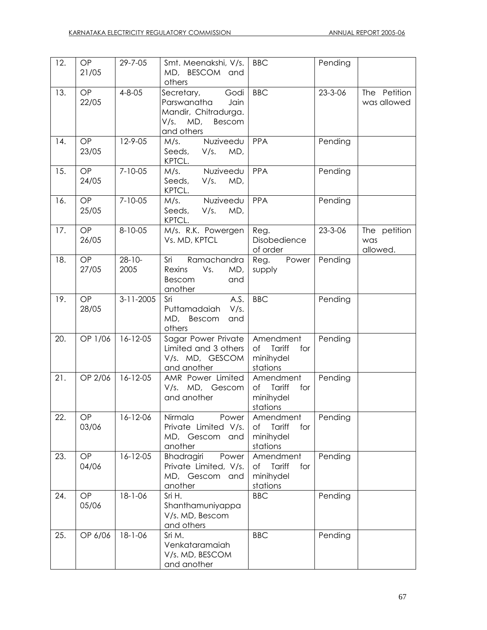| 12. | OP<br>21/05        | 29-7-05             | Smt. Meenakshi, V/s.<br>MD, BESCOM and<br>others                                                      | <b>BBC</b>                                                | Pending       |                                 |
|-----|--------------------|---------------------|-------------------------------------------------------------------------------------------------------|-----------------------------------------------------------|---------------|---------------------------------|
| 13. | <b>OP</b><br>22/05 | $4 - 8 - 05$        | Godi<br>Secretary,<br>Parswanatha<br>Jain<br>Mandir, Chitradurga.<br>V/s. MD,<br>Bescom<br>and others | <b>BBC</b>                                                | $23 - 3 - 06$ | The Petition<br>was allowed     |
| 14. | OP<br>23/05        | $12 - 9 - 05$       | Nuziveedu<br>M/s.<br>Seeds,<br>V/s.<br>MD,<br>KPTCL.                                                  | <b>PPA</b>                                                | Pending       |                                 |
| 15. | OP<br>24/05        | $7 - 10 - 05$       | Nuziveedu<br>M/s.<br>Seeds,<br>V/s.<br>MD,<br>KPTCL.                                                  | <b>PPA</b>                                                | Pending       |                                 |
| 16. | OP<br>25/05        | $7 - 10 - 05$       | Nuziveedu<br>M/s.<br>Seeds,<br>V/s.<br>MD,<br>KPTCL.                                                  | <b>PPA</b>                                                | Pending       |                                 |
| 17. | OP<br>26/05        | $8 - 10 - 05$       | M/s. R.K. Powergen<br>Vs. MD, KPTCL                                                                   | Reg.<br>Disobedience<br>of order                          | $23 - 3 - 06$ | The petition<br>was<br>allowed. |
| 18. | OP<br>27/05        | $28 - 10 -$<br>2005 | Sri<br>Ramachandra<br>Rexins<br>Vs.<br>MD,<br>Bescom<br>and<br>another                                | Power<br>Reg.<br>supply                                   | Pending       |                                 |
| 19. | OP<br>28/05        | $3-11-2005$         | A.S.<br>Sri<br>V/s.<br>Puttamadaiah<br>MD, Bescom<br>and<br>others                                    | <b>BBC</b>                                                | Pending       |                                 |
| 20. | OP 1/06            | $16-12-05$          | Sagar Power Private<br>Limited and 3 others<br>V/s. MD, GESCOM<br>and another                         | Amendment<br>Tariff<br>for<br>Оf<br>minihydel<br>stations | Pending       |                                 |
| 21. | OP 2/06            | 16-12-05            | AMR Power Limited<br>V/s. MD, Gescom<br>and another                                                   | Amendment<br>of Tariff<br>for<br>minihydel<br>stations    | Pending       |                                 |
| 22. | OP<br>03/06        | 16-12-06            | Nirmala<br>Power<br>Private Limited V/s.<br>MD, Gescom<br>and<br>another                              | Amendment<br>Tariff<br>Οf<br>for<br>minihydel<br>stations | Pending       |                                 |
| 23. | OP<br>04/06        | $16 - 12 - 05$      | Bhadragiri<br>Power<br>Private Limited, V/s.<br>MD, Gescom<br>and<br>another                          | Amendment<br>Tariff<br>Оf<br>for<br>minihydel<br>stations | Pending       |                                 |
| 24. | <b>OP</b><br>05/06 | $18 - 1 - 06$       | Sri H.<br>Shanthamuniyappa<br>V/s. MD, Bescom<br>and others                                           | <b>BBC</b>                                                | Pending       |                                 |
| 25. | OP 6/06            | $18 - 1 - 06$       | Sri M.<br>Venkataramaiah<br>V/s. MD, BESCOM<br>and another                                            | <b>BBC</b>                                                | Pending       |                                 |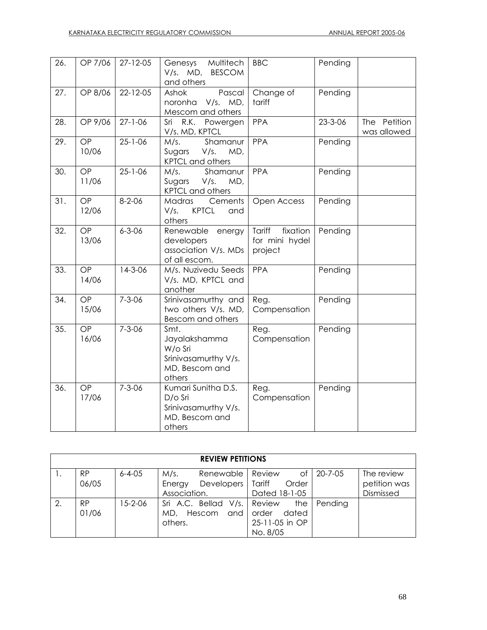| 26. | OP 7/06            | $27 - 12 - 05$ | Multitech<br>Genesys<br>V/s. MD, BESCOM<br>and others                                | <b>BBC</b>                                      | Pending |                             |
|-----|--------------------|----------------|--------------------------------------------------------------------------------------|-------------------------------------------------|---------|-----------------------------|
| 27. | OP 8/06            | 22-12-05       | Pascal<br>Ashok<br>noronha<br>V/s. M D,<br>Mescom and others                         | Change of<br>tariff                             | Pending |                             |
| 28. | OP 9/06            | $27 - 1 - 06$  | R.K.<br>Sri<br>Powergen<br>V/s. MD, KPTCL                                            | PPA                                             | 23-3-06 | The Petition<br>was allowed |
| 29. | <b>OP</b><br>10/06 | $25 - 1 - 06$  | M/s.<br>Shamanur<br>Sugars<br>V/s.<br>MD,<br><b>KPTCL</b> and others                 | <b>PPA</b>                                      | Pending |                             |
| 30. | OP<br>11/06        | $25 - 1 - 06$  | Shamanur<br>M/s.<br>Sugars<br>V/s.<br>MD,<br><b>KPTCL</b> and others                 | PPA                                             | Pending |                             |
| 31. | OP<br>12/06        | $8 - 2 - 06$   | Madras<br>Cements<br>V/s.<br><b>KPTCL</b><br>and<br>others                           | Open Access                                     | Pending |                             |
| 32. | OP<br>13/06        | $6 - 3 - 06$   | Renewable<br>energy<br>developers<br>association V/s. MDs<br>of all escom.           | fixation<br>Tariff<br>for mini hydel<br>project | Pending |                             |
| 33. | <b>OP</b><br>14/06 | $14 - 3 - 06$  | M/s. Nuzivedu Seeds<br>V/s. MD, KPTCL and<br>another                                 | PPA                                             | Pending |                             |
| 34. | OP<br>15/06        | $7 - 3 - 06$   | Srinivasamurthy and<br>two others V/s. MD,<br>Bescom and others                      | Reg.<br>Compensation                            | Pending |                             |
| 35. | OP<br>16/06        | $7 - 3 - 06$   | Smt.<br>Jayalakshamma<br>W/o Sri<br>Srinivasamurthy V/s.<br>MD, Bescom and<br>others | Reg.<br>Compensation                            | Pending |                             |
| 36. | OP<br>17/06        | $7 - 3 - 06$   | Kumari Sunitha D.S.<br>D/o Sri<br>Srinivasamurthy V/s.<br>MD, Bescom and<br>others   | Reg.<br>Compensation                            | Pending |                             |

| <b>REVIEW PETITIONS</b> |           |              |                             |                 |            |              |
|-------------------------|-----------|--------------|-----------------------------|-----------------|------------|--------------|
|                         | <b>RP</b> | $6 - 4 - 05$ | Renewable<br>M/s.           | Review          | of 20-7-05 | The review   |
|                         | 06/05     |              | Developers  <br>Energy      | Tariff<br>Order |            | petition was |
|                         |           |              | Association.                | Dated 18-1-05   |            | Dismissed    |
| 2.                      | <b>RP</b> | 15-2-06      | Sri A.C. Bellad V/s. Review | the             | Pending    |              |
|                         | 01/06     |              | MD, Hescom and order        | dated           |            |              |
|                         |           |              | others.                     | 25-11-05 in OP  |            |              |
|                         |           |              |                             | No. 8/05        |            |              |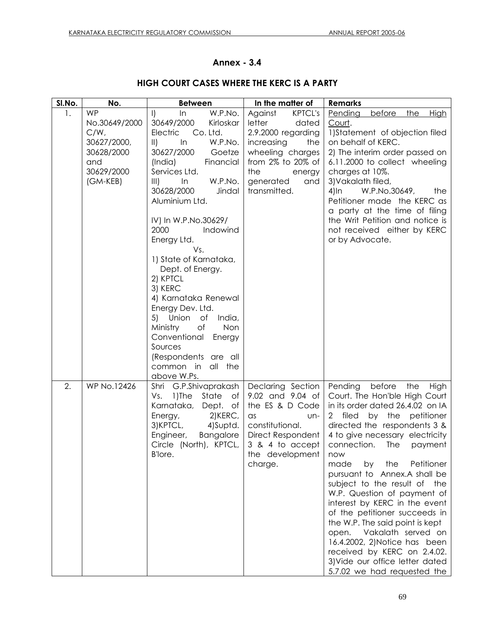# **Annex - 3.4**

# **HIGH COURT CASES WHERE THE KERC IS A PARTY**

| SI.No. | <b>Between</b><br>No.                                                                               |                                                                                                                                                                                                                                                                                                                                                                                                                                                                                                                                                                                              | In the matter of                                                                                                                                                                      | <b>Remarks</b>                                                                                                                                                                                                                                                                                                                                                                                                                                                                                                                                                                                                                                           |
|--------|-----------------------------------------------------------------------------------------------------|----------------------------------------------------------------------------------------------------------------------------------------------------------------------------------------------------------------------------------------------------------------------------------------------------------------------------------------------------------------------------------------------------------------------------------------------------------------------------------------------------------------------------------------------------------------------------------------------|---------------------------------------------------------------------------------------------------------------------------------------------------------------------------------------|----------------------------------------------------------------------------------------------------------------------------------------------------------------------------------------------------------------------------------------------------------------------------------------------------------------------------------------------------------------------------------------------------------------------------------------------------------------------------------------------------------------------------------------------------------------------------------------------------------------------------------------------------------|
| 1.     | <b>WP</b><br>No.30649/2000<br>$C/W$ ,<br>30627/2000,<br>30628/2000<br>and<br>30629/2000<br>(GM-KEB) | W.P.No.<br>$\vert$<br>In.<br>30649/2000<br>Kirloskar<br>Electric<br>Co. Ltd.<br>$\parallel$<br>$\ln$<br>W.P.No.<br>30627/2000<br>Goetze<br>Financial<br>(India)<br>Services Ltd.<br>W.P.No.<br>III)<br>$\ln$<br>30628/2000<br>Jindal<br>Aluminium Ltd.<br>IV) In W.P.No.30629/<br>2000<br>Indowind<br>Energy Ltd.<br>Vs.<br>1) State of Karnataka,<br>Dept. of Energy.<br>2) KPTCL<br>3) KERC<br>4) Karnataka Renewal<br>Energy Dev. Ltd.<br>5) Union of<br>India,<br>of<br>Ministry<br>Non<br>Conventional<br>Energy<br>Sources<br>(Respondents are all<br>common in all the<br>above W.Ps. | <b>KPTCL's</b><br>Against<br>letter<br>dated<br>2.9.2000 regarding<br>increasing<br>the<br>wheeling charges<br>from 2% to 20% of<br>the<br>energy<br>generated<br>and<br>transmitted. | before<br>Pending<br>the<br><b>High</b><br>Court.<br>1)Statement of objection filed<br>on behalf of KERC.<br>2) The interim order passed on<br>6.11.2000 to collect wheeling<br>charges at 10%.<br>3) Vakalath filed,<br>W.P.No.30649,<br>4)In<br>the<br>Petitioner made the KERC as<br>a party at the time of filing<br>the Writ Petition and notice is<br>not received either by KERC<br>or by Advocate.                                                                                                                                                                                                                                               |
| 2.     | WP No.12426                                                                                         | Shri G.P.Shivaprakash<br>Vs.<br>1)The<br>State<br>Оf<br>Karnataka,<br>Dept. of<br>2)KERC,<br>Energy,<br>3) KPTCL,<br>4) Suptd.<br>Bangalore<br>Engineer,<br>Circle (North), KPTCL,<br>B'lore.                                                                                                                                                                                                                                                                                                                                                                                                | Declaring Section<br>9.02 and 9.04 of<br>the ES & D Code<br>as<br>un-<br>constitutional.<br>Direct Respondent<br>3 & 4 to accept<br>the development<br>charge.                        | Pending<br>before<br>the<br>High<br>Court. The Hon'ble High Court<br>in its order dated 26.4.02 on IA<br>2 filed by the<br>petitioner<br>directed the respondents 3 &<br>4 to give necessary electricity<br>connection.<br>The<br>payment<br>now<br>the<br>Petitioner<br>made<br>by<br>pursuant to Annex.A shall be<br>subject to the result of the<br>W.P. Question of payment of<br>interest by KERC in the event<br>of the petitioner succeeds in<br>the W.P. The said point is kept<br>Vakalath served on<br>open.<br>16.4.2002, 2) Notice has been<br>received by KERC on 2.4.02.<br>3) Vide our office letter dated<br>5.7.02 we had requested the |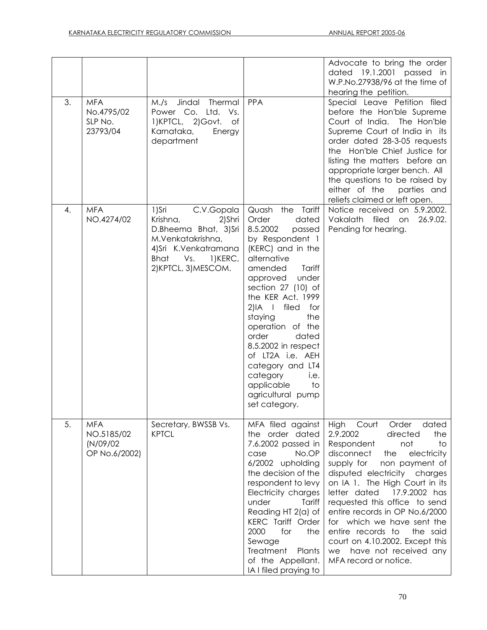|    |                                                       |                                                                                                                                                                           |                                                                                                                                                                                                                                                                                                                                                                                                                                            | Advocate to bring the order<br>dated 19.1.2001<br>passed in<br>W.P.No.27938/96 at the time of<br>hearing the petition.                                                                                                                                                                                                                                                                                                                                                                     |
|----|-------------------------------------------------------|---------------------------------------------------------------------------------------------------------------------------------------------------------------------------|--------------------------------------------------------------------------------------------------------------------------------------------------------------------------------------------------------------------------------------------------------------------------------------------------------------------------------------------------------------------------------------------------------------------------------------------|--------------------------------------------------------------------------------------------------------------------------------------------------------------------------------------------------------------------------------------------------------------------------------------------------------------------------------------------------------------------------------------------------------------------------------------------------------------------------------------------|
| 3. | <b>MFA</b><br>No.4795/02<br>SLP No.<br>23793/04       | Jindal<br>Thermal<br>M./s<br>Power Co. Ltd. Vs.<br>1) KPTCL, 2) Govt.<br>of<br>Karnataka,<br>Energy<br>department                                                         | <b>PPA</b>                                                                                                                                                                                                                                                                                                                                                                                                                                 | Special Leave Petition filed<br>before the Hon'ble Supreme<br>Court of India. The Hon'ble<br>Supreme Court of India in its<br>order dated 28-3-05 requests<br>the Hon'ble Chief Justice for<br>listing the matters before an<br>appropriate larger bench. All<br>the questions to be raised by<br>either of the<br>parties and<br>reliefs claimed or left open.                                                                                                                            |
| 4. | <b>MFA</b><br>NO.4274/02                              | 1)Sri<br>C.V.Gopala<br>Krishna,<br>2)Shri<br>D.Bheema Bhat, 3)Sri<br>M.Venkatakrishna,<br>4) Sri K. Venkatramana<br><b>Bhat</b><br>Vs.<br>1)KERC,<br>2) KPTCL, 3) MESCOM. | Quash<br>the<br>Tariff<br>Order<br>dated<br>8.5.2002<br>passed<br>by Respondent 1<br>(KERC) and in the<br>alternative<br>Tariff<br>amended<br>approved<br>under<br>section 27 (10) of<br>the KER Act. 1999<br>$2$ ) IA I<br>filed for<br>the<br>staying<br>operation of the<br>order<br>dated<br>8.5.2002 in respect<br>of LT2A i.e. AEH<br>category and LT4<br>category<br>i.e.<br>applicable<br>to<br>agricultural pump<br>set category. | Notice received on 5.9.2002.<br>Vakalath filed<br>26.9.02.<br>on<br>Pending for hearing.                                                                                                                                                                                                                                                                                                                                                                                                   |
| 5. | <b>MFA</b><br>NO.5185/02<br>(N/09/02<br>OP No.6/2002) | Secretary, BWSSB Vs.<br><b>KPTCL</b>                                                                                                                                      | MFA filed against<br>the order dated<br>7.6.2002 passed in<br>No.OP<br>case<br>6/2002 upholding<br>the decision of the<br>respondent to levy<br>Electricity charges<br>under<br>Tariff<br>Reading HT 2(a) of<br><b>KERC Tariff Order</b><br>2000<br>for<br>the<br>Sewage<br>Treatment<br>Plants<br>of the Appellant.<br>IA I filed praying to                                                                                              | Court<br>Order<br>dated<br>High<br>2.9.2002<br>directed<br>the<br>Respondent<br>not<br>to<br>disconnect<br>electricity<br>the<br>supply for<br>non payment of<br>disputed electricity charges<br>on IA 1. The High Court in its<br>17.9.2002 has<br>letter dated<br>requested this office to send<br>entire records in OP No.6/2000<br>for which we have sent the<br>entire records to<br>the said<br>court on 4.10.2002. Except this<br>we have not received any<br>MFA record or notice. |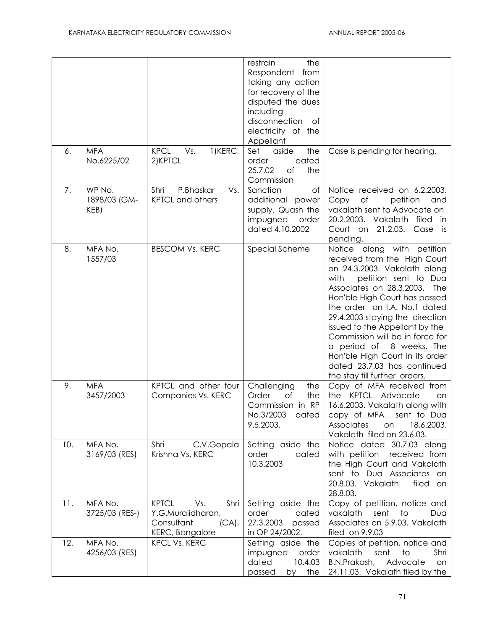|     |                                |                                                                                                      | restrain<br>the<br>Respondent from<br>taking any action<br>for recovery of the<br>disputed the dues<br>including<br>disconnection of<br>electricity of the<br>Appellant |                                                                                                                                                                                                                                                                                                                                                                                                                                                                    |
|-----|--------------------------------|------------------------------------------------------------------------------------------------------|-------------------------------------------------------------------------------------------------------------------------------------------------------------------------|--------------------------------------------------------------------------------------------------------------------------------------------------------------------------------------------------------------------------------------------------------------------------------------------------------------------------------------------------------------------------------------------------------------------------------------------------------------------|
| 6.  | <b>MFA</b><br>No.6225/02       | 1)KERC,<br><b>KPCL</b><br>Vs.<br>2) KPTCL                                                            | Set<br>aside<br>the<br>order<br>dated<br>25.7.02<br>of<br>the<br>Commission                                                                                             | Case is pending for hearing.                                                                                                                                                                                                                                                                                                                                                                                                                                       |
| 7.  | WP No.<br>1898/03 (GM-<br>KEB) | Shri<br>P.Bhaskar<br>Vs.<br><b>KPTCL and others</b>                                                  | Sanction<br>of<br>additional power<br>supply. Quash the<br>impugned<br>order<br>dated 4.10.2002                                                                         | Notice received on 6.2.2003.<br>Copy<br>Оf<br>petition<br>and<br>vakalath sent to Advocate on<br>20.2.2003. Vakalath<br>filed in<br>Court on 21.2.03.<br>Case<br>is.<br>pending.                                                                                                                                                                                                                                                                                   |
| 8.  | MFA No.<br>1557/03             | <b>BESCOM Vs. KERC</b>                                                                               | Special Scheme                                                                                                                                                          | Notice along with petition<br>received from the High Court<br>on 24.3.2003. Vakalath along<br>with<br>petition sent to Dua<br>Associates on 28.3.2003. The<br>Hon'ble High Court has passed<br>the order on I.A. No.1 dated<br>29.4.2003 staying the direction<br>issued to the Appellant by the<br>Commission will be in force for<br>a period of 8 weeks. The<br>Hon'ble High Court in its order<br>dated 23.7.03 has continued<br>the stay till further orders. |
| 9.  | <b>MFA</b><br>3457/2003        | KPTCL and other four<br>Companies Vs. KERC                                                           | Challenging<br>the<br>Order<br>Οf<br>the<br>Commission in RP<br>No.3/2003<br>dated<br>9.5.2003.                                                                         | Copy of MFA received from<br>the KPTCL Advocate<br>on<br>16.6.2003. Vakalath along with<br>copy of MFA<br>sent to Dua<br>18.6.2003.<br>Associates<br>on<br>Vakalath filed on 23.6.03.                                                                                                                                                                                                                                                                              |
| 10. | MFA No.<br>3169/03 (RES)       | Shri<br>C.V.Gopala<br>Krishna Vs. KERC                                                               | Setting aside the<br>order<br>dated<br>10.3.2003                                                                                                                        | Notice dated 30.7.03 along<br>with petition received from<br>the High Court and Vakalath<br>sent to Dua Associates on<br>20.8.03. Vakalath<br>filed on<br>28.8.03.                                                                                                                                                                                                                                                                                                 |
| 11. | MFA No.<br>3725/03 (RES-)      | <b>KPTCL</b><br>Vs.<br>Shri<br>Y.G.Muralidharan,<br>Consultant<br>$(CA)$ ,<br><b>KERC, Bangalore</b> | Setting aside the<br>order<br>dated<br>27.3.2003<br>passed<br>in OP 24/2002.                                                                                            | Copy of petition, notice and<br>vakalath sent<br>to<br>Dua<br>Associates on 5.9.03. Vakalath<br>filed on 9.9.03                                                                                                                                                                                                                                                                                                                                                    |
| 12. | MFA No.<br>4256/03 (RES)       | <b>KPCL Vs. KERC</b>                                                                                 | Setting aside the<br>impugned<br>order<br>dated<br>10.4.03<br>passed<br>by the                                                                                          | Copies of petition, notice and<br>vakalath<br>sent<br>to<br>Shri<br>B.N.Prakash,<br>Advocate<br>on<br>24.11.03. Vakalath filed by the                                                                                                                                                                                                                                                                                                                              |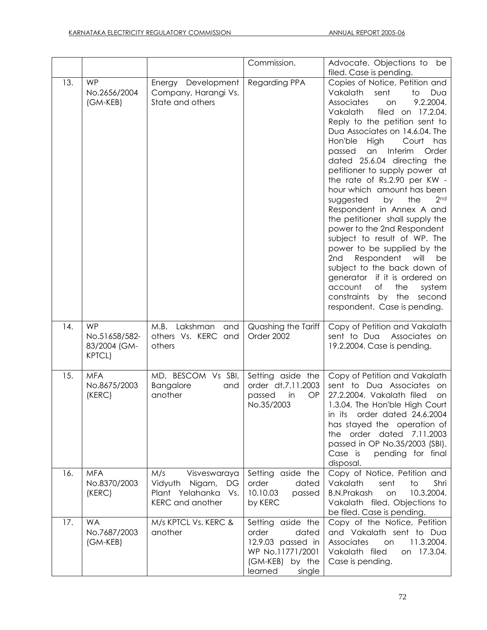|     |                                                             |                                                                                                     | Commission.                                                                                                          | Advocate. Objections to<br>be<br>filed. Case is pending.                                                                                                                                                                                                                                                                                                                                                                                                                                                                                                                                                                                                                                                                                                                                                            |
|-----|-------------------------------------------------------------|-----------------------------------------------------------------------------------------------------|----------------------------------------------------------------------------------------------------------------------|---------------------------------------------------------------------------------------------------------------------------------------------------------------------------------------------------------------------------------------------------------------------------------------------------------------------------------------------------------------------------------------------------------------------------------------------------------------------------------------------------------------------------------------------------------------------------------------------------------------------------------------------------------------------------------------------------------------------------------------------------------------------------------------------------------------------|
| 13. | <b>WP</b><br>No.2656/2004<br>$(GM - KEB)$                   | Energy Development<br>Company, Harangi Vs.<br>State and others                                      | Regarding PPA                                                                                                        | Copies of Notice, Petition and<br>Vakalath<br>sent<br>to<br>Dua<br>9.2.2004.<br>Associates<br>on<br>Vakalath<br>filed on 17.2.04.<br>Reply to the petition sent to<br>Dua Associates on 14.6.04. The<br>High<br>Hon'ble<br>Court has<br>an<br>Interim<br>Order<br>passed<br>dated 25.6.04 directing the<br>petitioner to supply power at<br>the rate of Rs.2.90 per KW -<br>hour which amount has been<br>2 <sub>nd</sub><br>by<br>the<br>suggested<br>Respondent in Annex A and<br>the petitioner shall supply the<br>power to the 2nd Respondent<br>subject to result of WP. The<br>power to be supplied by the<br>Respondent<br>will<br>2nd<br>be<br>subject to the back down of<br>generator if it is ordered on<br>account<br>of<br>the<br>system<br>constraints by the second<br>respondent. Case is pending. |
| 14. | <b>WP</b><br>No.51658/582-<br>83/2004 (GM-<br><b>KPTCL)</b> | Lakshman<br>M.B.<br>and<br>others Vs. KERC and<br>others                                            | Quashing the Tariff<br>Order 2002                                                                                    | Copy of Petition and Vakalath<br>sent to Dua<br>Associates on<br>19.2.2004. Case is pending.                                                                                                                                                                                                                                                                                                                                                                                                                                                                                                                                                                                                                                                                                                                        |
| 15. | <b>MFA</b><br>No.8675/2003<br>(KERC)                        | MD, BESCOM Vs SBI,<br><b>Bangalore</b><br>and<br>another                                            | Setting aside the<br>order dt.7.11.2003<br>passed<br>in<br>OP<br>No.35/2003                                          | Copy of Petition and Vakalath<br>sent to Dua Associates on<br>27.2.2004. Vakalath filed<br>on<br>1.3.04. The Hon'ble High Court<br>in its order dated 24.6.2004<br>has stayed the operation of<br>the order dated 7.11.2003<br>passed in OP No.35/2003 (SBI).<br>Case is<br>pending for final<br>disposal.                                                                                                                                                                                                                                                                                                                                                                                                                                                                                                          |
| 16. | <b>MFA</b><br>No.8370/2003<br>(KERC)                        | M/s<br>Visveswaraya<br>Nigam,<br>Vidyuth<br>DG<br>Plant Yelahanka<br>Vs.<br><b>KERC</b> and another | Setting aside the<br>order<br>dated<br>10.10.03<br>passed<br>by KERC                                                 | Copy of Notice, Petition and<br>Vakalath<br>sent<br>Shri<br>to<br><b>B.N.Prakash</b><br>10.3.2004.<br>on<br>Vakalath filed. Objections to<br>be filed. Case is pending.                                                                                                                                                                                                                                                                                                                                                                                                                                                                                                                                                                                                                                             |
| 17. | <b>WA</b><br>No.7687/2003<br>(GM-KEB)                       | M/s KPTCL Vs. KERC &<br>another                                                                     | Setting aside the<br>order<br>dated<br>12.9.03 passed in<br>WP No.11771/2001<br>(GM-KEB) by the<br>learned<br>single | Copy of the Notice, Petition<br>and Vakalath sent to Dua<br>Associates<br>11.3.2004.<br>on<br>Vakalath filed<br>on 17.3.04.<br>Case is pending.                                                                                                                                                                                                                                                                                                                                                                                                                                                                                                                                                                                                                                                                     |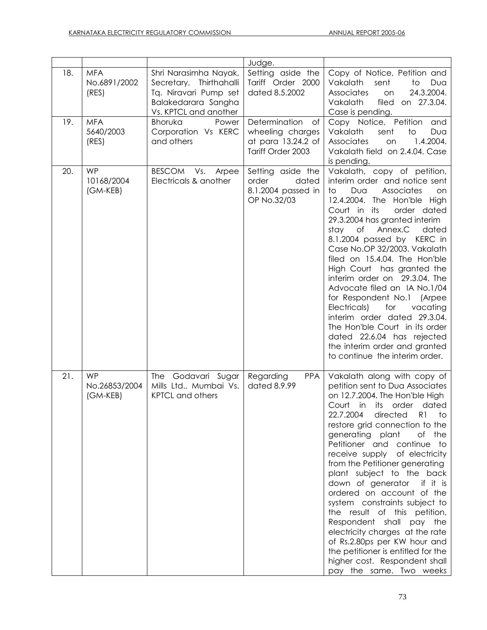|     |                                         |                                                                                                                           | Judge.                                                                             |                                                                                                                                                                                                                                                                                                                                                                                                                                                                                                                                                                                                                                                                                        |
|-----|-----------------------------------------|---------------------------------------------------------------------------------------------------------------------------|------------------------------------------------------------------------------------|----------------------------------------------------------------------------------------------------------------------------------------------------------------------------------------------------------------------------------------------------------------------------------------------------------------------------------------------------------------------------------------------------------------------------------------------------------------------------------------------------------------------------------------------------------------------------------------------------------------------------------------------------------------------------------------|
| 18. | <b>MFA</b><br>No.6891/2002<br>(RES)     | Shri Narasimha Nayak,<br>Secretary, Thirthahalli<br>Tq. Niravari Pump set<br>Balakedarara Sangha<br>Vs. KPTCL and another | Setting aside the<br>Tariff Order 2000<br>dated 8.5.2002                           | Copy of Notice, Petition and<br>Vakalath<br>sent<br>to<br>Dua<br>24.3.2004.<br>Associates<br>on<br>filed<br>on 27.3.04.<br>Vakalath<br>Case is pending.                                                                                                                                                                                                                                                                                                                                                                                                                                                                                                                                |
| 19. | <b>MFA</b><br>5640/2003<br>(RES)        | <b>Bhoruka</b><br>Power<br>Corporation Vs KERC<br>and others                                                              | Determination<br>of<br>wheeling charges<br>at para 13.24.2 of<br>Tariff Order 2003 | Copy Notice, Petition<br>and<br>Vakalath<br>to<br>sent<br>Dua<br>1.4.2004.<br>Associates<br>on<br>Vakalath field on 2.4.04. Case<br>is pending.                                                                                                                                                                                                                                                                                                                                                                                                                                                                                                                                        |
| 20. | <b>WP</b><br>10168/2004<br>$(GM - KEB)$ | <b>BESCOM</b><br>Vs.<br>Arpee<br>Electricals & another                                                                    | Setting aside the<br>order<br>dated<br>8.1.2004 passed in<br>OP No.32/03           | Vakalath, copy of petition,<br>interim order and notice sent<br>Associates<br>Dua<br>to<br>on<br>12.4.2004. The<br>Hon'ble High<br>order dated<br>Court in its<br>29.3.2004 has granted interim<br>stay<br>Оf<br>Annex.C<br>dated<br>8.1.2004 passed by<br>KERC in<br>Case No.OP 32/2003. Vakalath<br>filed on 15.4.04. The Hon'ble<br>High Court has granted the<br>interim order on 29.3.04. The<br>Advocate filed an IA No.1/04<br>for Respondent No.1<br>(Arpee<br>Electricals)<br>for<br>vacating<br>interim order dated 29.3.04.<br>The Hon'ble Court in its order<br>dated 22.6.04 has rejected<br>the interim order and granted<br>to continue the interim order.              |
| 21. | <b>WP</b><br>No.26853/2004<br>(GM-KEB)  | The Godavari Sugar<br>Mills Ltd., Mumbai Vs.<br><b>KPTCL and others</b>                                                   | Regarding<br><b>PPA</b><br>dated 8.9.99                                            | Vakalath along with copy of<br>petition sent to Dua Associates<br>on 12.7.2004. The Hon'ble High<br>Court in its order dated<br>22.7.2004<br>directed R1 to<br>restore grid connection to the<br>generating plant<br>of the<br>Petitioner and continue to<br>receive supply of electricity<br>from the Petitioner generating<br>plant subject to the back<br>down of generator if it is<br>ordered on account of the<br>system constraints subject to<br>the result of this petition,<br>Respondent shall pay the<br>electricity charges at the rate<br>of Rs.2.80ps per KW hour and<br>the petitioner is entitled for the<br>higher cost. Respondent shall<br>pay the same. Two weeks |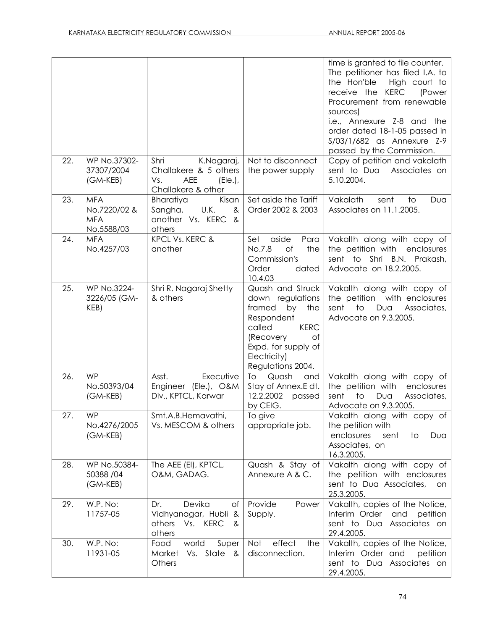|     |                                                        |                                                                                           |                                                                                                                                                                                | time is granted to file counter.<br>The petitioner has filed I.A. to<br>the Hon'ble<br>High court to<br>receive the KERC<br>(Power<br>Procurement from renewable<br>sources)<br>i.e., Annexure Z-8 and the<br>order dated 18-1-05 passed in<br>S/03/1/682 as Annexure Z-9<br>passed by the Commission. |
|-----|--------------------------------------------------------|-------------------------------------------------------------------------------------------|--------------------------------------------------------------------------------------------------------------------------------------------------------------------------------|--------------------------------------------------------------------------------------------------------------------------------------------------------------------------------------------------------------------------------------------------------------------------------------------------------|
| 22. | WP No.37302-<br>37307/2004<br>(GM-KEB)                 | K.Nagaraj,<br>Shri<br>Challakere & 5 others<br>AEE<br>Vs.<br>(Ele.)<br>Challakere & other | Not to disconnect<br>the power supply                                                                                                                                          | Copy of petition and vakalath<br>sent to Dua Associates on<br>5.10.2004.                                                                                                                                                                                                                               |
| 23. | <b>MFA</b><br>No.7220/02 &<br><b>MFA</b><br>No.5588/03 | Bharatiya<br>Kisan<br>Sangha,<br>U.K.<br>&<br>another Vs. KERC &<br>others                | Set aside the Tariff<br>Order 2002 & 2003                                                                                                                                      | Vakalath<br>sent<br>to<br>Dua<br>Associates on 11.1.2005.                                                                                                                                                                                                                                              |
| 24. | <b>MFA</b><br>No.4257/03                               | KPCL Vs. KERC &<br>another                                                                | Set<br>aside<br>Para<br>No.7.8<br>of<br>the<br>Commission's<br>Order<br>dated<br>10.4.03                                                                                       | Vakalth along with copy of<br>the petition with<br>enclosures<br>sent to Shri B.N. Prakash,<br>Advocate on 18.2.2005.                                                                                                                                                                                  |
| 25. | WP No.3224-<br>3226/05 (GM-<br>KEB)                    | Shri R. Nagaraj Shetty<br>& others                                                        | Quash and Struck<br>down regulations<br>framed<br>by the<br>Respondent<br>called<br><b>KERC</b><br>(Recovery<br>of<br>Expd. for supply of<br>Electricity)<br>Regulations 2004. | Vakalth along with copy of<br>the petition with enclosures<br>sent<br>to<br>Dua<br>Associates,<br>Advocate on 9.3.2005.                                                                                                                                                                                |
| 26. | <b>WP</b><br>No.50393/04<br>(GM-KEB)                   | Executive<br>Asst.<br>Engineer (Ele.), O&M<br>Div., KPTCL, Karwar                         | To<br>Quash<br>and<br>Stay of Annex.E dt.<br>12.2.2002<br>passed<br>by CEIG.                                                                                                   | Vakalth along with copy of<br>the petition with<br>enclosures<br>$\overline{1}$<br>sent<br>Dua<br>Associates,<br>Advocate on 9.3.2005.                                                                                                                                                                 |
| 27. | WP.<br>No.4276/2005<br>$(GM - KEB)$                    | Smt.A.B.Hemavathi,<br>Vs. MESCOM & others                                                 | To give<br>appropriate job.                                                                                                                                                    | Vakalth along with copy of<br>the petition with<br>enclosures<br>sent<br>to<br>Dua<br>Associates, on<br>16.3.2005.                                                                                                                                                                                     |
| 28. | WP No.50384-<br>50388 / 04<br>$(GM - KEB)$             | The AEE (EI), KPTCL,<br>O&M, GADAG.                                                       | Quash & Stay of<br>Annexure A & C.                                                                                                                                             | Vakalth along with copy of<br>the petition with enclosures<br>sent to Dua Associates,<br>on<br>25.3.2005.                                                                                                                                                                                              |
| 29. | W.P. No:<br>11757-05                                   | Devika<br>Dr.<br>of<br>Vidhyanagar, Hubli &<br>others<br>Vs. KERC<br>- &<br>others        | Provide<br>Power<br>Supply.                                                                                                                                                    | Vakalth, copies of the Notice,<br>Interim Order<br>and<br>petition<br>sent to Dua Associates on<br>29.4.2005.                                                                                                                                                                                          |
| 30. | W.P. No:<br>11931-05                                   | world<br>Food<br>Super<br>Market<br>Vs. State &<br>Others                                 | effect<br>Not<br>the<br>disconnection.                                                                                                                                         | Vakalth, copies of the Notice,<br>Interim Order and<br>petition<br>sent to Dua Associates on<br>29.4.2005.                                                                                                                                                                                             |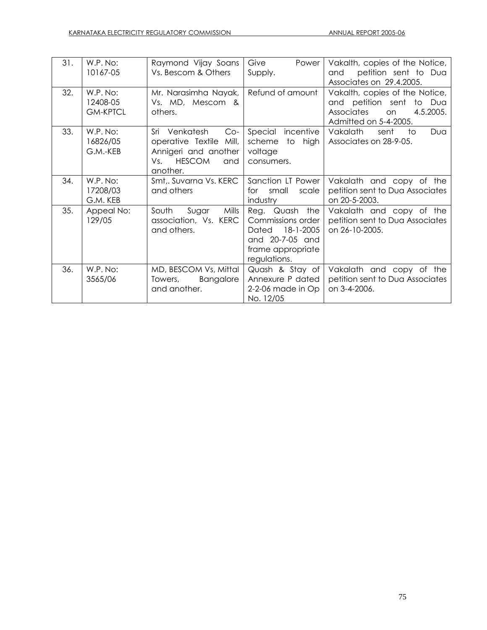| 31. | W.P. No:                                | Raymond Vijay Soans                                                                                                  | Give<br>Power                                                                                                        | Vakalth, copies of the Notice,                                                                                             |
|-----|-----------------------------------------|----------------------------------------------------------------------------------------------------------------------|----------------------------------------------------------------------------------------------------------------------|----------------------------------------------------------------------------------------------------------------------------|
|     | 10167-05                                | Vs. Bescom & Others                                                                                                  | Supply.                                                                                                              | petition sent to Dua<br>and<br>Associates on 29.4.2005.                                                                    |
| 32. | W.P. No:<br>12408-05<br><b>GM-KPTCL</b> | Mr. Narasimha Nayak,<br>Vs. MD, Mescom &<br>others.                                                                  | Refund of amount                                                                                                     | Vakalth, copies of the Notice,<br>and petition sent<br>to<br>Dua<br>4.5.2005.<br>Associates<br>on<br>Admitted on 5-4-2005. |
| 33. | W.P. No:<br>16826/05<br>G.M.-KEB        | Sri Venkatesh<br>$Co-$<br>operative Textile Mill,<br>Annigeri and another<br><b>HESCOM</b><br>Vs.<br>and<br>another. | Special incentive<br>to high<br>scheme<br>voltage<br>consumers.                                                      | Vakalath<br>Dua<br>sent<br>to<br>Associates on 28-9-05.                                                                    |
| 34. | W.P. No:<br>17208/03<br>G.M. KEB        | Smt,. Suvarna Vs. KERC<br>and others                                                                                 | Sanction LT Power  <br>for<br>small<br>scale<br>industry                                                             | Vakalath and copy of the<br>petition sent to Dua Associates<br>on 20-5-2003.                                               |
| 35. | Appeal No:<br>129/05                    | South<br>Sugar<br>Mills<br>association, Vs. KERC<br>and others.                                                      | Reg. Quash<br>the<br>Commissions order<br>18-1-2005<br>Dated<br>and 20-7-05 and<br>frame appropriate<br>regulations. | Vakalath and copy of the<br>petition sent to Dua Associates<br>on 26-10-2005.                                              |
| 36. | W.P. No:<br>3565/06                     | MD, BESCOM Vs, Mittal<br>Bangalore<br>Towers,<br>and another.                                                        | Quash & Stay of<br>Annexure P dated<br>2-2-06 made in Op<br>No. 12/05                                                | Vakalath and copy of the<br>petition sent to Dua Associates<br>on 3-4-2006.                                                |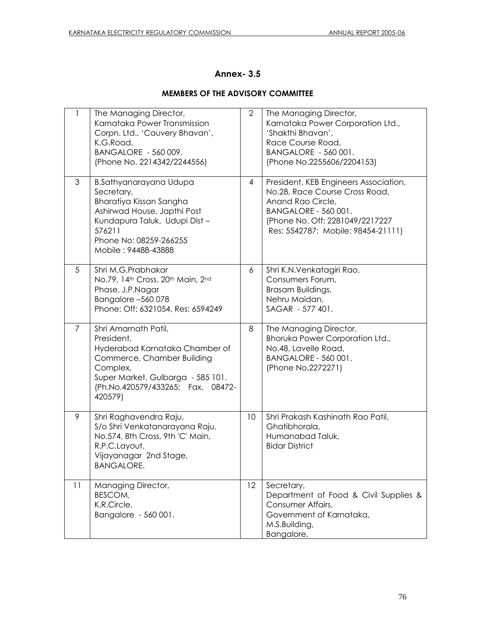## **Annex- 3.5**

| 1 | The Managing Director,<br>Karnataka Power Transmission<br>Corpn. Ltd., 'Cauvery Bhavan',<br>K.G.Road,<br><b>BANGALORE - 560 009.</b><br>(Phone No. 2214342/2244556)                       | $\overline{2}$ | The Managing Director,<br>Karnataka Power Corporation Ltd.,<br>'Shakthi Bhavan',<br>Race Course Road,<br>BANGALORE - 560 001.<br>(Phone No.2255606/2204153)                                          |
|---|-------------------------------------------------------------------------------------------------------------------------------------------------------------------------------------------|----------------|------------------------------------------------------------------------------------------------------------------------------------------------------------------------------------------------------|
| 3 | B.Sathyanarayana Udupa<br>Secretary,<br>Bharatiya Kissan Sangha<br>Ashirwad House, Japthi Post<br>Kundapura Taluk, Udupi Dist-<br>576211<br>Phone No: 08259-266255<br>Mobile: 94488-43888 | 4              | President, KEB Engineers Association,<br>No.28, Race Course Cross Road,<br>Anand Rao Circle,<br><b>BANGALORE - 560 001.</b><br>(Phone No. Off: 2281049/2217227<br>Res: 5542787; Mobile: 98454-21111) |
| 5 | Shri M.G.Prabhakar<br>No.79, 14th Cross, 20th Main, 2nd<br>Phase, J.P.Nagar<br>Bangalore -560 078<br>Phone: Off: 6321054, Res: 6594249                                                    | 6              | Shri K.N.Venkatagiri Rao,<br>Consumers Forum,<br>Brasam Buildings,<br>Nehru Maidan,<br>SAGAR - 577 401.                                                                                              |
| 7 | Shri Amarnath Patil,                                                                                                                                                                      | 8              | The Managing Director,                                                                                                                                                                               |

## **MEMBERS OF THE ADVISORY COMMITTEE**

|                | Phase, J.P.Nagar<br>Bangalore -560 078<br>Phone: Off: 6321054, Res: 6594249                                                                                                                         |                 | Brasam Buildings,<br>Nehru Maidan,<br>SAGAR - 577 401.                                                                                 |
|----------------|-----------------------------------------------------------------------------------------------------------------------------------------------------------------------------------------------------|-----------------|----------------------------------------------------------------------------------------------------------------------------------------|
| $\overline{7}$ | Shri Amarnath Patil.<br>President,<br>Hyderabad Karnataka Chamber of<br>Commerce, Chamber Building<br>Complex,<br>Super Market, Gulbarga - 585 101.<br>(Ph.No.420579/433265; Fax. 08472-<br>420579) | 8               | The Managing Director,<br>Bhoruka Power Corporation Ltd.,<br>No.48, Lavelle Road,<br><b>BANGALORE - 560 001.</b><br>(Phone No.2272271) |
| 9              | Shri Raghavendra Raju,<br>S/o Shri Venkatanarayana Raju,<br>No.574, 8th Cross, 9th 'C' Main,<br>R.P.C.Layout,<br>Vijayanagar 2nd Stage,<br><b>BANGALORE.</b>                                        | 10              | Shri Prakash Kashinath Rao Patil,<br>Ghatibhorala,<br>Humanabad Taluk,<br><b>Bidar District</b>                                        |
| 11             | Managing Director,<br>BESCOM,<br>K.R.Circle,<br>Bangalore - 560 001.                                                                                                                                | 12 <sup>2</sup> | Secretary,<br>Department of Food & Civil Supplies &<br>Consumer Affairs,<br>Government of Karnataka,<br>M.S.Building,<br>Bangalore.    |